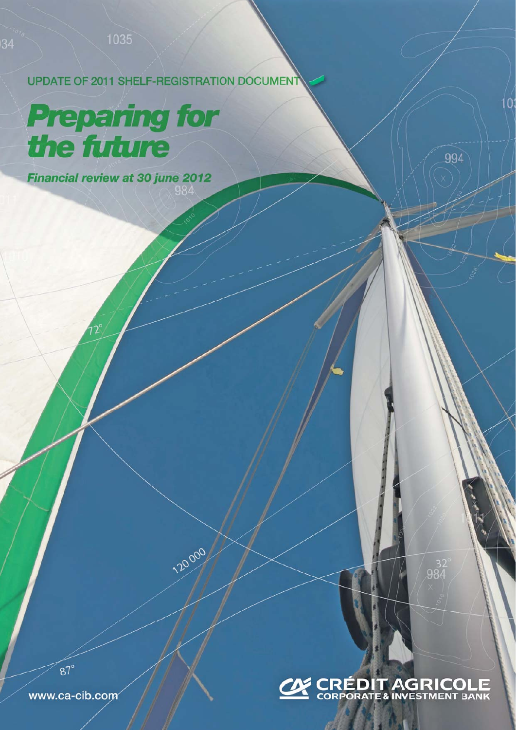UPDATE OF 2011 SHELF-REGISTRATION DOCUMEN

120000

# **Preparing for<br>the future**

Financial review at 30 june 2012 984

## **CON CRÉDIT AGRICOLE**

984

 $10:$ 

994

www.ca-cib.com

 $87^\circ$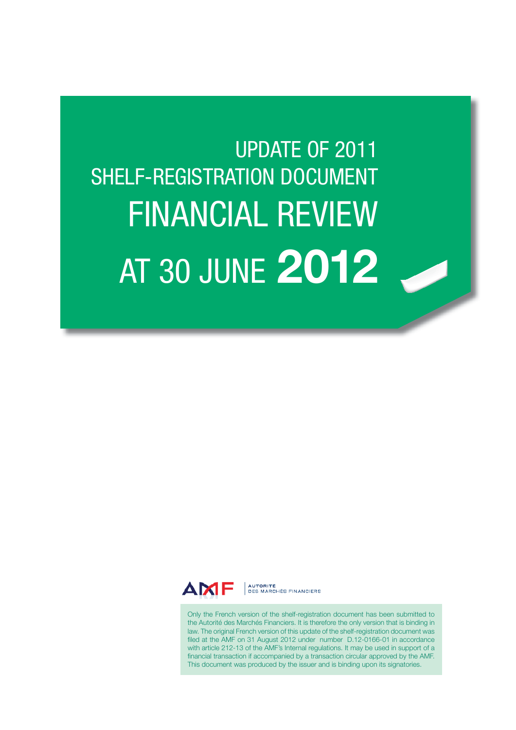# UPDATE OF 2011 SHELF-REGISTRATION DOCUMENT FINANCIAL REVIEW AT 30 JUNE 2012



AUTORITÉ<br>DES MARCHÉS FINANCIERS

Only the French version of the shelf-registration document has been submitted to the Autorité des Marchés Financiers. It is therefore the only version that is binding in law. The original French version of this update of the shelf-registration document was filed at the AMF on 31 August 2012 under number D.12-0166-01 in accordance with article 212-13 of the AMF's Internal regulations. It may be used in support of a financial transaction if accompanied by a transaction circular approved by the AMF. This document was produced by the issuer and is binding upon its signatories.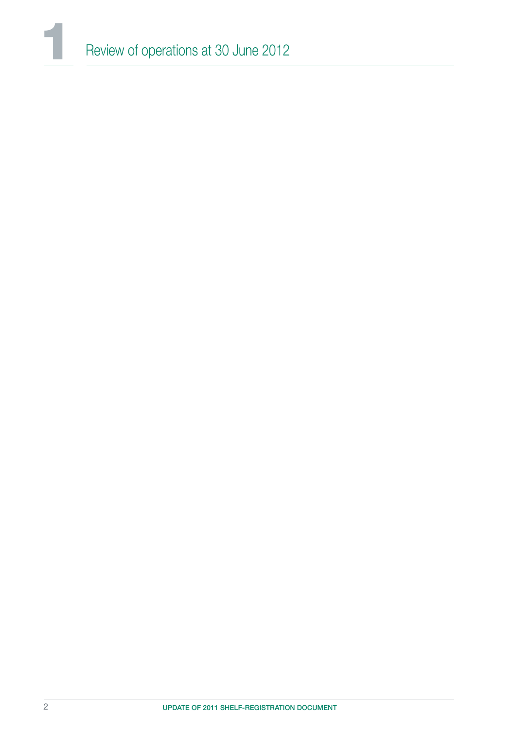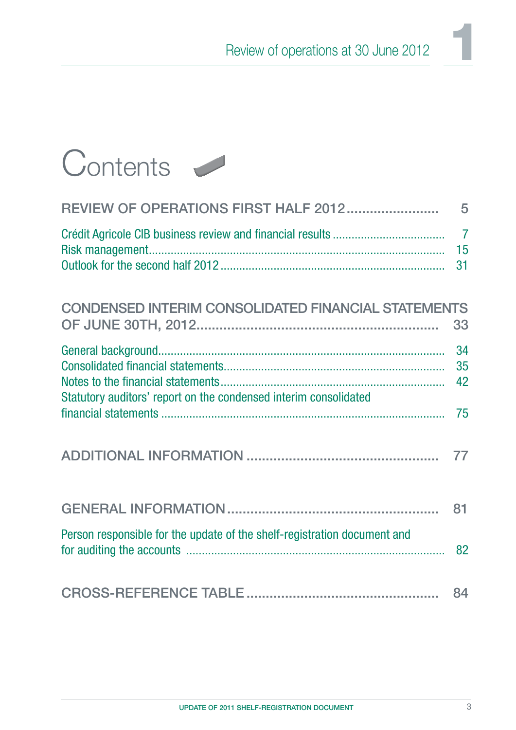

| REVIEW OF OPERATIONS FIRST HALF 2012                                     | 5                          |
|--------------------------------------------------------------------------|----------------------------|
|                                                                          | $\overline{7}$<br>15<br>31 |
| <b>CONDENSED INTERIM CONSOLIDATED FINANCIAL STATEMENTS</b>               | 33                         |
| Statutory auditors' report on the condensed interim consolidated         | 34<br>35<br>42             |
|                                                                          | 75                         |
|                                                                          | 77                         |
|                                                                          | 81                         |
| Person responsible for the update of the shelf-registration document and | 82                         |
|                                                                          | 84                         |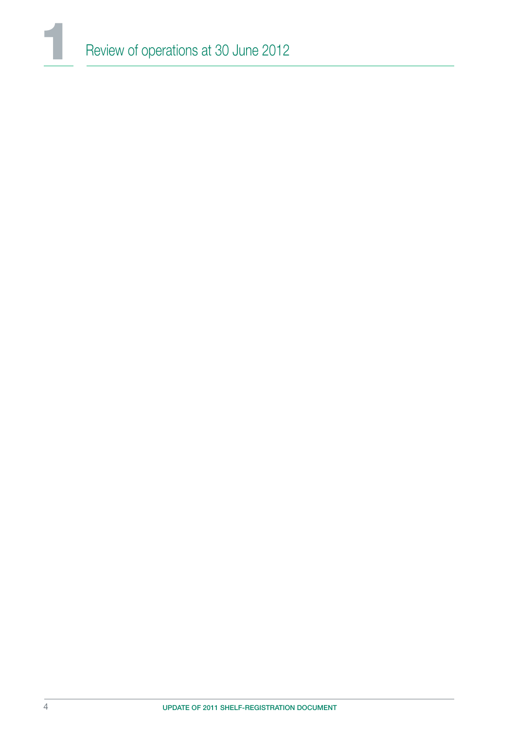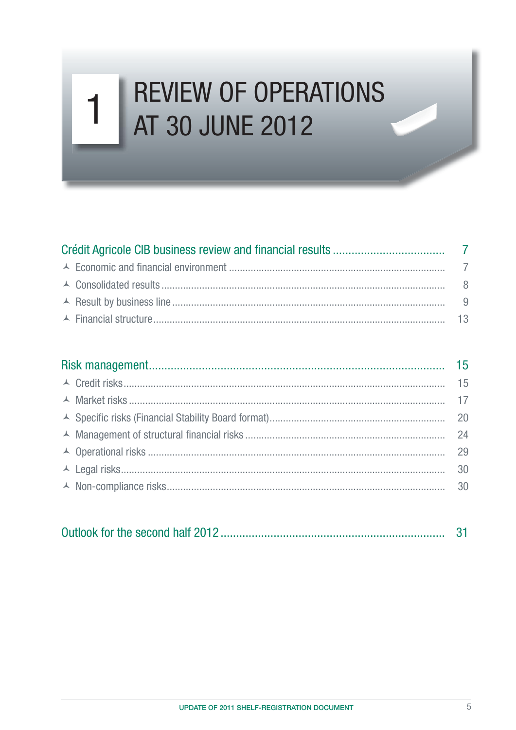### **REVIEW OF OPERATIONS**  $\mathbf 1$ AT 30 JUNE 2012

|--|--|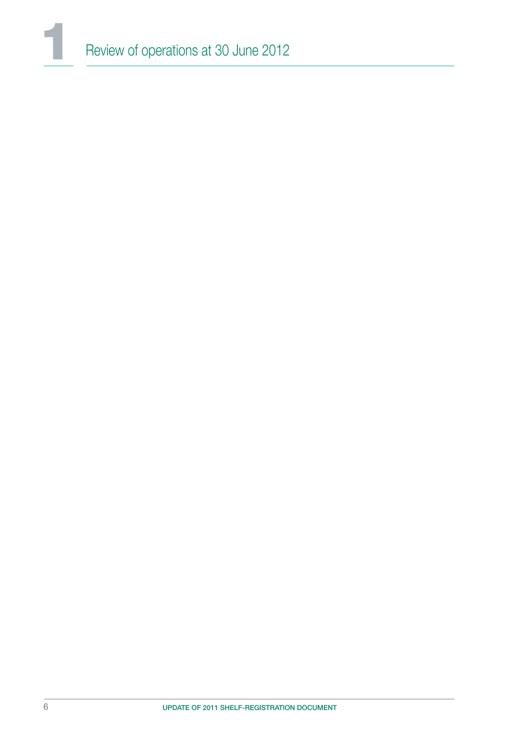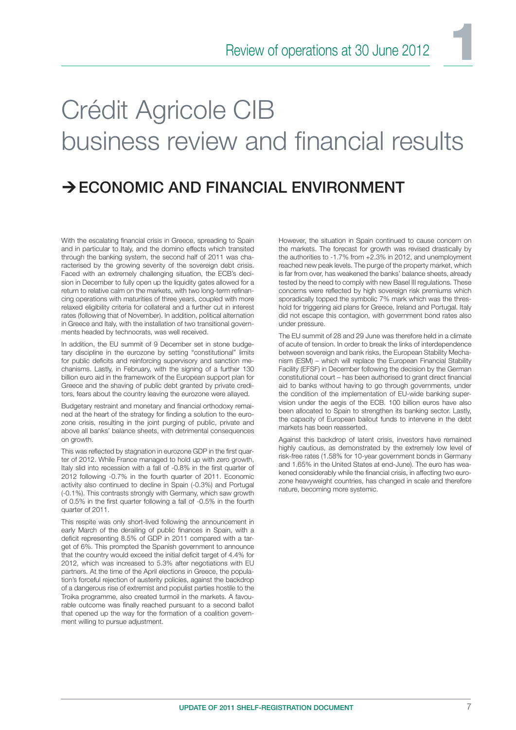# Crédit Agricole CIB business review and financial results

### $\rightarrow$  ECONOMIC AND FINANCIAL ENVIRONMENT

With the escalating financial crisis in Greece, spreading to Spain and in particular to Italy, and the domino effects which transited through the banking system, the second half of 2011 was characterised by the growing severity of the sovereign debt crisis. Faced with an extremely challenging situation, the ECB's decision in December to fully open up the liquidity gates allowed for a return to relative calm on the markets, with two long-term refinancing operations with maturities of three years, coupled with more relaxed eligibility criteria for collateral and a further cut in interest rates (following that of November). In addition, political alternation in Greece and Italy, with the installation of two transitional governments headed by technocrats, was well received.

In addition, the EU summit of 9 December set in stone budgetary discipline in the eurozone by setting "constitutional" limits for public deficits and reinforcing supervisory and sanction mechanisms. Lastly, in February, with the signing of a further 130 billion euro aid in the framework of the European support plan for Greece and the shaving of public debt granted by private creditors, fears about the country leaving the eurozone were allayed.

Budgetary restraint and monetary and financial orthodoxy remained at the heart of the strategy for finding a solution to the eurozone crisis, resulting in the joint purging of public, private and above all banks' balance sheets, with detrimental consequences on growth.

This was reflected by stagnation in eurozone GDP in the first quarter of 2012. While France managed to hold up with zero growth, Italy slid into recession with a fall of -0.8% in the first quarter of 2012 following -0.7% in the fourth quarter of 2011. Economic activity also continued to decline in Spain (-0.3%) and Portugal (-0.1%). This contrasts strongly with Germany, which saw growth of 0.5% in the first quarter following a fall of -0.5% in the fourth quarter of 2011.

This respite was only short-lived following the announcement in early March of the derailing of public finances in Spain, with a deficit representing 8.5% of GDP in 2011 compared with a target of 6%. This prompted the Spanish government to announce that the country would exceed the initial deficit target of 4.4% for 2012, which was increased to 5.3% after negotiations with EU partners. At the time of the April elections in Greece, the population's forceful rejection of austerity policies, against the backdrop of a dangerous rise of extremist and populist parties hostile to the Troika programme, also created turmoil in the markets. A favourable outcome was finally reached pursuant to a second ballot that opened up the way for the formation of a coalition government willing to pursue adjustment.

However, the situation in Spain continued to cause concern on the markets. The forecast for growth was revised drastically by the authorities to -1.7% from +2.3% in 2012, and unemployment reached new peak levels. The purge of the property market, which is far from over, has weakened the banks' balance sheets, already tested by the need to comply with new Basel III regulations. These concerns were reflected by high sovereign risk premiums which sporadically topped the symbolic 7% mark which was the threshold for triggering aid plans for Greece, Ireland and Portugal. Italy did not escape this contagion, with government bond rates also under pressure.

The EU summit of 28 and 29 June was therefore held in a climate of acute of tension. In order to break the links of interdependence between sovereign and bank risks, the European Stability Mechanism (ESM) – which will replace the European Financial Stability Facility (EFSF) in December following the decision by the German constitutional court – has been authorised to grant direct financial aid to banks without having to go through governments, under the condition of the implementation of EU-wide banking supervision under the aegis of the ECB. 100 billion euros have also been allocated to Spain to strengthen its banking sector. Lastly, the capacity of European bailout funds to intervene in the debt markets has been reasserted.

Against this backdrop of latent crisis, investors have remained highly cautious, as demonstrated by the extremely low level of risk-free rates (1.58% for 10-year government bonds in Germany and 1.65% in the United States at end-June). The euro has weakened considerably while the financial crisis, in affecting two eurozone heavyweight countries, has changed in scale and therefore nature, becoming more systemic.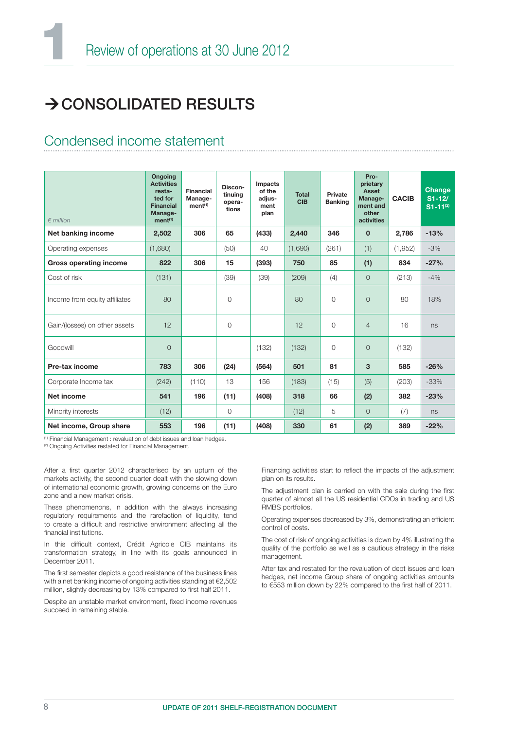### $\rightarrow$  CONSOLIDATED RESULTS

### Condensed income statement

| $\epsilon$ million            | <b>Ongoing</b><br><b>Activities</b><br>resta-<br>ted for<br><b>Financial</b><br>Manage-<br>ment <sup>(1)</sup> | Financial<br>Manage-<br>ment <sup>(1)</sup> | Discon-<br>tinuing<br>opera-<br>tions | Impacts<br>of the<br>adjus-<br>ment<br>plan | <b>Total</b><br><b>CIB</b> | Private<br><b>Banking</b> | Pro-<br>prietary<br><b>Asset</b><br>Manage-<br>ment and<br>other<br>activities | <b>CACIB</b> | Change<br>$S1-12/$<br>$S1 - 11^{(2)}$ |
|-------------------------------|----------------------------------------------------------------------------------------------------------------|---------------------------------------------|---------------------------------------|---------------------------------------------|----------------------------|---------------------------|--------------------------------------------------------------------------------|--------------|---------------------------------------|
| Net banking income            | 2,502                                                                                                          | 306                                         | 65                                    | (433)                                       | 2,440                      | 346                       | $\mathbf{0}$                                                                   | 2,786        | $-13%$                                |
| Operating expenses            | (1,680)                                                                                                        |                                             | (50)                                  | 40                                          | (1,690)                    | (261)                     | (1)                                                                            | (1,952)      | $-3%$                                 |
| <b>Gross operating income</b> | 822                                                                                                            | 306                                         | 15                                    | (393)                                       | 750                        | 85                        | (1)                                                                            | 834          | $-27%$                                |
| Cost of risk                  | (131)                                                                                                          |                                             | (39)                                  | (39)                                        | (209)                      | (4)                       | $\Omega$                                                                       | (213)        | $-4%$                                 |
| Income from equity affiliates | 80                                                                                                             |                                             | 0                                     |                                             | 80                         | $\overline{O}$            | $\Omega$                                                                       | 80           | 18%                                   |
| Gain/(losses) on other assets | 12                                                                                                             |                                             | 0                                     |                                             | 12                         | $\overline{O}$            | $\overline{4}$                                                                 | 16           | ns                                    |
| Goodwill                      | $\overline{O}$                                                                                                 |                                             |                                       | (132)                                       | (132)                      | $\overline{O}$            | $\overline{O}$                                                                 | (132)        |                                       |
| Pre-tax income                | 783                                                                                                            | 306                                         | (24)                                  | (564)                                       | 501                        | 81                        | 3                                                                              | 585          | $-26%$                                |
| Corporate Income tax          | (242)                                                                                                          | (110)                                       | 13                                    | 156                                         | (183)                      | (15)                      | (5)                                                                            | (203)        | $-33%$                                |
| Net income                    | 541                                                                                                            | 196                                         | (11)                                  | (408)                                       | 318                        | 66                        | (2)                                                                            | 382          | $-23%$                                |
| Minority interests            | (12)                                                                                                           |                                             | 0                                     |                                             | (12)                       | 5                         | $\overline{O}$                                                                 | (7)          | ns                                    |
| Net income, Group share       | 553                                                                                                            | 196                                         | (11)                                  | (408)                                       | 330                        | 61                        | (2)                                                                            | 389          | $-22%$                                |

(1) Financial Management : revaluation of debt issues and loan hedges.

<sup>(2)</sup> Ongoing Activities restated for Financial Management.

After a first quarter 2012 characterised by an upturn of the markets activity, the second quarter dealt with the slowing down of international economic growth, growing concerns on the Euro zone and a new market crisis.

These phenomenons, in addition with the always increasing regulatory requirements and the rarefaction of liquidity, tend to create a difficult and restrictive environment affecting all the financial institutions.

In this difficult context, Crédit Agricole CIB maintains its transformation strategy, in line with its goals announced in December 2011.

The first semester depicts a good resistance of the business lines with a net banking income of ongoing activities standing at €2,502 million, slightly decreasing by 13% compared to first half 2011.

Despite an unstable market environment, fixed income revenues succeed in remaining stable.

Financing activities start to reflect the impacts of the adjustment plan on its results.

The adjustment plan is carried on with the sale during the first quarter of almost all the US residential CDOs in trading and US RMBS portfolios.

Operating expenses decreased by 3%, demonstrating an efficient control of costs.

The cost of risk of ongoing activities is down by 4% illustrating the quality of the portfolio as well as a cautious strategy in the risks management.

After tax and restated for the revaluation of debt issues and loan hedges, net income Group share of ongoing activities amounts to €553 million down by 22% compared to the first half of 2011.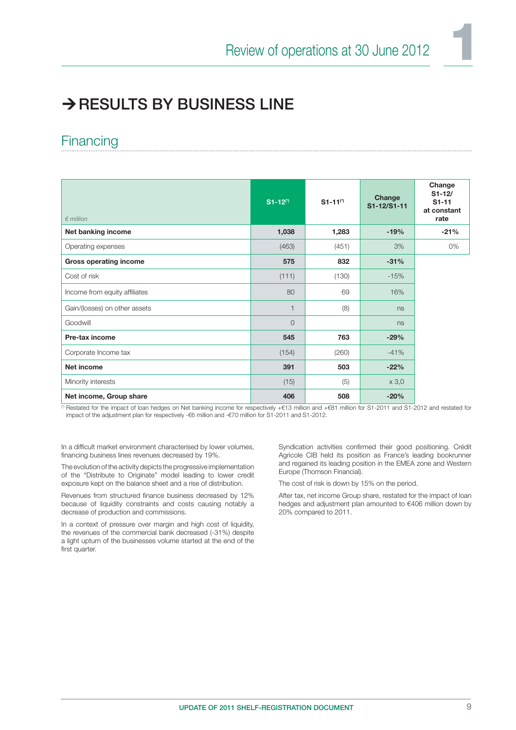### $\rightarrow$  RESULTS BY BUSINESS LINE

### **Financing**

| $\epsilon$ million            | $S1 - 12$ <sup>(*)</sup> | $S1 - 11^{(*)}$ | Change<br>S1-12/S1-11 | Change<br>$S1 - 12/$<br>$S1 - 11$<br>at constant<br>rate |
|-------------------------------|--------------------------|-----------------|-----------------------|----------------------------------------------------------|
| Net banking income            | 1,038                    | 1,283           | $-19%$                | $-21%$                                                   |
| Operating expenses            | (463)                    | (451)           | 3%                    | 0%                                                       |
| <b>Gross operating income</b> | 575                      | 832             | $-31%$                |                                                          |
| Cost of risk                  | (111)                    | (130)           | $-15%$                |                                                          |
| Income from equity affiliates | 80                       | 69              | 16%                   |                                                          |
| Gain/(losses) on other assets | $\mathbf{1}$             | (8)             | ns                    |                                                          |
| Goodwill                      | $\overline{0}$           |                 | ns                    |                                                          |
| Pre-tax income                | 545                      | 763             | $-29%$                |                                                          |
| Corporate Income tax          | (154)                    | (260)           | $-41%$                |                                                          |
| Net income                    | 391                      | 503             | $-22%$                |                                                          |
| Minority interests            | (15)                     | (5)             | x 3,0                 |                                                          |
| Net income, Group share       | 406                      | 508             | $-20%$                |                                                          |

(\*) Restated for the impact of loan hedges on Net banking income for respectively +€13 million and +€81 million for S1-2011 and S1-2012 and restated for impact of the adjustment plan for respectively -€6 million and -€70 million for S1-2011 and S1-2012.

In a difficult market environment characterised by lower volumes, financing business lines revenues decreased by 19%.

The evolution of the activity depicts the progressive implementation of the "Distribute to Originate" model leading to lower credit exposure kept on the balance sheet and a rise of distribution.

Revenues from structured finance business decreased by 12% because of liquidity constraints and costs causing notably a decrease of production and commissions.

In a context of pressure over margin and high cost of liquidity, the revenues of the commercial bank decreased (-31%) despite a light upturn of the businesses volume started at the end of the first quarter.

Syndication activities confirmed their good positioning. Crédit Agricole CIB held its position as France's leading bookrunner and regained its leading position in the EMEA zone and Western Europe (Thomson Financial).

The cost of risk is down by 15% on the period.

After tax, net income Group share, restated for the impact of loan hedges and adjustment plan amounted to €406 million down by 20% compared to 2011.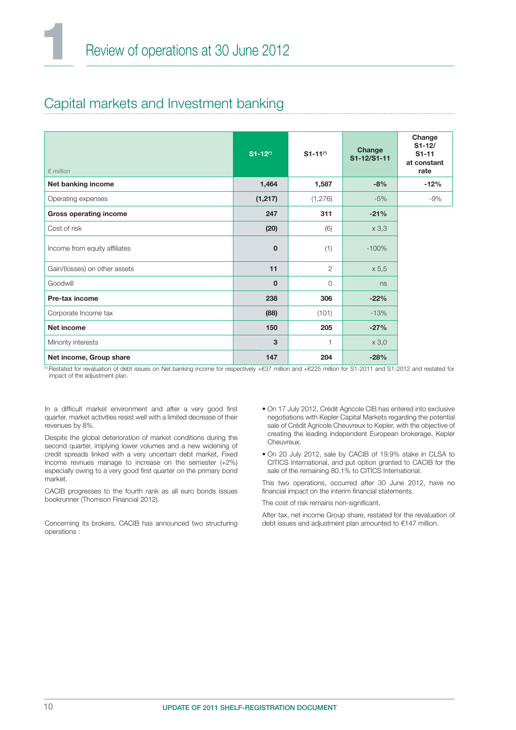### Capital markets and Investment banking

| $\epsilon$ million            | $S1 - 12^{(*)}$ | $S1 - 11^{(*)}$ | Change<br>S1-12/S1-11 | Change<br>$S1 - 12/$<br>$S1 - 11$<br>at constant<br>rate |
|-------------------------------|-----------------|-----------------|-----------------------|----------------------------------------------------------|
| Net banking income            | 1,464           | 1,587           | $-8%$                 | $-12%$                                                   |
| Operating expenses            | (1, 217)        | (1, 276)        | $-5%$                 | $-9%$                                                    |
| <b>Gross operating income</b> | 247             | 311             | $-21%$                |                                                          |
| Cost of risk                  | (20)            | (6)             | x 3,3                 |                                                          |
| Income from equity affiliates | $\mathbf 0$     | (1)             | $-100%$               |                                                          |
| Gain/(losses) on other assets | 11              | $\mathfrak{D}$  | x 5,5                 |                                                          |
| Goodwill                      | $\mathbf 0$     | 0               | ns                    |                                                          |
| Pre-tax income                | 238             | 306             | $-22%$                |                                                          |
| Corporate Income tax          | (88)            | (101)           | $-13%$                |                                                          |
| Net income                    | 150             | 205             | $-27%$                |                                                          |
| Minority interests            | 3               | $\mathbf{1}$    | x 3,0                 |                                                          |
| Net income, Group share       | 147             | 204             | $-28%$                |                                                          |

(1) Restated for revaluation of debt issues on Net banking income for respectively +€37 million and +€225 million for S1-2011 and S1-2012 and restated for impact of the adjustment plan.

In a difficult market environment and after a very good first quarter, market activities resist well with a limited decrease of their revenues by 8%.

Despite the global deterioration of market conditions during the second quarter, implying lower volumes and a new widening of credit spreads linked with a very uncertain debt market, Fixed Income revnues manage to increase on the semester (+2%) especially owing to a very good first quarter on the primary bond market.

CACIB progresses to the fourth rank as all euro bonds issues bookrunner (Thomson Financial 2012).

Concerning its brokers, CACIB has announced two structuring operations :

- On 17 July 2012, Crédit Agricole CIB has entered into exclusive negotiations with Kepler Capital Markets regarding the potential sale of Crédit Agricole Cheuvreux to Kepler, with the objective of creating the leading independent European brokerage, Kepler Cheuvreux.
- On 20 July 2012, sale by CACIB of 19.9% stake in CLSA to CITICS International, and put option granted to CACIB for the sale of the remaining 80.1% to CITICS International.

This two operations, occurred after 30 June 2012, have no financial impact on the interim financial statements.

The cost of risk remains non-significant.

After tax, net income Group share, restated for the revaluation of debt issues and adjustment plan amounted to €147 million.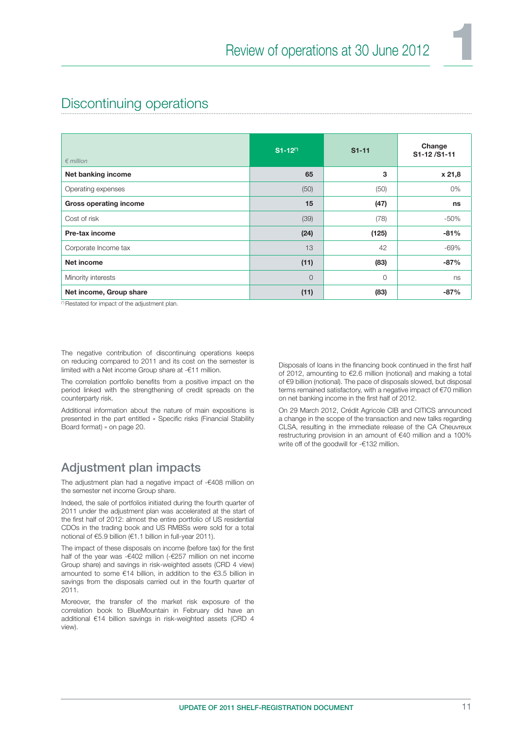### Discontinuing operations

| $\epsilon$ million            | $S1 - 12$ <sup>(*)</sup> | $S1 - 11$ | Change<br>S1-12/S1-11 |
|-------------------------------|--------------------------|-----------|-----------------------|
| Net banking income            | 65                       | 3         | x 21,8                |
| Operating expenses            | (50)                     | (50)      | 0%                    |
| <b>Gross operating income</b> | 15                       | (47)      | ns                    |
| Cost of risk                  | (39)                     | (78)      | $-50%$                |
| Pre-tax income                | (24)                     | (125)     | $-81%$                |
| Corporate Income tax          | 13                       | 42        | $-69%$                |
| Net income                    | (11)                     | (83)      | $-87%$                |
| Minority interests            | $\overline{O}$           | $\Omega$  | ns                    |
| Net income, Group share       | (11)                     | (83)      | $-87%$                |

(\*) Restated for impact of the adjustment plan.

The negative contribution of discontinuing operations keeps on reducing compared to 2011 and its cost on the semester is limited with a Net income Group share at -€11 million.

The correlation portfolio benefits from a positive impact on the period linked with the strengthening of credit spreads on the counterparty risk.

Additional information about the nature of main expositions is presented in the part entitled « Specific risks (Financial Stability Board format) » on page 20.

### Adjustment plan impacts

The adjustment plan had a negative impact of -€408 million on the semester net income Group share.

Indeed, the sale of portfolios initiated during the fourth quarter of 2011 under the adjustment plan was accelerated at the start of the first half of 2012: almost the entire portfolio of US residential CDOs in the trading book and US RMBSs were sold for a total notional of €5.9 billion (€1.1 billion in full-year 2011).

The impact of these disposals on income (before tax) for the first half of the year was -€402 million (-€257 million on net income Group share) and savings in risk-weighted assets (CRD 4 view) amounted to some €14 billion, in addition to the €3.5 billion in savings from the disposals carried out in the fourth quarter of 2011.

Moreover, the transfer of the market risk exposure of the correlation book to BlueMountain in February did have an additional €14 billion savings in risk-weighted assets (CRD 4 view).

Disposals of loans in the financing book continued in the first half of 2012, amounting to €2.6 million (notional) and making a total of €9 billion (notional). The pace of disposals slowed, but disposal terms remained satisfactory, with a negative impact of €70 million on net banking income in the first half of 2012.

On 29 March 2012, Crédit Agricole CIB and CITICS announced a change in the scope of the transaction and new talks regarding CLSA, resulting in the immediate release of the CA Cheuvreux restructuring provision in an amount of €40 million and a 100% write off of the goodwill for -€132 million.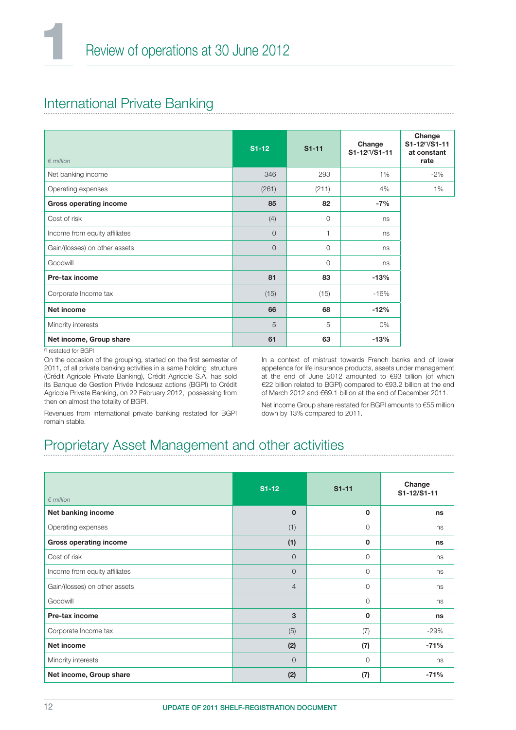### International Private Banking

| $\epsilon$ million            | $S1-12$ | $S1 - 11$ | Change<br>S1-12(*)/S1-11 | Change<br>S1-12(1)/S1-11<br>at constant<br>rate |
|-------------------------------|---------|-----------|--------------------------|-------------------------------------------------|
| Net banking income            | 346     | 293       | $1\%$                    | $-2%$                                           |
| Operating expenses            | (261)   | (211)     | 4%                       | 1%                                              |
| <b>Gross operating income</b> | 85      | 82        | $-7%$                    |                                                 |
| Cost of risk                  | (4)     | $\circ$   | ns                       |                                                 |
| Income from equity affiliates | $\circ$ | 1         | ns                       |                                                 |
| Gain/(losses) on other assets | $\circ$ | $\circ$   | ns                       |                                                 |
| Goodwill                      |         | $\circ$   | ns                       |                                                 |
| Pre-tax income                | 81      | 83        | $-13%$                   |                                                 |
| Corporate Income tax          | (15)    | (15)      | $-16%$                   |                                                 |
| Net income                    | 66      | 68        | $-12%$                   |                                                 |
| Minority interests            | 5       | 5         | 0%                       |                                                 |
| Net income, Group share       | 61      | 63        | $-13%$                   |                                                 |

(\*) restated for BGPI

On the occasion of the grouping, started on the first semester of 2011, of all private banking activities in a same holding structure (Crédit Agricole Private Banking), Crédit Agricole S.A. has sold its Banque de Gestion Privée Indosuez actions (BGPI) to Crédit Agricole Private Banking, on 22 February 2012, possessing from then on almost the totality of BGPI.

In a context of mistrust towards French banks and of lower appetence for life insurance products, assets under management at the end of June 2012 amounted to €93 billion (of which €22 billion related to BGPI) compared to €93.2 billion at the end of March 2012 and €69.1 billion at the end of December 2011.

Revenues from international private banking restated for BGPI remain stable.

Net income Group share restated for BGPI amounts to €55 million down by 13% compared to 2011.

### Proprietary Asset Management and other activities

| $\epsilon$ million            | $S1-12$        | $S1 - 11$ | Change<br>S1-12/S1-11 |
|-------------------------------|----------------|-----------|-----------------------|
| Net banking income            | $\mathbf{0}$   | 0         | ns                    |
| Operating expenses            | (1)            | $\Omega$  | ns                    |
| <b>Gross operating income</b> | (1)            | 0         | ns                    |
| Cost of risk                  | $\Omega$       | $\Omega$  | ns                    |
| Income from equity affiliates | $\Omega$       | $\circ$   | ns                    |
| Gain/(losses) on other assets | $\overline{4}$ | $\circ$   | ns                    |
| Goodwill                      |                | $\circ$   | ns                    |
| Pre-tax income                | 3              | 0         | ns                    |
| Corporate Income tax          | (5)            | (7)       | $-29%$                |
| Net income                    | (2)            | (7)       | $-71%$                |
| Minority interests            | $\Omega$       | $\Omega$  | ns                    |
| Net income, Group share       | (2)            | (7)       | $-71%$                |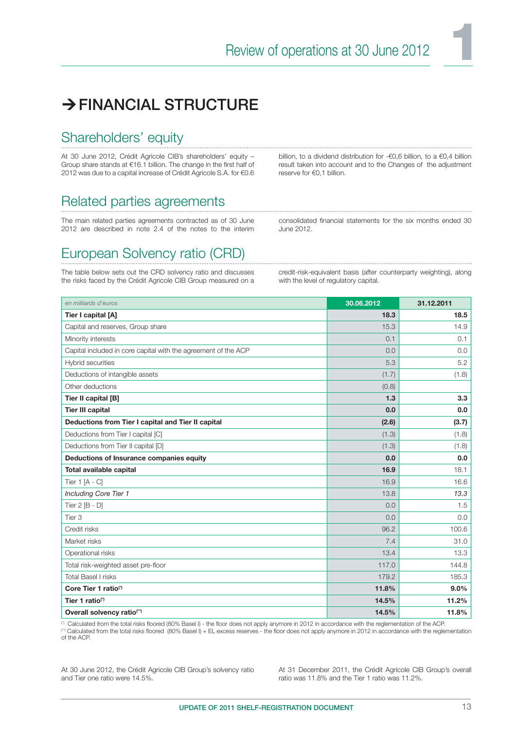### > FINANCIAL STRUCTURE

### Shareholders' equity

At 30 June 2012, Crédit Agricole CIB's shareholders' equity – Group share stands at €16.1 billion. The change in the first half of 2012 was due to a capital increase of Crédit Agricole S.A. for €0.6

billion, to a dividend distribution for -€0,6 billion, to a €0,4 billion result taken into account and to the Changes of the adjustment reserve for €0,1 billion.

### Related parties agreements

The main related parties agreements contracted as of 30 June 2012 are described in note 2.4 of the notes to the interim

consolidated financial statements for the six months ended 30 June 2012.

### European Solvency ratio (CRD)

The table below sets out the CRD solvency ratio and discusses the risks faced by the Crédit Agricole CIB Group measured on a credit-risk-equivalent basis (after counterparty weighting), along with the level of regulatory capital.

| en milliards d'euros                                           | 30.06.2012 | 31.12.2011 |
|----------------------------------------------------------------|------------|------------|
| Tier I capital [A]                                             | 18.3       | 18.5       |
| Capital and reserves, Group share                              | 15.3       | 14.9       |
| Minority interests                                             | 0.1        | 0.1        |
| Capital included in core capital with the agreement of the ACP | 0.0        | 0.0        |
| <b>Hybrid securities</b>                                       | 5.3        | 5.2        |
| Deductions of intangible assets                                | (1.7)      | (1.8)      |
| Other deductions                                               | (0.8)      |            |
| Tier II capital [B]                                            | 1.3        | 3.3        |
| <b>Tier III capital</b>                                        | 0.0        | 0.0        |
| Deductions from Tier I capital and Tier II capital             | (2.6)      | (3.7)      |
| Deductions from Tier I capital [C]                             | (1.3)      | (1.8)      |
| Deductions from Tier II capital [D]                            | (1.3)      | (1.8)      |
| Deductions of Insurance companies equity                       | 0.0        | 0.0        |
| <b>Total available capital</b>                                 | 16.9       | 18.1       |
| Tier 1 [A - C]                                                 | 16.9       | 16.6       |
| Including Core Tier 1                                          | 13.8       | 13.3       |
| Tier 2 [B - D]                                                 | 0.0        | 1.5        |
| Tier <sub>3</sub>                                              | 0.0        | 0.0        |
| Credit risks                                                   | 96.2       | 100.6      |
| Market risks                                                   | 7.4        | 31.0       |
| Operational risks                                              | 13.4       | 13.3       |
| Total risk-weighted asset pre-floor                            | 117.0      | 144.8      |
| <b>Total Basel I risks</b>                                     | 179.2      | 185.3      |
| Core Tier 1 ratio <sup>(*)</sup>                               | 11.8%      | 9.0%       |
| Tier 1 ratio <sup>(*)</sup>                                    | 14.5%      | 11.2%      |
| Overall solvency ratio <sup>(*)</sup>                          | 14.5%      | 11.8%      |

<sup>(7)</sup> Calculated from the total risks floored (80% Basel I) - the floor does not apply anymore in 2012 in accordance with the reglementation of the ACP.<br><sup>(\*)</sup> Calculated from the total risks floored (80% Basel I) + EL exce of the ACP.

At 30 June 2012, the Crédit Agricole CIB Group's solvency ratio and Tier one ratio were 14.5%.

At 31 December 2011, the Crédit Agricole CIB Group's overall ratio was 11.8% and the Tier 1 ratio was 11.2%.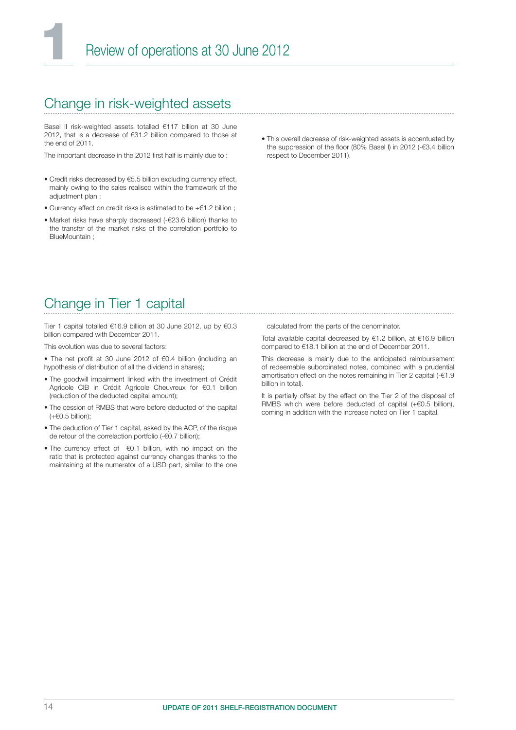### Change in risk-weighted assets

Basel II risk-weighted assets totalled €117 billion at 30 June 2012, that is a decrease of €31.2 billion compared to those at the end of 2011.

The important decrease in the 2012 first half is mainly due to:

- Credit risks decreased by €5.5 billion excluding currency effect, mainly owing to the sales realised within the framework of the adiustment plan :
- Currency effect on credit risks is estimated to be +€1.2 billion ;
- Market risks have sharply decreased (-€23.6 billion) thanks to the transfer of the market risks of the correlation portfolio to BlueMountain ;
- This overall decrease of risk-weighted assets is accentuated by the suppression of the floor (80% Basel I) in 2012 (- $€3.4$  billion respect to December 2011).

### Change in Tier 1 capital

Tier 1 capital totalled €16.9 billion at 30 June 2012, up by €0.3 billion compared with December 2011.

This evolution was due to several factors:

- The net profit at 30 June 2012 of €0.4 billion (including an hypothesis of distribution of all the dividend in shares);
- The goodwill impairment linked with the investment of Crédit Agricole CIB in Crédit Agricole Cheuvreux for €0.1 billion (reduction of the deducted capital amount);
- The cession of RMBS that were before deducted of the capital (+€0.5 billion);
- The deduction of Tier 1 capital, asked by the ACP, of the risque de retour of the correlaction portfolio (-€0.7 billion);
- The currency effect of €0.1 billion, with no impact on the ratio that is protected against currency changes thanks to the maintaining at the numerator of a USD part, similar to the one

calculated from the parts of the denominator.

Total available capital decreased by €1.2 billion, at €16.9 billion compared to €18.1 billion at the end of December 2011.

This decrease is mainly due to the anticipated reimbursement of redeemable subordinated notes, combined with a prudential amortisation effect on the notes remaining in Tier 2 capital (-€1.9 billion in total).

It is partially offset by the effect on the Tier 2 of the disposal of RMBS which were before deducted of capital (+€0.5 billion), coming in addition with the increase noted on Tier 1 capital.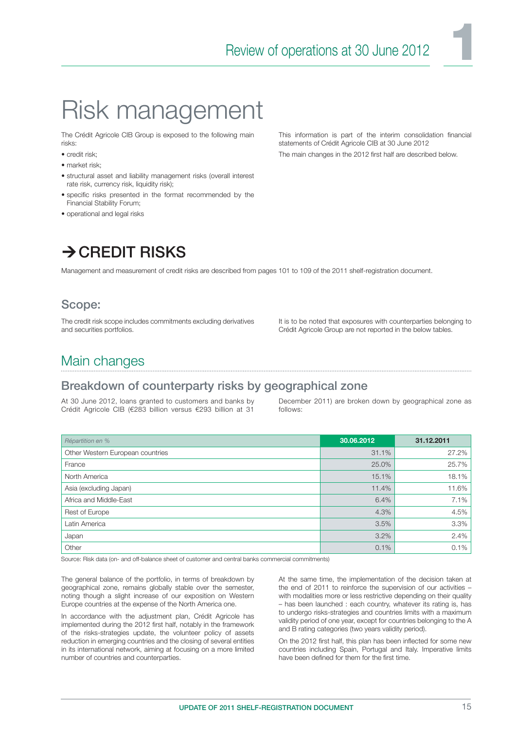# Risk management

The Crédit Agricole CIB Group is exposed to the following main risks:

- credit risk;
- market risk;
- structural asset and liability management risks (overall interest rate risk, currency risk, liquidity risk);
- specific risks presented in the format recommended by the Financial Stability Forum;
- operational and legal risks

This information is part of the interim consolidation financial statements of Crédit Agricole CIB at 30 June 2012 The main changes in the 2012 first half are described below.

### $\rightarrow$  CREDIT RISKS

Management and measurement of credit risks are described from pages 101 to 109 of the 2011 shelf-registration document.

### Scope:

The credit risk scope includes commitments excluding derivatives and securities portfolios.

It is to be noted that exposures with counterparties belonging to Crédit Agricole Group are not reported in the below tables.

### Main changes

### Breakdown of counterparty risks by geographical zone

At 30 June 2012, loans granted to customers and banks by Crédit Agricole CIB (€283 billion versus €293 billion at 31

December 2011) are broken down by geographical zone as follows:

| Répartition en %                 | 30.06.2012 | 31.12.2011 |
|----------------------------------|------------|------------|
| Other Western European countries | 31.1%      | 27.2%      |
| France                           | 25.0%      | 25.7%      |
| North America                    | 15.1%      | 18.1%      |
| Asia (excluding Japan)           | 11.4%      | 11.6%      |
| Africa and Middle-East           | 6.4%       | 7.1%       |
| Rest of Europe                   | 4.3%       | 4.5%       |
| Latin America                    | 3.5%       | 3.3%       |
| Japan                            | 3.2%       | 2.4%       |
| Other                            | 0.1%       | 0.1%       |

Source: Risk data (on- and off-balance sheet of customer and central banks commercial commitments)

The general balance of the portfolio, in terms of breakdown by geographical zone, remains globally stable over the semester, noting though a slight increase of our exposition on Western Europe countries at the expense of the North America one.

In accordance with the adjustment plan, Crédit Agricole has implemented during the 2012 first half, notably in the framework of the risks-strategies update, the volunteer policy of assets reduction in emerging countries and the closing of several entities in its international network, aiming at focusing on a more limited number of countries and counterparties.

At the same time, the implementation of the decision taken at the end of 2011 to reinforce the supervision of our activities – with modalities more or less restrictive depending on their quality – has been launched : each country, whatever its rating is, has to undergo risks-strategies and countries limits with a maximum validity period of one year, except for countries belonging to the A and B rating categories (two years validity period).

On the 2012 first half, this plan has been inflected for some new countries including Spain, Portugal and Italy. Imperative limits have been defined for them for the first time.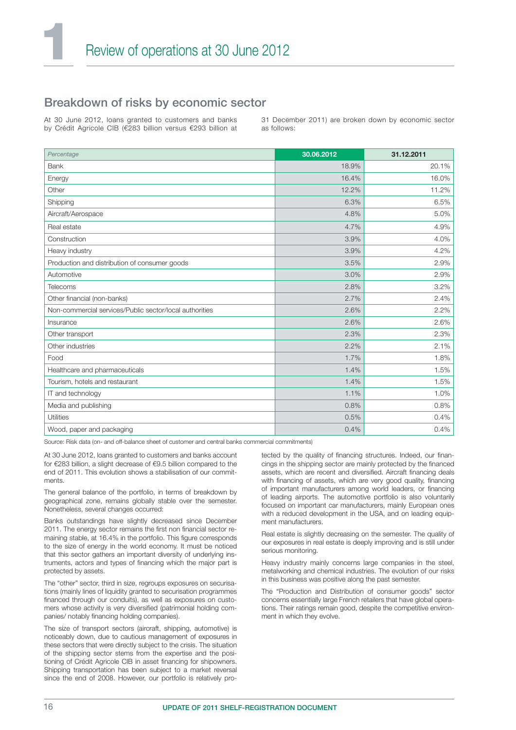### Breakdown of risks by economic sector

At 30 June 2012, loans granted to customers and banks by Crédit Agricole CIB (€283 billion versus €293 billion at 31 December 2011) are broken down by economic sector as follows:

| Percentage                                              | 30.06.2012 | 31.12.2011 |
|---------------------------------------------------------|------------|------------|
| <b>Bank</b>                                             | 18.9%      | 20.1%      |
| Energy                                                  | 16.4%      | 16.0%      |
| Other                                                   | 12.2%      | 11.2%      |
| Shipping                                                | 6.3%       | 6.5%       |
| Aircraft/Aerospace                                      | 4.8%       | 5.0%       |
| Real estate                                             | 4.7%       | 4.9%       |
| Construction                                            | 3.9%       | 4.0%       |
| Heavy industry                                          | 3.9%       | 4.2%       |
| Production and distribution of consumer goods           | 3.5%       | 2.9%       |
| Automotive                                              | 3.0%       | 2.9%       |
| Telecoms                                                | 2.8%       | 3.2%       |
| Other financial (non-banks)                             | 2.7%       | 2.4%       |
| Non-commercial services/Public sector/local authorities | 2.6%       | 2.2%       |
| Insurance                                               | 2.6%       | 2.6%       |
| Other transport                                         | 2.3%       | 2.3%       |
| Other industries                                        | 2.2%       | 2.1%       |
| Food                                                    | 1.7%       | 1.8%       |
| Healthcare and pharmaceuticals                          | 1.4%       | 1.5%       |
| Tourism, hotels and restaurant                          | 1.4%       | 1.5%       |
| IT and technology                                       | 1.1%       | 1.0%       |
| Media and publishing                                    | 0.8%       | 0.8%       |
| Utilities                                               | 0.5%       | 0.4%       |
| Wood, paper and packaging                               | 0.4%       | 0.4%       |

Source: Risk data (on- and off-balance sheet of customer and central banks commercial commitments)

At 30 June 2012, loans granted to customers and banks account for €283 billion, a slight decrease of €9.5 billion compared to the end of 2011. This evolution shows a stabilisation of our commitments.

The general balance of the portfolio, in terms of breakdown by geographical zone, remains globally stable over the semester. Nonetheless, several changes occurred:

Banks outstandings have slightly decreased since December 2011. The energy sector remains the first non financial sector remaining stable, at 16.4% in the portfolio. This figure corresponds to the size of energy in the world economy. It must be noticed that this sector gathers an important diversity of underlying instruments, actors and types of financing which the major part is protected by assets.

The "other" sector, third in size, regroups exposures on securisations (mainly lines of liquidity granted to securisation programmes financed through our conduits), as well as exposures on customers whose activity is very diversified (patrimonial holding companies/ notably financing holding companies).

The size of transport sectors (aircraft, shipping, automotive) is noticeably down, due to cautious management of exposures in these sectors that were directly subject to the crisis. The situation of the shipping sector stems from the expertise and the positioning of Crédit Agricole CIB in asset financing for shipowners. Shipping transportation has been subject to a market reversal since the end of 2008. However, our portfolio is relatively protected by the quality of financing structures. Indeed, our financings in the shipping sector are mainly protected by the financed assets, which are recent and diversified. Aircraft financing deals with financing of assets, which are very good quality, financing of important manufacturers among world leaders, or financing of leading airports. The automotive portfolio is also voluntarily focused on important car manufacturers, mainly European ones with a reduced development in the USA, and on leading equipment manufacturers.

Real estate is slightly decreasing on the semester. The quality of our exposures in real estate is deeply improving and is still under serious monitoring.

Heavy industry mainly concerns large companies in the steel, metalworking and chemical industries. The evolution of our risks in this business was positive along the past semester.

The "Production and Distribution of consumer goods" sector concerns essentially large French retailers that have global operations. Their ratings remain good, despite the competitive environment in which they evolve.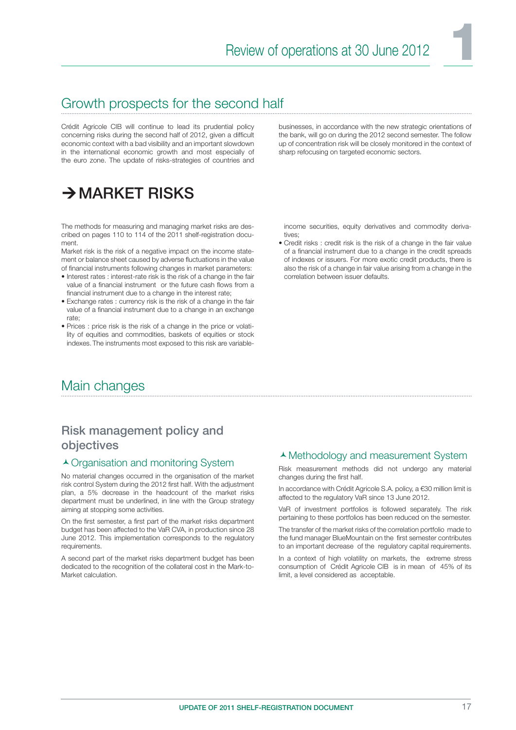### Growth prospects for the second half

Crédit Agricole CIB will continue to lead its prudential policy concerning risks during the second half of 2012, given a difficult economic context with a bad visibility and an important slowdown in the international economic growth and most especially of the euro zone. The update of risks-strategies of countries and businesses, in accordance with the new strategic orientations of the bank, will go on during the 2012 second semester. The follow up of concentration risk will be closely monitored in the context of sharp refocusing on targeted economic sectors.

### $\rightarrow$  MARKET RISKS

The methods for measuring and managing market risks are described on pages 110 to 114 of the 2011 shelf-registration document.

Market risk is the risk of a negative impact on the income statement or balance sheet caused by adverse fluctuations in the value of financial instruments following changes in market parameters:

- Interest rates : interest-rate risk is the risk of a change in the fair value of a financial instrument or the future cash flows from a financial instrument due to a change in the interest rate;
- Exchange rates : currency risk is the risk of a change in the fair value of a financial instrument due to a change in an exchange rate;
- Prices : price risk is the risk of a change in the price or volatility of equities and commodities, baskets of equities or stock indexes. The instruments most exposed to this risk are variable-

income securities, equity derivatives and commodity derivatives;

• Credit risks : credit risk is the risk of a change in the fair value of a financial instrument due to a change in the credit spreads of indexes or issuers. For more exotic credit products, there is also the risk of a change in fair value arising from a change in the correlation between issuer defaults.

### Main changes

### Risk management policy and objectives

#### ▲ Organisation and monitoring System

No material changes occurred in the organisation of the market risk control System during the 2012 first half. With the adjustment plan, a 5% decrease in the headcount of the market risks department must be underlined, in line with the Group strategy aiming at stopping some activities.

On the first semester, a first part of the market risks department budget has been affected to the VaR CVA, in production since 28 June 2012. This implementation corresponds to the regulatory requirements.

A second part of the market risks department budget has been dedicated to the recognition of the collateral cost in the Mark-to-Market calculation.

#### Methodology and measurement System

Risk measurement methods did not undergo any material changes during the first half.

In accordance with Crédit Agricole S.A. policy, a €30 million limit is affected to the regulatory VaR since 13 June 2012.

VaR of investment portfolios is followed separately. The risk pertaining to these portfolios has been reduced on the semester.

The transfer of the market risks of the correlation portfolio made to the fund manager BlueMountain on the first semester contributes to an important decrease of the regulatory capital requirements.

In a context of high volatility on markets, the extreme stress consumption of Crédit Agricole CIB is in mean of 45% of its limit, a level considered as acceptable.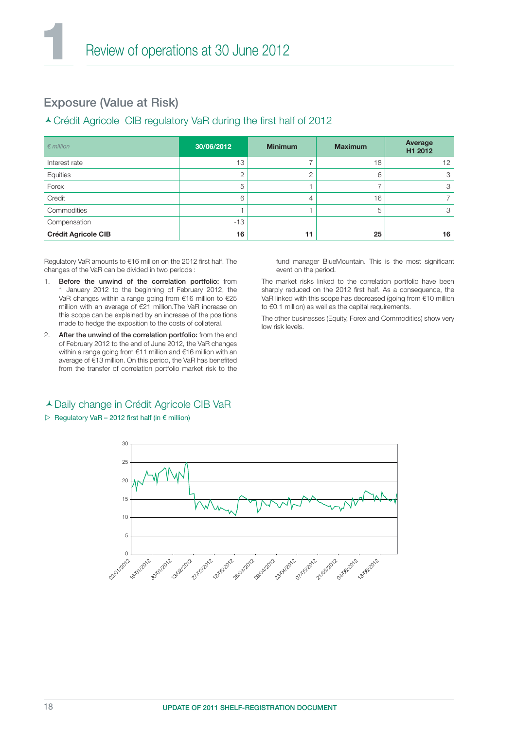### Exposure (Value at Risk)

#### ▲ Crédit Agricole CIB regulatory VaR during the first half of 2012

| $\epsilon$ million         | 30/06/2012 | <b>Minimum</b> | <b>Maximum</b> | Average<br>H1 2012 |
|----------------------------|------------|----------------|----------------|--------------------|
| Interest rate              | 13         |                | 18             | $12 \overline{ }$  |
| Equities                   | 2          | ⌒              | 6              | 3                  |
| Forex                      | 5          |                |                | З                  |
| Credit                     | 6          | 4              | 16             |                    |
| Commodities                |            |                | 5              | 3                  |
| Compensation               | $-13$      |                |                |                    |
| <b>Crédit Agricole CIB</b> | 16         | 11             | 25             | 16                 |

Regulatory VaR amounts to €16 million on the 2012 first half. The changes of the VaR can be divided in two periods :

- Before the unwind of the correlation portfolio: from 1 January 2012 to the beginning of February 2012, the VaR changes within a range going from €16 million to €25 million with an average of €21 million.The VaR increase on this scope can be explained by an increase of the positions made to hedge the exposition to the costs of collateral.
- 2. After the unwind of the correlation portfolio: from the end of February 2012 to the end of June 2012, the VaR changes within a range going from €11 million and €16 million with an average of €13 million. On this period, the VaR has benefited from the transfer of correlation portfolio market risk to the

fund manager BlueMountain. This is the most significant event on the period.

The market risks linked to the correlation portfolio have been sharply reduced on the 2012 first half. As a consequence, the VaR linked with this scope has decreased (going from €10 million to €0.1 million) as well as the capital requirements.

The other businesses (Equity, Forex and Commodities) show very low risk levels.

#### Daily change in Crédit Agricole CIB VaR

#### $\triangleright$  Regulatory VaR – 2012 first half (in  $\epsilon$  million)

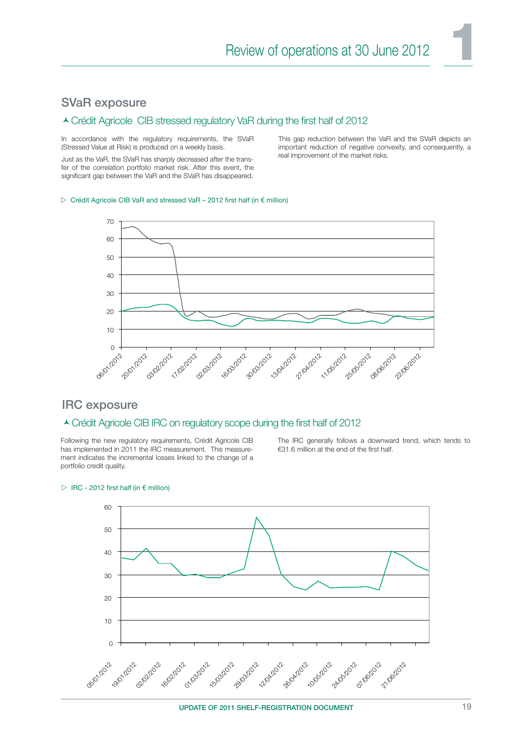#### SVaR exposure

#### Lorédit Agricole CIB stressed regulatory VaR during the first half of 2012

In accordance with the regulatory requirements, the SVaR (Stressed Value at Risk) is produced on a weekly basis.

Just as the VaR, the SVaR has sharply decreased after the transfer of the correlation portfolio market risk. After this event, the significant gap between the VaR and the SVaR has disappeared.

This gap reduction between the VaR and the SVaR depicts an important reduction of negative convexity, and consequently, a real improvement of the market risks.

#### $\triangleright$  Crédit Agricole CIB VaR and stressed VaR – 2012 first half (in  $\epsilon$  million)



#### IRC exposure

#### ▲ Crédit Agricole CIB IRC on regulatory scope during the first half of 2012

Following the new regulatory requirements, Crédit Agricole CIB has implemented in 2011 the IRC measurement. This measurement indicates the incremental losses linked to the change of a portfolio credit quality.

The IRC generally follows a downward trend, which tends to €31.6 million at the end of the first half.



#### $\triangleright$  IRC - 2012 first half (in  $\epsilon$  million)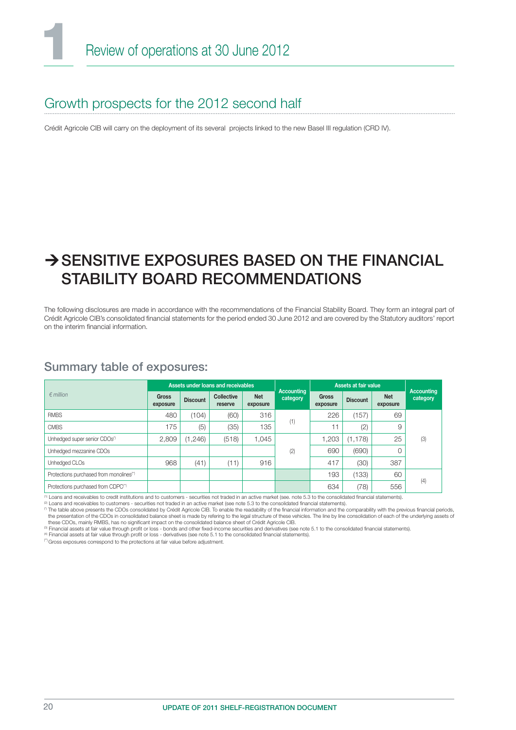### Growth prospects for the 2012 second half

Crédit Agricole CIB will carry on the deployment of its several projects linked to the new Basel III regulation (CRD IV).

### $\rightarrow$  SENSITIVE EXPOSURES BASED ON THE FINANCIAL STABILITY BOARD RECOMMENDATIONS

The following disclosures are made in accordance with the recommendations of the Financial Stability Board. They form an integral part of Crédit Agricole CIB's consolidated financial statements for the period ended 30 June 2012 and are covered by the Statutory auditors' report on the interim financial information.

### Summary table of exposures:

| $\epsilon$ million                                  | Assets under loans and receivables |                 |                              |                        | Accounting |                   | Assets at fair value |                        | <b>Accounting</b> |
|-----------------------------------------------------|------------------------------------|-----------------|------------------------------|------------------------|------------|-------------------|----------------------|------------------------|-------------------|
|                                                     | <b>Gross</b><br>exposure           | <b>Discount</b> | <b>Collective</b><br>reserve | <b>Net</b><br>exposure | category   | Gross<br>exposure | <b>Discount</b>      | <b>Net</b><br>exposure | category          |
| <b>RMBS</b>                                         | 480                                | (104)           | (60)                         | 316                    | (1)        | 226               | (157)                | 69                     |                   |
| <b>CMBS</b>                                         | 175                                | (5)             | (35)                         | 135                    |            | 11                | (2)                  | 9                      |                   |
| Unhedged super senior CDOs <sup>(1)</sup>           | 2,809                              | (1, 246)        | (518)                        | 1,045                  |            | 1,203             | (1, 178)             | 25                     | (3)               |
| Unhedged mezzanine CDOs                             |                                    |                 |                              |                        | (2)        | 690               | (690)                |                        |                   |
| Unhedged CLOs                                       | 968                                | (41)            | (11)                         | 916                    |            | 417               | (30)                 | 387                    |                   |
| Protections purchased from monolines <sup>(*)</sup> |                                    |                 |                              |                        |            | 193               | (133)                | 60                     |                   |
| Protections purchased from CDPC <sup>(*)</sup>      |                                    |                 |                              |                        |            | 634               | (78)                 | 556                    | (4)               |

 $(0.1)$  pans and receivables to credit institutions and to customers - securities not traded in an active market (see, note 5.3 to the consolidated financial statements).

(2) Loans and receivables to customers - securities not traded in an active market (see note 5.3 to the consolidated fi nancial statements).

(1) The table above presents the CDOs consolidated by Crédit Agricole CIB. To enable the readability of the financial information and the comparability with the previous financial periods, the presentation of the CDOs in consolidated balance sheet is made by refering to the legal structure of these vehicles. The line by line consolidation of each of the underlying assets of

these CDOs, mainly RMBS, has no significant impact on the consolidated balance sheet of Crédit Agricole CIB.<br>© Financial assets at fair value through profit or loss - bonds and other fixed-income securities and derivatives

(4) Financial assets at fair value through profit or loss - derivatives (see note 5.1 to the consolidated financial statements).

<sup>(\*)</sup> Gross exposures correspond to the protections at fair value before adjustment.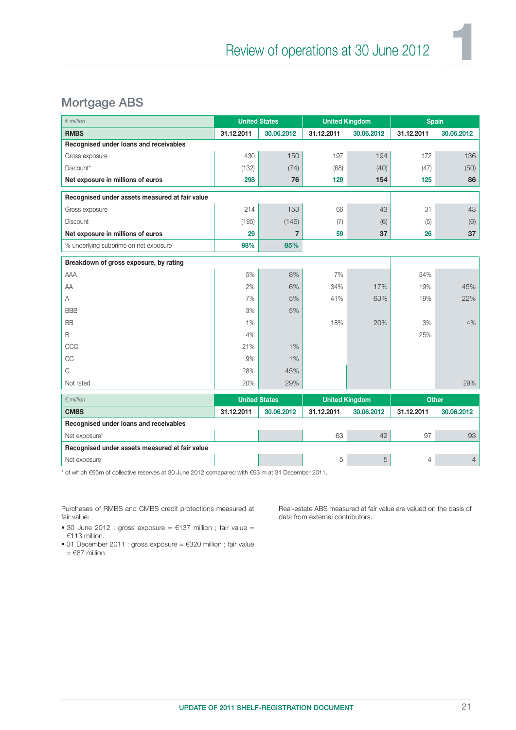### Mortgage ABS

| $\epsilon$ million                             |            | <b>United States</b> | <b>United Kingdom</b> |            | <b>Spain</b> |              |
|------------------------------------------------|------------|----------------------|-----------------------|------------|--------------|--------------|
| <b>RMBS</b>                                    | 31.12.2011 | 30.06.2012           | 31.12.2011            | 30.06.2012 | 31.12.2011   | 30.06.2012   |
| Recognised under loans and receivables         |            |                      |                       |            |              |              |
| Gross exposure                                 | 430        | 150                  | 197                   | 194        | 172          | 136          |
| Discount*                                      | (132)      | (74)                 | (68)                  | (40)       | (47)         | (50)         |
| Net exposure in millions of euros              | 298        | 76                   | 129                   | 154        | 125          | 86           |
| Recognised under assets measured at fair value |            |                      |                       |            |              |              |
| Gross exposure                                 | 214        | 153                  | 66                    | 43         | 31           | 43           |
| <b>Discount</b>                                | (185)      | (146)                | (7)                   | (6)        | (5)          | (6)          |
| Net exposure in millions of euros              | 29         | $\overline{7}$       | 59                    | 37         | 26           | 37           |
| % underlying subprime on net exposure          | 98%        | 85%                  |                       |            |              |              |
| Breakdown of gross exposure, by rating         |            |                      |                       |            |              |              |
| AAA                                            | 5%         | 8%                   | 7%                    |            | 34%          |              |
| AA                                             | 2%         | 6%                   | 34%                   | 17%        | 19%          | 45%          |
| Α                                              | 7%         | 5%                   | 41%                   | 63%        | 19%          | 22%          |
| <b>BBB</b>                                     | 3%         | 5%                   |                       |            |              |              |
| <b>BB</b>                                      | 1%         |                      | 18%                   | 20%        | 3%           | 4%           |
| B                                              | 4%         |                      |                       |            | 25%          |              |
| CCC                                            | 21%        | 1%                   |                       |            |              |              |
| CC                                             | 9%         | 1%                   |                       |            |              |              |
| C                                              | 28%        | 45%                  |                       |            |              |              |
| Not rated                                      | 20%        | 29%                  |                       |            |              | 29%          |
| $\epsilon$ million                             |            | <b>United States</b> | <b>United Kingdom</b> |            |              | <b>Other</b> |
| <b>CMBS</b>                                    | 31.12.2011 | 30.06.2012           | 31.12.2011            | 30.06.2012 | 31.12.2011   | 30.06.2012   |
| Recognised under loans and receivables         |            |                      |                       |            |              |              |
| Net exposure*                                  |            |                      | 63                    | 42         | 97           | 93           |
| Recognised under assets measured at fair value |            |                      |                       |            |              |              |
| Net exposure                                   |            |                      | 5                     | 5          | 4            | 4            |

\* of which €95m of collective reserves at 30 June 2012 comapared with €93 m at 31 December 2011.

Purchases of RMBS and CMBS credit protections measured at fair value:

Real-estate ABS measured at fair value are valued on the basis of data from external contributors.

• 30 June 2012 : gross exposure =  $£137$  million ; fair value = €113 million.

• 31 December 2011 : gross exposure = €320 million ; fair value  $= 687$  million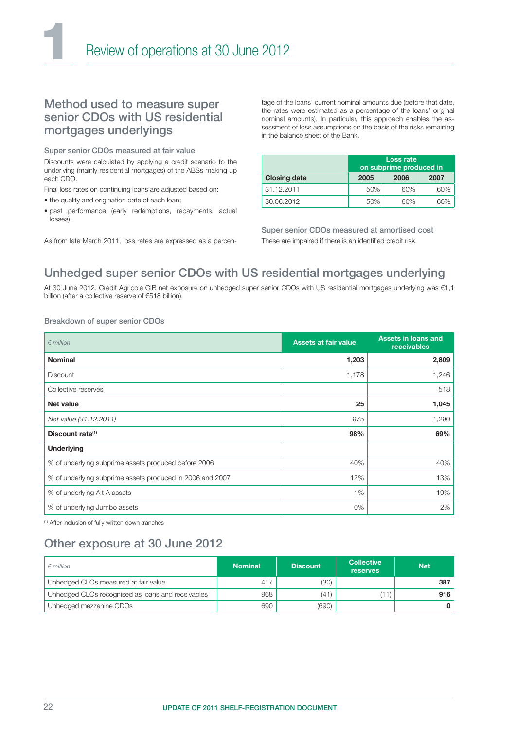#### Method used to measure super senior CDOs with US residential mortgages underlyings

Super senior CDOs measured at fair value

Discounts were calculated by applying a credit scenario to the underlying (mainly residential mortgages) of the ABSs making up each CDO.

Final loss rates on continuing loans are adjusted based on:

- the quality and origination date of each loan;
- past performance (early redemptions, repayments, actual losses).

As from late March 2011, loss rates are expressed as a percen-

tage of the loans' current nominal amounts due (before that date, the rates were estimated as a percentage of the loans' original nominal amounts). In particular, this approach enables the assessment of loss assumptions on the basis of the risks remaining in the balance sheet of the Bank.

|                     | Loss rate<br>on subprime produced in |      |      |  |  |
|---------------------|--------------------------------------|------|------|--|--|
| <b>Closing date</b> | 2005                                 | 2006 | 2007 |  |  |
| 31.12.2011          | 50%                                  | 60%  | 60%  |  |  |
| 30.06.2012          | 50%                                  | 60%  | 60%  |  |  |

Super senior CDOs measured at amortised cost These are impaired if there is an identified credit risk.

### Unhedged super senior CDOs with US residential mortgages underlying

At 30 June 2012, Crédit Agricole CIB net exposure on unhedged super senior CDOs with US residential mortgages underlying was €1,1 billion (after a collective reserve of €518 billion).

#### Breakdown of super senior CDOs

| $\epsilon$ million                                        | <b>Assets at fair value</b> | <b>Assets in loans and</b><br>receivables |
|-----------------------------------------------------------|-----------------------------|-------------------------------------------|
| <b>Nominal</b>                                            | 1,203                       | 2,809                                     |
| <b>Discount</b>                                           | 1,178                       | 1,246                                     |
| Collective reserves                                       |                             | 518                                       |
| <b>Net value</b>                                          | 25                          | 1,045                                     |
| Net value (31.12.2011)                                    | 975                         | 1,290                                     |
| Discount rate <sup>(1)</sup>                              | 98%                         | 69%                                       |
| <b>Underlying</b>                                         |                             |                                           |
| % of underlying subprime assets produced before 2006      | 40%                         | 40%                                       |
| % of underlying subprime assets produced in 2006 and 2007 | 12%                         | 13%                                       |
| % of underlying Alt A assets                              | 1%                          | 19%                                       |
| % of underlying Jumbo assets                              | 0%                          | 2%                                        |

(1) After inclusion of fully written down tranches

### Other exposure at 30 June 2012

| $\epsilon$ million                                | <b>Nominal</b> | <b>Discount</b> | <b>Collective</b><br><b>reserves</b> | <b>Net</b> |
|---------------------------------------------------|----------------|-----------------|--------------------------------------|------------|
| Unhedged CLOs measured at fair value              | 417            | (30)            |                                      | 387        |
| Unhedged CLOs recognised as loans and receivables | 968            | (41)            | (11)                                 | 916        |
| Unhedged mezzanine CDOs                           | 690            | (690)           |                                      |            |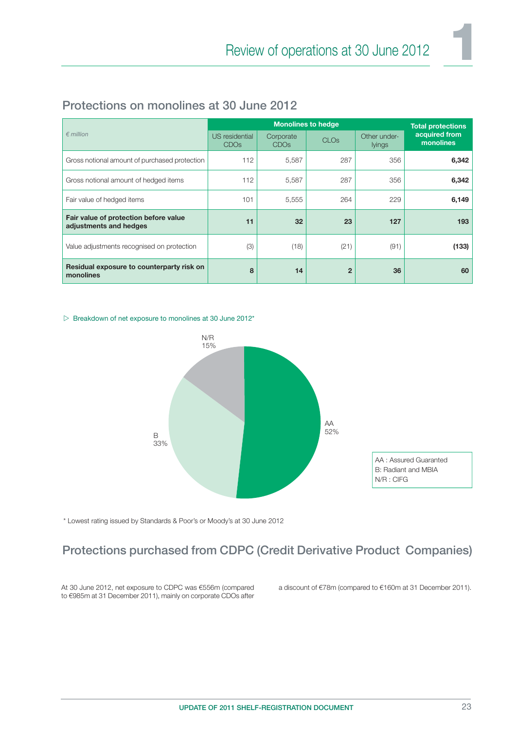|                                                                 |                                    | <b>Monolines to hedge</b>     |                        |                               |                            |  |
|-----------------------------------------------------------------|------------------------------------|-------------------------------|------------------------|-------------------------------|----------------------------|--|
| $\epsilon$ million                                              | US residential<br>CDO <sub>s</sub> | Corporate<br>CDO <sub>s</sub> | <b>CLO<sub>s</sub></b> | Other under-<br><b>lyings</b> | acquired from<br>monolines |  |
| Gross notional amount of purchased protection                   | 112                                | 5,587                         | 287                    | 356                           | 6,342                      |  |
| Gross notional amount of hedged items                           | 112                                | 5,587                         | 287                    | 356                           | 6,342                      |  |
| Fair value of hedged items                                      | 101                                | 5,555                         | 264                    | 229                           | 6,149                      |  |
| Fair value of protection before value<br>adjustments and hedges | 11                                 | 32                            | 23                     | 127                           | 193                        |  |
| Value adjustments recognised on protection                      | (3)                                | (18)                          | (21)                   | (91)                          | (133)                      |  |
| Residual exposure to counterparty risk on<br>monolines          | 8                                  | 14                            | $\overline{2}$         | 36                            | 60                         |  |

### Protections on monolines at 30 June 2012

#### $\triangleright$  Breakdown of net exposure to monolines at 30 June 2012\*



\* Lowest rating issued by Standards & Poor's or Moody's at 30 June 2012

### Protections purchased from CDPC (Credit Derivative Product Companies)

At 30 June 2012, net exposure to CDPC was €556m (compared to €985m at 31 December 2011), mainly on corporate CDOs after a discount of €78m (compared to €160m at 31 December 2011).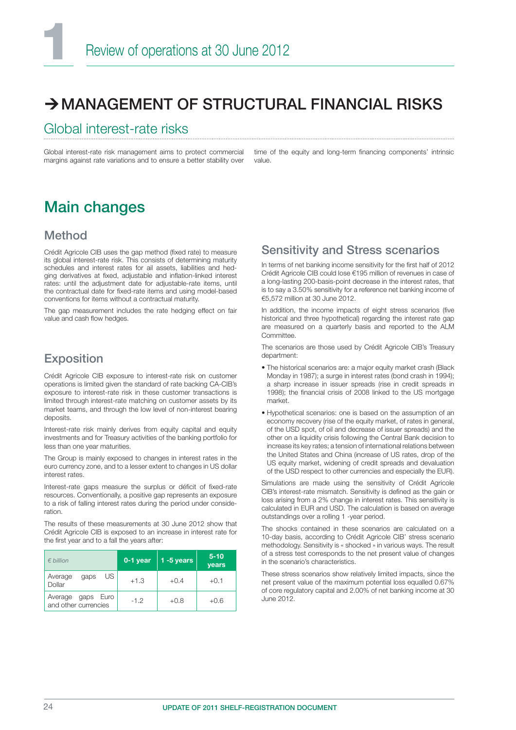### $\rightarrow$  MANAGEMENT OF STRUCTURAL FINANCIAL RISKS

### Global interest-rate risks

Global interest-rate risk management aims to protect commercial margins against rate variations and to ensure a better stability over time of the equity and long-term financing components' intrinsic value.

### Main changes

#### Method

Crédit Agricole CIB uses the gap method (fixed rate) to measure its global interest-rate risk. This consists of determining maturity schedules and interest rates for ail assets, liabilities and hedging derivatives at fixed, adjustable and inflation-linked interest rates: until the adjustment date for adjustable-rate items, until the contractual date for fixed-rate items and using model-based conventions for items without a contractual maturity.

The gap measurement includes the rate hedging effect on fair value and cash flow hedges.

### Exposition

Crédit Agricole CIB exposure to interest-rate risk on customer operations is limited given the standard of rate backing CA-CIB's exposure to interest-rate risk in these customer transactions is limited through interest-rate matching on customer assets by its market teams, and through the low level of non-interest bearing deposits.

Interest-rate risk mainly derives from equity capital and equity investments and for Treasury activities of the banking portfolio for less than one year maturities.

The Group is mainly exposed to changes in interest rates in the euro currency zone, and to a lesser extent to changes in US dollar interest rates.

Interest-rate gaps measure the surplus or déficit of fixed-rate resources. Conventionally, a positive gap represents an exposure to a risk of falling interest rates during the period under consideration.

The results of these measurements at 30 June 2012 show that Crédit Agricole CIB is exposed to an increase in interest rate for the first year and to a fall the years after:

| $\n  hillion\n$                              | 0-1 year | $1 - 5$ years | $5 - 10$<br><b>vears</b> |
|----------------------------------------------|----------|---------------|--------------------------|
| US.<br>Average<br>gaps<br>Dollar             | $+1.3$   | $+0.4$        | $+0.1$                   |
| Average gaps<br>Euro<br>and other currencies | $-1.2$   | $+0.8$        | $+0.6$                   |

#### Sensitivity and Stress scenarios

In terms of net banking income sensitivity for the first half of 2012 Crédit Agricole CIB could lose €195 million of revenues in case of a long-lasting 200-basis-point decrease in the interest rates, that is to say a 3.50% sensitivity for a reference net banking income of €5,572 million at 30 June 2012.

In addition, the income impacts of eight stress scenarios (five historical and three hypothetical) regarding the interest rate gap are measured on a quarterly basis and reported to the ALM **Committee** 

The scenarios are those used by Crédit Agricole CIB's Treasury department:

- The historical scenarios are: a major equity market crash (Black Monday in 1987); a surge in interest rates (bond crash in 1994); a sharp increase in issuer spreads (rise in credit spreads in 1998); the financial crisis of 2008 linked to the US mortgage market.
- Hypothetical scenarios: one is based on the assumption of an economy recovery (rise of the equity market, of rates in general, of the USD spot, of oil and decrease of issuer spreads) and the other on a liquidity crisis following the Central Bank decision to increase its key rates; a tension of international relations between the United States and China (increase of US rates, drop of the US equity market, widening of credit spreads and devaluation of the USD respect to other currencies and especially the EUR).

Simulations are made using the sensitivity of Crédit Agricole CIB's interest-rate mismatch. Sensitivity is defined as the gain or loss arising from a 2% change in interest rates. This sensitivity is calculated in EUR and USD. The calculation is based on average outstandings over a rolling 1 -year period.

The shocks contained in these scenarios are calculated on a 10-day basis, according to Crédit Agricole CIB' stress scenario methodology. Sensitivity is « shocked » in various ways. The result of a stress test corresponds to the net present value of changes in the scenario's characteristics.

These stress scenarios show relatively limited impacts, since the net present value of the maximum potential loss equalled 0.67% of core regulatory capital and 2.00% of net banking income at 30 June 2012.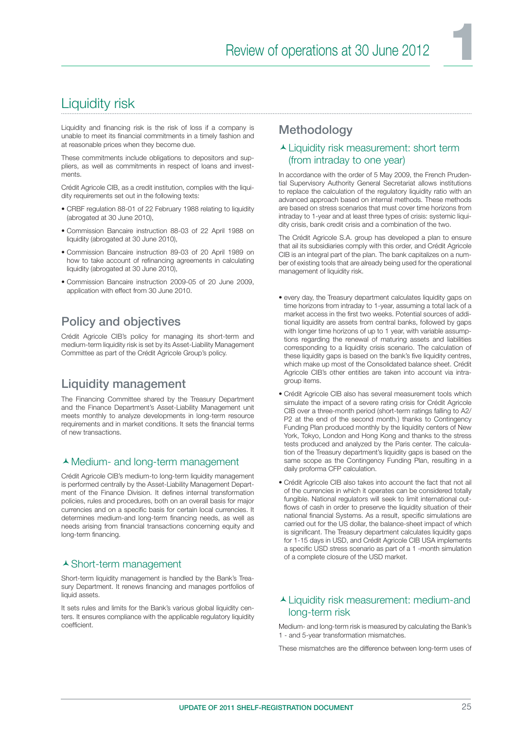### Liquidity risk

Liquidity and financing risk is the risk of loss if a company is unable to meet its financial commitments in a timely fashion and at reasonable prices when they become due.

These commitments include obligations to depositors and suppliers, as well as commitments in respect of loans and investments.

Crédit Agricole CIB, as a credit institution, complies with the liquidity requirements set out in the following texts:

- CRBF regulation 88-01 of 22 February 1988 relating to liquidity (abrogated at 30 June 2010),
- Commission Bancaire instruction 88-03 of 22 April 1988 on liquidity (abrogated at 30 June 2010),
- Commission Bancaire instruction 89-03 of 20 April 1989 on how to take account of refinancing agreements in calculating liquidity (abrogated at 30 June 2010),
- Commission Bancaire instruction 2009-05 of 20 June 2009, application with effect from 30 June 2010.

### Policy and objectives

Crédit Agricole CIB's policy for managing its short-term and medium-term liquidity risk is set by its Asset-Liability Management Committee as part of the Crédit Agricole Group's policy.

### Liquidity management

The Financing Committee shared by the Treasury Department and the Finance Department's Asset-Liability Management unit meets monthly to analyze developments in long-term resource requirements and in market conditions. It sets the financial terms of new transactions.

#### Medium- and long-term management

Crédit Agricole CIB's medium-to long-term liquidity management is performed centrally by the Asset-Liability Management Department of the Finance Division. It defines internal transformation policies, rules and procedures, both on an overall basis for major currencies and on a specific basis for certain local currencies. It determines medium-and long-term financing needs, as well as needs arising from financial transactions concerning equity and long-term financing.

#### ▲ Short-term management

Short-term liquidity management is handled by the Bank's Treasury Department. It renews financing and manages portfolios of liquid assets.

It sets rules and limits for the Bank's various global liquidity centers. It ensures compliance with the applicable regulatory liquidity coefficient

#### **Methodology**

#### Liquidity risk measurement: short term (from intraday to one year)

In accordance with the order of 5 May 2009, the French Prudential Supervisory Authority General Secretariat allows institutions to replace the calculation of the regulatory liquidity ratio with an advanced approach based on internal methods. These methods are based on stress scenarios that must cover time horizons from intraday to 1-year and at least three types of crisis: systemic liquidity crisis, bank credit crisis and a combination of the two.

The Crédit Agricole S.A. group has developed a plan to ensure that ail its subsidiaries comply with this order, and Crédit Agricole CIB is an integral part of the plan. The bank capitalizes on a number of existing tools that are already being used for the operational management of liquidity risk.

- every day, the Treasury department calculates liquidity gaps on time horizons from intraday to 1-year, assuming a total lack of a market access in the first two weeks. Potential sources of additional liquidity are assets from central banks, followed by gaps with longer time horizons of up to 1 year, with variable assumptions regarding the renewal of maturing assets and liabilities corresponding to a liquidity crisis scenario. The calculation of these liquidity gaps is based on the bank's five liquidity centres, which make up most of the Consolidated balance sheet. Crédit Agricole CIB's other entities are taken into account via intragroup items.
- Crédit Agricole CIB also has several measurement tools which simulate the impact of a severe rating crisis for Crédit Agricole CIB over a three-month period (short-term ratings falling to A2/ P2 at the end of the second month.) thanks to Contingency Funding Plan produced monthly by the liquidity centers of New York, Tokyo, London and Hong Kong and thanks to the stress tests produced and analyzed by the Paris center. The calculation of the Treasury department's liquidity gaps is based on the same scope as the Contingency Funding Plan, resulting in a daily proforma CFP calculation.
- Crédit Agricole CIB also takes into account the fact that not ail of the currencies in which it operates can be considered totally fungible. National regulators will seek to limit international outflows of cash in order to preserve the liquidity situation of their national financial Systems. As a result, specific simulations are carried out for the US dollar, the balance-sheet impact of which is significant. The Treasury department calculates liquidity gaps for 1-15 days in USD, and Crédit Agricole CIB USA implements a specific USD stress scenario as part of a 1 -month simulation of a complete closure of the USD market.

#### Liquidity risk measurement: medium-and long-term risk

Medium- and long-term risk is measured by calculating the Bank's 1 - and 5-year transformation mismatches.

These mismatches are the difference between long-term uses of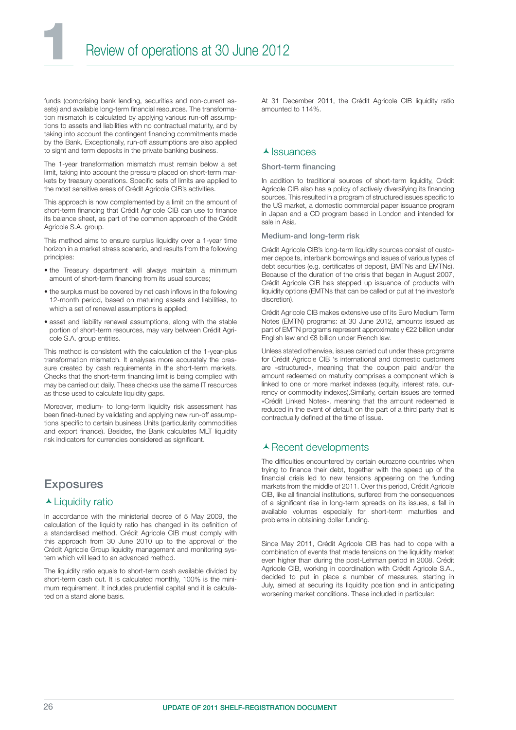funds (comprising bank lending, securities and non-current assets) and available long-term financial resources. The transformation mismatch is calculated by applying various run-off assumptions to assets and liabilities with no contractual maturity, and by taking into account the contingent financing commitments made by the Bank. Exceptionally, run-off assumptions are also applied to sight and term deposits in the private banking business.

The 1-year transformation mismatch must remain below a set limit, taking into account the pressure placed on short-term markets by treasury operations. Specific sets of limits are applied to the most sensitive areas of Crédit Agricole CIB's activities.

This approach is now complemented by a limit on the amount of short-term financing that Crédit Agricole CIB can use to finance its balance sheet, as part of the common approach of the Crédit Agricole S.A. group.

This method aims to ensure surplus liquidity over a 1-year time horizon in a market stress scenario, and results from the following principles:

- the Treasury department will always maintain a minimum amount of short-term financing from its usual sources;
- the surplus must be covered by net cash inflows in the following 12-month period, based on maturing assets and liabilities, to which a set of renewal assumptions is applied;
- asset and liability renewal assumptions, along with the stable portion of short-term resources, may vary between Crédit Agricole S.A. group entities.

This method is consistent with the calculation of the 1-year-plus transformation mismatch. It analyses more accurately the pressure created by cash requirements in the short-term markets. Checks that the short-term financing limit is being complied with may be carried out daily. These checks use the same IT resources as those used to calculate liquidity gaps.

Moreover, medium- to long-term liquidity risk assessment has been fined-tuned by validating and applying new run-off assumptions specific to certain business Units (particularity commodities and export finance). Besides, the Bank calculates MLT liquidity risk indicators for currencies considered as significant.

#### **Exposures**

#### ▲ Liquidity ratio

In accordance with the ministerial decree of 5 May 2009, the calculation of the liquidity ratio has changed in its definition of a standardised method. Crédit Agricole CIB must comply with this approach from 30 June 2010 up to the approval of the Crédit Agricole Group liquidity management and monitoring system which will lead to an advanced method.

The liquidity ratio equals to short-term cash available divided by short-term cash out. It is calculated monthly, 100% is the minimum requirement. It includes prudential capital and it is calculated on a stand alone basis.

At 31 December 2011, the Crédit Agricole CIB liquidity ratio amounted to 114%.

#### $\blacktriangle$  Issuances

#### Short-term financing

In addition to traditional sources of short-term liquidity, Crédit Agricole CIB also has a policy of actively diversifying its financing sources. This resulted in a program of structured issues specific to the US market, a domestic commercial paper issuance program in Japan and a CD program based in London and intended for sale in Asia.

#### Medium-and long-term risk

Crédit Agricole CIB's long-term liquidity sources consist of customer deposits, interbank borrowings and issues of various types of debt securities (e.g. certificates of deposit, BMTNs and EMTNs). Because of the duration of the crisis that began in August 2007, Crédit Agricole CIB has stepped up issuance of products with liquidity options (EMTNs that can be called or put at the investor's discretion).

Crédit Agricole CIB makes extensive use of its Euro Medium Term Notes (EMTN) programs: at 30 June 2012, amounts issued as part of EMTN programs represent approximately €22 billion under English law and €8 billion under French law.

Unless stated otherwise, issues carried out under these programs for Crédit Agricole CIB 's international and domestic customers are «structured», meaning that the coupon paid and/or the amount redeemed on maturity comprises a component which is linked to one or more market indexes (equity, interest rate, currency or commodity indexes).Similarly, certain issues are termed «Crédit Linked Notes», meaning that the amount redeemed is reduced in the event of default on the part of a third party that is contractually defined at the time of issue.

#### ▲ Recent developments

The difficulties encountered by certain eurozone countries when trying to finance their debt, together with the speed up of the financial crisis led to new tensions appearing on the funding markets from the middle of 2011. Over this period, Crédit Agricole CIB, like all financial institutions, suffered from the consequences of a significant rise in long-term spreads on its issues, a fall in available volumes especially for short-term maturities and problems in obtaining dollar funding.

Since May 2011, Crédit Agricole CIB has had to cope with a combination of events that made tensions on the liquidity market even higher than during the post-Lehman period in 2008. Crédit Agricole CIB, working in coordination with Crédit Agricole S.A., decided to put in place a number of measures, starting in July, aimed at securing its liquidity position and in anticipating worsening market conditions. These included in particular: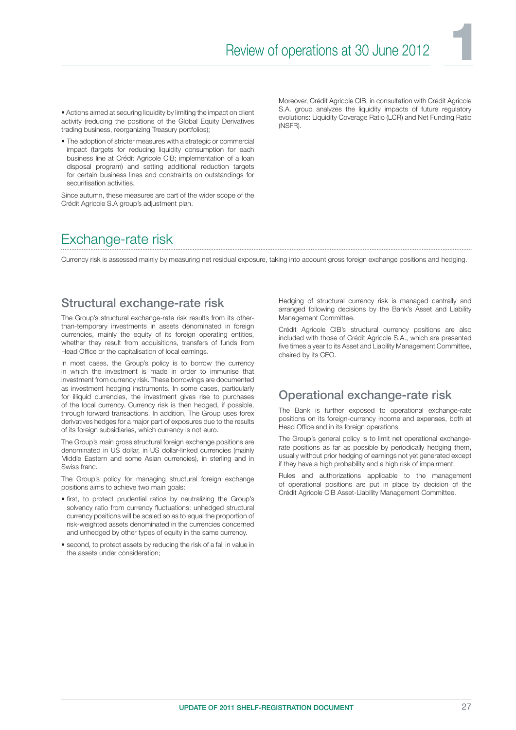• Actions aimed at securing liquidity by limiting the impact on client activity (reducing the positions of the Global Equity Derivatives trading business, reorganizing Treasury portfolios);

• The adoption of stricter measures with a strategic or commercial impact (targets for reducing liquidity consumption for each business line at Crédit Agricole CIB; implementation of a loan disposal program) and setting additional reduction targets for certain business lines and constraints on outstandings for securitisation activities.

Since autumn, these measures are part of the wider scope of the Crédit Agricole S.A group's adjustment plan.

Moreover, Crédit Agricole CIB, in consultation with Crédit Agricole S.A. group analyzes the liquidity impacts of future regulatory evolutions: Liquidity Coverage Ratio (LCR) and Net Funding Ratio (NSFR).

### Exchange-rate risk

Currency risk is assessed mainly by measuring net residual exposure, taking into account gross foreign exchange positions and hedging.

#### Structural exchange-rate risk

The Group's structural exchange-rate risk results from its otherthan-temporary investments in assets denominated in foreign currencies, mainly the equity of its foreign operating entities, whether they result from acquisitions, transfers of funds from Head Office or the capitalisation of local earnings.

In most cases, the Group's policy is to borrow the currency in which the investment is made in order to immunise that investment from currency risk. These borrowings are documented as investment hedging instruments. In some cases, particularly for illiquid currencies, the investment gives rise to purchases of the local currency. Currency risk is then hedged, if possible, through forward transactions. In addition, The Group uses forex derivatives hedges for a major part of exposures due to the results of its foreign subsidiaries, which currency is not euro.

The Group's main gross structural foreign exchange positions are denominated in US dollar, in US dollar-linked currencies (mainly Middle Eastern and some Asian currencies), in sterling and in Swiss franc.

The Group's policy for managing structural foreign exchange positions aims to achieve two main goals:

- first, to protect prudential ratios by neutralizing the Group's solvency ratio from currency fluctuations; unhedged structural currency positions will be scaled so as to equal the proportion of risk-weighted assets denominated in the currencies concerned and unhedged by other types of equity in the same currency.
- second, to protect assets by reducing the risk of a fall in value in the assets under consideration;

Hedging of structural currency risk is managed centrally and arranged following decisions by the Bank's Asset and Liability Management Committee.

Crédit Agricole CIB's structural currency positions are also included with those of Crédit Agricole S.A., which are presented five times a year to its Asset and Liability Management Committee, chaired by its CEO.

#### Operational exchange-rate risk

The Bank is further exposed to operational exchange-rate positions on its foreign-currency income and expenses, both at Head Office and in its foreign operations.

The Group's general policy is to limit net operational exchangerate positions as far as possible by periodically hedging them, usually without prior hedging of earnings not yet generated except if they have a high probability and a high risk of impairment.

Rules and authorizations applicable to the management of operational positions are put in place by decision of the Crédit Agricole CIB Asset-Liability Management Committee.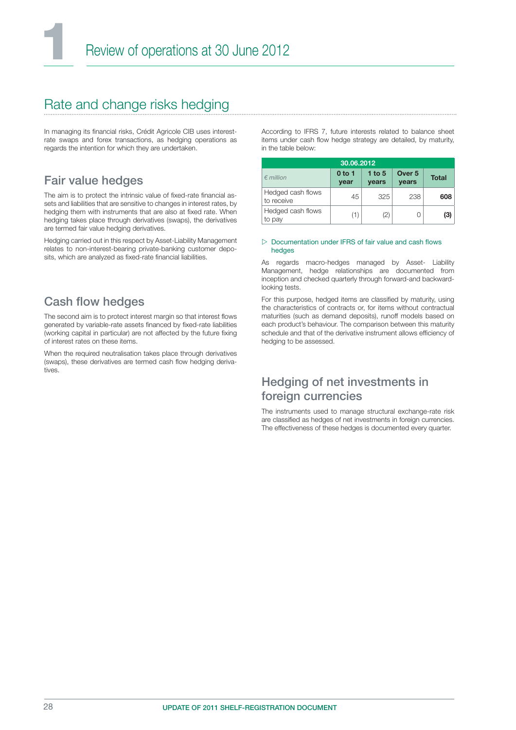### Rate and change risks hedging

In managing its financial risks, Crédit Agricole CIB uses interestrate swaps and forex transactions, as hedging operations as regards the intention for which they are undertaken.

### Fair value hedges

The aim is to protect the intrinsic value of fixed-rate financial assets and liabilities that are sensitive to changes in interest rates, by hedging them with instruments that are also at fixed rate. When hedging takes place through derivatives (swaps), the derivatives are termed fair value hedging derivatives.

Hedging carried out in this respect by Asset-Liability Management relates to non-interest-bearing private-banking customer deposits, which are analyzed as fixed-rate financial liabilities.

### **Cash flow hedges**

The second aim is to protect interest margin so that interest flows generated by variable-rate assets financed by fixed-rate liabilities (working capital in particular) are not affected by the future fixing of interest rates on these items.

When the required neutralisation takes place through derivatives (swaps), these derivatives are termed cash flow hedging derivatives.

According to IFRS 7, future interests related to balance sheet items under cash flow hedge strategy are detailed, by maturity, in the table below:

|                                 | 30.06.2012                |                          |                                   |              |
|---------------------------------|---------------------------|--------------------------|-----------------------------------|--------------|
| $\n  emillion\n$                | 0 <sub>to 1</sub><br>year | 1 to $5$<br><b>vears</b> | Over <sub>5</sub><br><b>vears</b> | <b>Total</b> |
| Hedged cash flows<br>to receive | 45                        | 325                      | 238                               | 608          |
| Hedged cash flows<br>to pay     | (1)                       | (2)                      |                                   | (3)          |

#### $\triangleright$  Documentation under IFRS of fair value and cash flows hedges

As regards macro-hedges managed by Asset- Liability Management, hedge relationships are documented from inception and checked quarterly through forward-and backwardlooking tests.

For this purpose, hedged items are classified by maturity, using the characteristics of contracts or, for items without contractual maturities (such as demand deposits), runoff models based on each product's behaviour. The comparison between this maturity schedule and that of the derivative instrument allows efficiency of hedging to be assessed.

### Hedging of net investments in foreign currencies

The instruments used to manage structural exchange-rate risk are classified as hedges of net investments in foreign currencies. The effectiveness of these hedges is documented every quarter.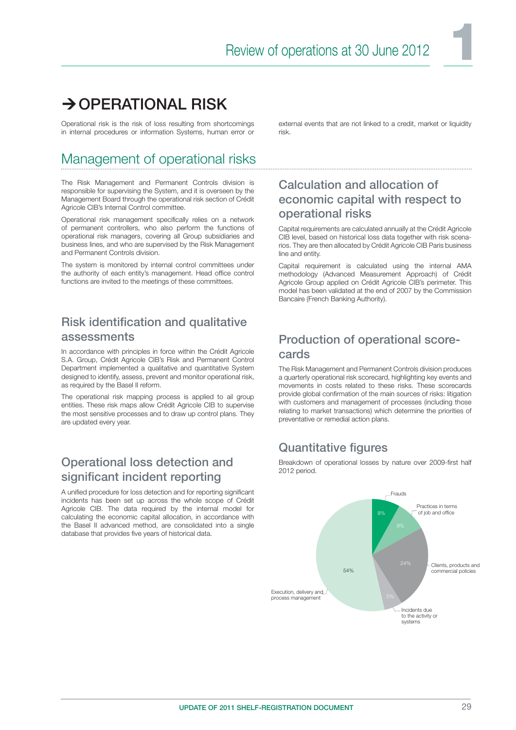### $\rightarrow$  OPERATIONAL RISK

Operational risk is the risk of loss resulting from shortcomings in internal procedures or information Systems, human error or

### Management of operational risks

The Risk Management and Permanent Controls division is responsible for supervising the System, and it is overseen by the Management Board through the operational risk section of Crédit Agricole CIB's Internal Control committee.

Operational risk management specifically relies on a network of permanent controllers, who also perform the functions of operational risk managers, covering all Group subsidiaries and business lines, and who are supervised by the Risk Management and Permanent Controls division.

The system is monitored by internal control committees under the authority of each entity's management. Head office control functions are invited to the meetings of these committees.

### Risk identification and qualitative assessments

In accordance with principles in force within the Crédit Agricole S.A. Group, Crédit Agricole CIB's Risk and Permanent Control Department implemented a qualitative and quantitative System designed to identify, assess, prevent and monitor operational risk, as required by the Basel II reform.

The operational risk mapping process is applied to ail group entities. These risk maps allow Crédit Agricole CIB to supervise the most sensitive processes and to draw up control plans. They are updated every year.

### Operational loss detection and significant incident reporting

A unified procedure for loss detection and for reporting significant incidents has been set up across the whole scope of Crédit Agricole CIB. The data required by the internal model for calculating the economic capital allocation, in accordance with the Basel II advanced method, are consolidated into a single database that provides five years of historical data.

external events that are not linked to a credit, market or liquidity risk.

### Calculation and allocation of economic capital with respect to operational risks

Capital requirements are calculated annually at the Crédit Agricole CIB level, based on historical loss data together with risk scenarios. They are then allocated by Crédit Agricole CIB Paris business line and entity.

Capital requirement is calculated using the internal AMA methodology (Advanced Measurement Approach) of Crédit Agricole Group applied on Crédit Agricole CIB's perimeter. This model has been validated at the end of 2007 by the Commission Bancaire (French Banking Authority).

### Production of operational scorecards

The Risk Management and Permanent Controls division produces a quarterly operational risk scorecard, highlighting key events and movements in costs related to these risks. These scorecards provide global confirmation of the main sources of risks: litigation with customers and management of processes (including those relating to market transactions) which determine the priorities of preventative or remedial action plans.

### Quantitative figures

Breakdown of operational losses by nature over 2009-first half 2012 period.

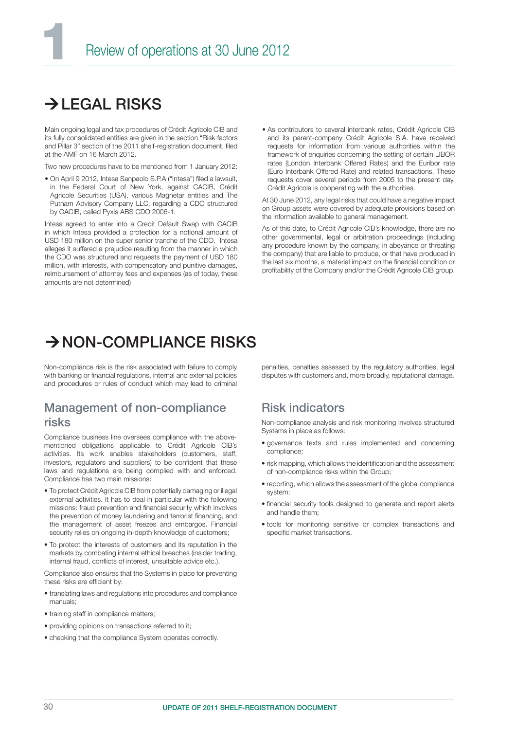### $\rightarrow$ I FGAL RISKS

Main ongoing legal and tax procedures of Crédit Agricole CIB and its fully consolidated entities are given in the section "Risk factors and Pillar 3" section of the 2011 shelf-registration document, filed at the AMF on 16 March 2012.

Two new procedures have to be mentioned from 1 January 2012:

• On April 9 2012, Intesa Sanpaolo S.P.A ("Intesa") filed a lawsuit, in the Federal Court of New York, against CACIB, Crédit Agricole Securities (USA), various Magnetar entities and The Putnam Advisory Company LLC, regarding a CDO structured by CACIB, called Pyxis ABS CDO 2006-1.

Intesa agreed to enter into a Credit Default Swap with CACIB in which Intesa provided a protection for a notional amount of USD 180 million on the super senior tranche of the CDO. Intesa alleges it suffered a prejudice resulting from the manner in which the CDO was structured and requests the payment of USD 180 million, with interests, with compensatory and punitive damages, reimbursement of attorney fees and expenses (as of today, these amounts are not determined)

• As contributors to several interbank rates, Crédit Agricole CIB and its parent-company Crédit Agricole S.A. have received requests for information from various authorities within the framework of enquiries concerning the setting of certain LIBOR rates (London Interbank Offered Rates) and the Euribor rate (Euro Interbank Offered Rate) and related transactions. These requests cover several periods from 2005 to the present day. Crédit Agricole is cooperating with the authorities.

At 30 June 2012, any legal risks that could have a negative impact on Group assets were covered by adequate provisions based on the information available to general management.

As of this date, to Crédit Agricole CIB's knowledge, there are no other governmental, legal or arbitration proceedings (including any procedure known by the company, in abeyance or threating the company) that are liable to produce, or that have produced in the last six months, a material impact on the financial condition or profitability of the Company and/or the Crédit Agricole CIB group.

### $\rightarrow$  NON-COMPLIANCE RISKS

Non-compliance risk is the risk associated with failure to comply with banking or financial regulations, internal and external policies and procedures or rules of conduct which may lead to criminal

#### Management of non-compliance risks

Compliance business line oversees compliance with the abovementioned obligations applicable to Crédit Agricole CIB's activities. Its work enables stakeholders (customers, staff, investors, regulators and suppliers) to be confident that these laws and regulations are being complied with and enforced. Compliance has two main missions:

- To protect Crédit Agricole CIB from potentially damaging or illegal external activities. It has to deal in particular with the following missions: fraud prevention and financial security which involves the prevention of money laundering and terrorist financing, and the management of asset freezes and embargos. Financial security relies on ongoing in-depth knowledge of customers;
- To protect the interests of customers and its reputation in the markets by combating internal ethical breaches (insider trading, internal fraud, conflicts of interest, unsuitable advice etc.).

Compliance also ensures that the Systems in place for preventing these risks are efficient by:

- translating laws and regulations into procedures and compliance manuals;
- training staff in compliance matters:
- providing opinions on transactions referred to it;
- checking that the compliance System operates correctly.

penalties, penalties assessed by the regulatory authorities, legal disputes with customers and, more broadly, reputational damage.

#### Risk indicators

Non-compliance analysis and risk monitoring involves structured Systems in place as follows:

- governance texts and rules implemented and concerning compliance;
- risk mapping, which allows the identification and the assessment of non-compliance risks within the Group;
- reporting, which allows the assessment of the global compliance system;
- financial security tools designed to generate and report alerts and handle them;
- tools for monitoring sensitive or complex transactions and specific market transactions.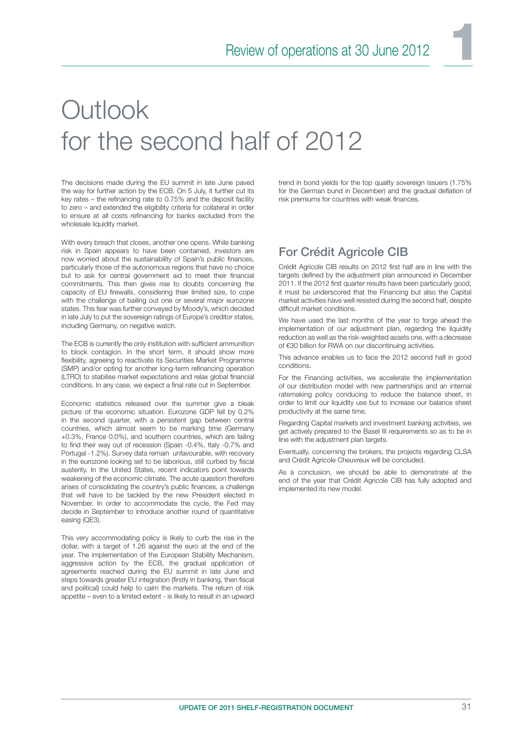# **Outlook** for the second half of 2012

The decisions made during the EU summit in late June paved the way for further action by the ECB. On 5 July, it further cut its key rates – the refinancing rate to  $0.75\%$  and the deposit facility to zero – and extended the eligibility criteria for collateral in order to ensure at all costs refinancing for banks excluded from the wholesale liquidity market.

With every breach that closes, another one opens. While banking risk in Spain appears to have been contained, investors are now worried about the sustainability of Spain's public finances, particularly those of the autonomous regions that have no choice but to ask for central government aid to meet their financial commitments. This then gives rise to doubts concerning the capacity of EU firewalls, considering their limited size, to cope with the challenge of bailing out one or several major eurozone states. This fear was further conveyed by Moody's, which decided in late July to put the sovereign ratings of Europe's creditor states, including Germany, on negative watch.

The ECB is currently the only institution with sufficient ammunition to block contagion. In the short term, it should show more flexibility, agreeing to reactivate its Securities Market Programme (SMP) and/or opting for another long-term refinancing operation (LTRO) to stabilise market expectations and relax global financial conditions. In any case, we expect a final rate cut in September.

Economic statistics released over the summer give a bleak picture of the economic situation. Eurozone GDP fell by 0.2% in the second quarter, with a persistent gap between central countries, which almost seem to be marking time (Germany +0.3%, France 0.0%), and southern countries, which are failing to find their way out of recession (Spain -0.4%, Italy -0.7% and Portugal -1.2%). Survey data remain unfavourable, with recovery in the eurozone looking set to be laborious, still curbed by fiscal austerity. In the United States, recent indicators point towards weakening of the economic climate. The acute question therefore arises of consolidating the country's public finances, a challenge that will have to be tackled by the new President elected in November. In order to accommodate the cycle, the Fed may decide in September to introduce another round of quantitative easing (QE3).

This very accommodating policy is likely to curb the rise in the dollar, with a target of 1.26 against the euro at the end of the year. The implementation of the European Stability Mechanism, aggressive action by the ECB, the gradual application of agreements reached during the EU summit in late June and steps towards greater EU integration (firstly in banking, then fiscal and political) could help to calm the markets. The return of risk appetite – even to a limited extent - is likely to result in an upward trend in bond yields for the top quality sovereign issuers (1.75% for the German bund in December) and the gradual deflation of risk premiums for countries with weak finances.

### For Crédit Agricole CIB

Crédit Agricole CIB results on 2012 first half are in line with the targets defined by the adjustment plan announced in December 2011. If the 2012 first quarter results have been particularly good, it must be underscored that the Financing but also the Capital market activities have well resisted during the second half, despite difficult market conditions.

We have used the last months of the year to forge ahead the implementation of our adjustment plan, regarding the liquidity reduction as well as the risk-weighted assets one, with a decrease of €30 billion for RWA on our discontinuing activities.

This advance enables us to face the 2012 second half in good conditions.

For the Financing activities, we accelerate the implementation of our distribution model with new partnerships and an internal ratemaking policy conducing to reduce the balance sheet, in order to limit our liquidity use but to increase our balance sheet productivity at the same time.

Regarding Capital markets and investment banking activities, we get actively prepared to the Basel III requirements so as to be in line with the adjustment plan targets.

Eventually, concerning the brokers, the projects regarding CLSA and Crédit Agricole Cheuvreux will be concluded.

As a conclusion, we should be able to demonstrate at the end of the year that Crédit Agricole CIB has fully adopted and implemented its new model.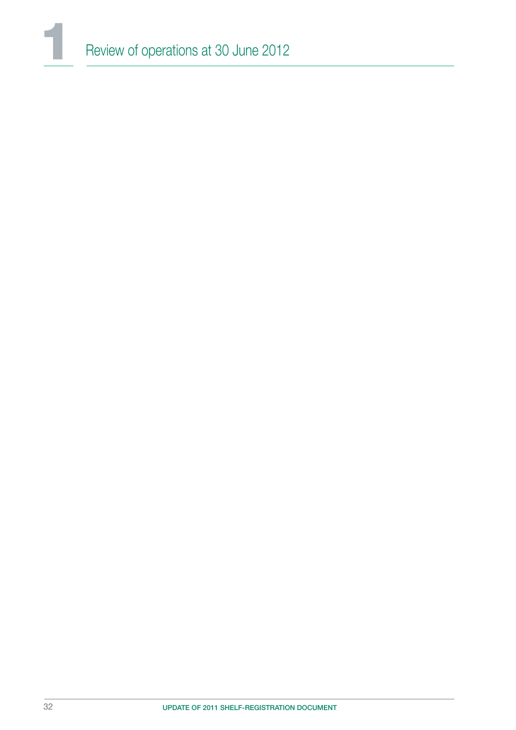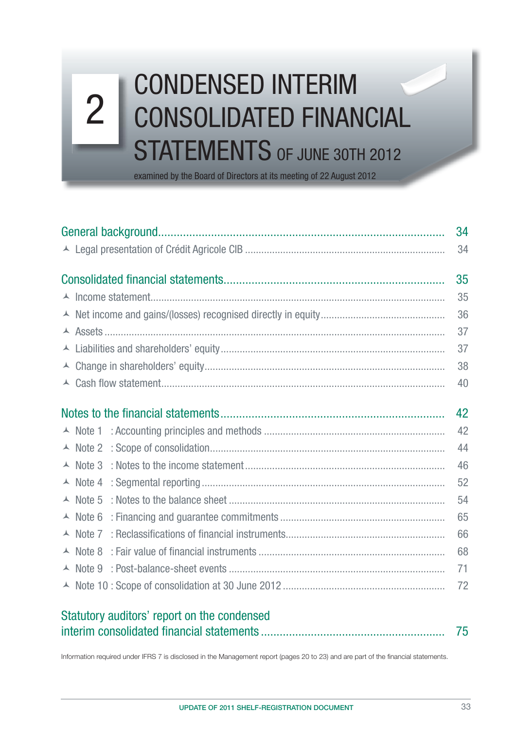# Consolidated fi nancial statements at 30 june 2012 2 CONDENSED INTERIM 2 CONSOLIDATED FINANCIAL STATEMENTS OF JUNE 30TH 2012

examined by the Board of Directors at its meeting of 22 August 2012

|                    | 34 |
|--------------------|----|
|                    | 34 |
|                    | 35 |
|                    | 35 |
|                    | 36 |
|                    | 37 |
|                    | 37 |
|                    | 38 |
|                    | 40 |
|                    | 42 |
| $\lambda$ Note 1   | 42 |
| $\triangle$ Note 2 | 44 |
| $\triangle$ Note 3 | 46 |
| $\triangle$ Note 4 | 52 |
| $\triangle$ Note 5 | 54 |
| $\triangle$ Note 6 | 65 |
| $\triangle$ Note 7 | 66 |
| $\triangle$ Note 8 | 68 |
| $\triangle$ Note 9 | 71 |
|                    | 72 |
|                    |    |

| Statutory auditors' report on the condensed |  |
|---------------------------------------------|--|
|                                             |  |

Information required under IFRS 7 is disclosed in the Management report (pages 20 to 23) and are part of the financial statements.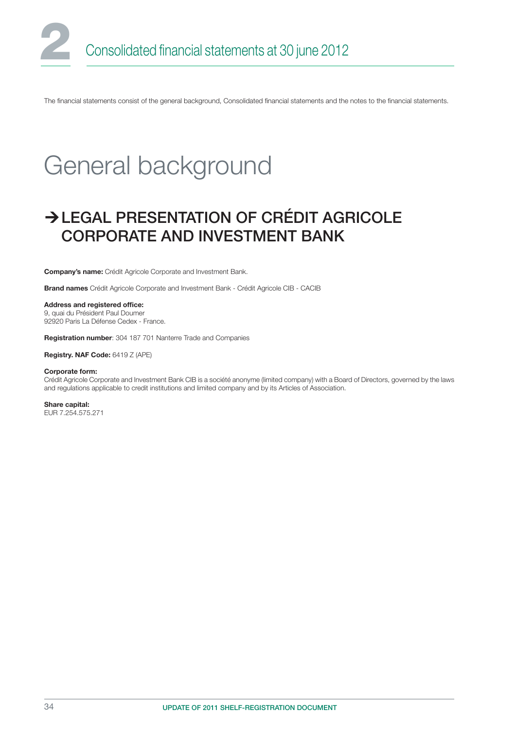The financial statements consist of the general background, Consolidated financial statements and the notes to the financial statements.

# General background

### LEGAL PRESENTATION OF CRÉDIT AGRICOLE CORPORATE AND INVESTMENT BANK

Company's name: Crédit Agricole Corporate and Investment Bank.

Brand names Crédit Agricole Corporate and Investment Bank - Crédit Agricole CIB - CACIB

Address and registered office:

9, quai du Président Paul Doumer 92920 Paris La Défense Cedex - France.

Registration number: 304 187 701 Nanterre Trade and Companies

Registry. NAF Code: 6419 Z (APE)

#### Corporate form:

Crédit Agricole Corporate and Investment Bank CIB is a société anonyme (limited company) with a Board of Directors, governed by the laws and regulations applicable to credit institutions and limited company and by its Articles of Association.

Share capital: EUR 7.254.575.271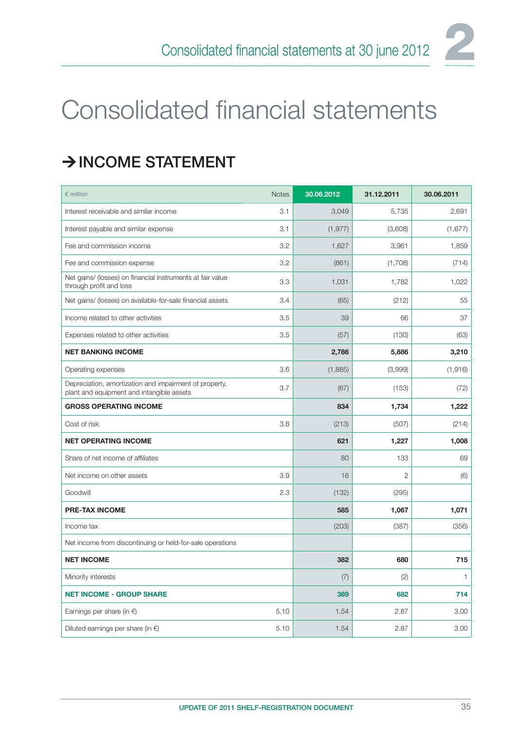# Consolidated financial statements

## $\rightarrow$  INCOME STATEMENT

| $\epsilon$ million                                                                                  | <b>Notes</b> | 30.06.2012 | 31.12.2011     | 30.06.2011   |
|-----------------------------------------------------------------------------------------------------|--------------|------------|----------------|--------------|
| Interest receivable and similar income                                                              | 3.1          | 3,049      | 5,735          | 2,691        |
| Interest payable and similar expense                                                                | 3.1          | (1, 977)   | (3,608)        | (1,677)      |
| Fee and commission income                                                                           | 3.2          | 1,627      | 3,961          | 1,859        |
| Fee and commission expense                                                                          | 3.2          | (861)      | (1,708)        | (714)        |
| Net gains/ (losses) on financial instruments at fair value<br>through profit and loss               | 3.3          | 1,031      | 1,782          | 1,022        |
| Net gains/ (losses) on available-for-sale financial assets                                          | 3.4          | (65)       | (212)          | 55           |
| Income related to other activities                                                                  | 3.5          | 39         | 66             | 37           |
| Expenses related to other activities                                                                | 3.5          | (57)       | (130)          | (63)         |
| <b>NET BANKING INCOME</b>                                                                           |              | 2,786      | 5,886          | 3,210        |
| Operating expenses                                                                                  | 3.6          | (1,885)    | (3,999)        | (1,916)      |
| Depreciation, amortization and impairment of property,<br>plant and equipment and intangible assets | 3.7          | (67)       | (153)          | (72)         |
| <b>GROSS OPERATING INCOME</b>                                                                       |              | 834        | 1,734          | 1,222        |
| Cost of risk                                                                                        | 3.8          | (213)      | (507)          | (214)        |
| <b>NET OPERATING INCOME</b>                                                                         |              | 621        | 1,227          | 1,008        |
| Share of net income of affiliates                                                                   |              | 80         | 133            | 69           |
| Net income on other assets                                                                          | 3.9          | 16         | $\overline{2}$ | (6)          |
| Goodwill                                                                                            | 2.3          | (132)      | (295)          |              |
| <b>PRE-TAX INCOME</b>                                                                               |              | 585        | 1,067          | 1,071        |
| Income tax                                                                                          |              | (203)      | (387)          | (356)        |
| Net income from discontinuing or held-for-sale operations                                           |              |            |                |              |
| <b>NET INCOME</b>                                                                                   |              | 382        | 680            | 715          |
| Minority interests                                                                                  |              | (7)        | (2)            | $\mathbf{1}$ |
| <b>NET INCOME - GROUP SHARE</b>                                                                     |              | 389        | 682            | 714          |
| Earnings per share (in $\epsilon$ )                                                                 | 5.10         | 1.54       | 2.87           | 3.00         |
| Diluted earnings per share (in $\epsilon$ )                                                         | 5.10         | 1.54       | 2.87           | 3.00         |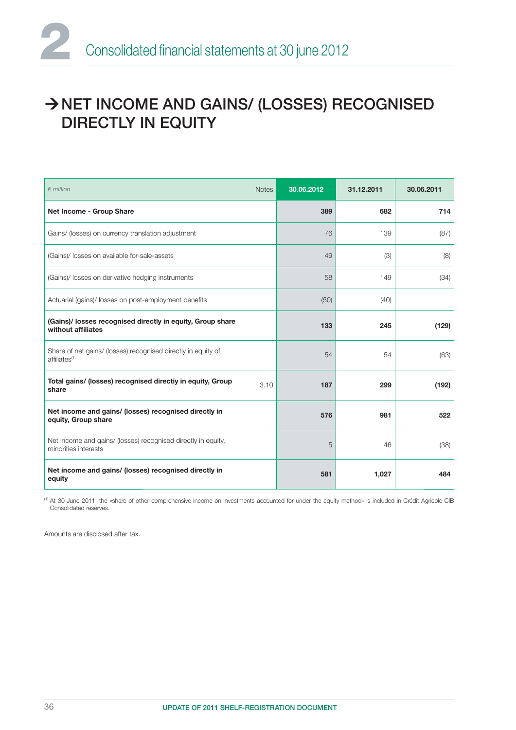## → NET INCOME AND GAINS/ (LOSSES) RECOGNISED DIRECTLY IN EQUITY

| $\epsilon$ million                                                                         | <b>Notes</b> | 30.06.2012 | 31.12.2011 | 30.06.2011 |
|--------------------------------------------------------------------------------------------|--------------|------------|------------|------------|
| Net Income - Group Share                                                                   |              | 389        | 682        | 714        |
| Gains/ (losses) on currency translation adjustment                                         |              | 76         | 139        | (87)       |
| (Gains)/ losses on available for-sale-assets                                               |              | 49         | (3)        | (8)        |
| (Gains)/ losses on derivative hedging instruments                                          |              | 58         | 149        | (34)       |
| Actuarial (gains)/ losses on post-employment benefits                                      |              | (50)       | (40)       |            |
| (Gains)/ losses recognised directly in equity, Group share<br>without affiliates           |              | 133        | 245        | (129)      |
| Share of net gains/ (losses) recognised directly in equity of<br>affiliates <sup>(1)</sup> |              | 54         | 54         | (63)       |
| Total gains/ (losses) recognised directiy in equity, Group<br>share                        | 3.10         | 187        | 299        | (192)      |
| Net income and gains/ (losses) recognised directly in<br>equity, Group share               |              | 576        | 981        | 522        |
| Net income and gains/ (losses) recognised directly in equity,<br>minorities interests      |              | 5          | 46         | (38)       |
| Net income and gains/ (losses) recognised directly in<br>equity                            |              | 581        | 1,027      | 484        |

(1) At 30 June 2011, the «share of other comprehensive income on investments accounted for under the equity method» is included in Crédit Agricole CIB Consolidated reserves.

Amounts are disclosed after tax.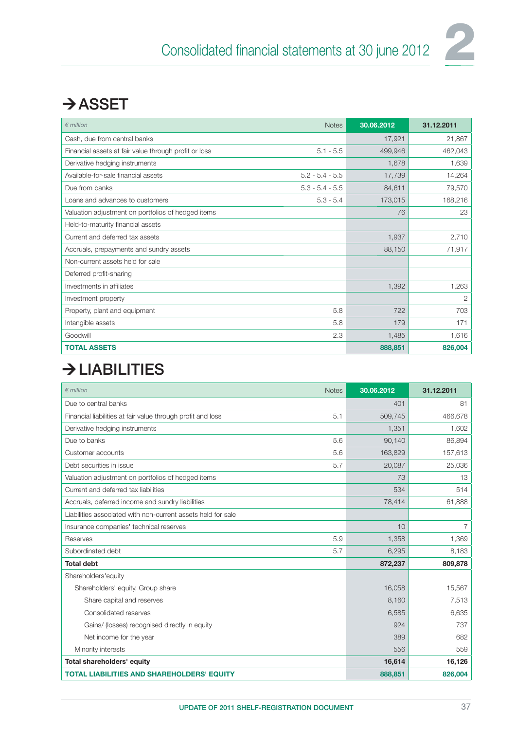

## $\rightarrow$  ASSET

| $\notin$ million                                      | <b>Notes</b>      | 30.06.2012 | 31.12.2011 |
|-------------------------------------------------------|-------------------|------------|------------|
| Cash, due from central banks                          |                   | 17,921     | 21,867     |
| Financial assets at fair value through profit or loss | $5.1 - 5.5$       | 499.946    | 462,043    |
| Derivative hedging instruments                        |                   | 1,678      | 1,639      |
| Available-for-sale financial assets                   | $5.2 - 5.4 - 5.5$ | 17,739     | 14,264     |
| Due from banks                                        | $5.3 - 5.4 - 5.5$ | 84,611     | 79,570     |
| Loans and advances to customers                       | $5.3 - 5.4$       | 173,015    | 168,216    |
| Valuation adjustment on portfolios of hedged items    |                   | 76         | 23         |
| Held-to-maturity financial assets                     |                   |            |            |
| Current and deferred tax assets                       |                   | 1,937      | 2,710      |
| Accruals, prepayments and sundry assets               |                   | 88,150     | 71,917     |
| Non-current assets held for sale                      |                   |            |            |
| Deferred profit-sharing                               |                   |            |            |
| Investments in affiliates                             |                   | 1,392      | 1,263      |
| Investment property                                   |                   |            | 2          |
| Property, plant and equipment                         | 5.8               | 722        | 703        |
| Intangible assets                                     | 5.8               | 179        | 171        |
| Goodwill                                              | 2.3               | 1,485      | 1,616      |
| <b>TOTAL ASSETS</b>                                   |                   | 888,851    | 826,004    |

## $\rightarrow$  LIABILITIES

| $\epsilon$ million<br><b>Notes</b>                                 | 30.06.2012 | 31.12.2011     |
|--------------------------------------------------------------------|------------|----------------|
| Due to central banks                                               | 401        | 81             |
| Financial liabilities at fair value through profit and loss<br>5.1 | 509,745    | 466,678        |
| Derivative hedging instruments                                     | 1,351      | 1,602          |
| Due to banks<br>5.6                                                | 90,140     | 86,894         |
| 5.6<br>Customer accounts                                           | 163,829    | 157,613        |
| Debt securities in issue<br>5.7                                    | 20,087     | 25,036         |
| Valuation adjustment on portfolios of hedged items                 | 73         | 13             |
| Current and deferred tax liabilities                               | 534        | 514            |
| Accruals, deferred income and sundry liabilities                   | 78,414     | 61,888         |
| Liabilities associated with non-current assets held for sale       |            |                |
| Insurance companies' technical reserves                            | 10         | $\overline{7}$ |
| 5.9<br>Reserves                                                    | 1,358      | 1,369          |
| Subordinated debt<br>5.7                                           | 6,295      | 8,183          |
| <b>Total debt</b>                                                  | 872,237    | 809,878        |
| Shareholders'equity                                                |            |                |
| Shareholders' equity, Group share                                  | 16,058     | 15,567         |
| Share capital and reserves                                         | 8,160      | 7,513          |
| Consolidated reserves                                              | 6,585      | 6,635          |
| Gains/ (losses) recognised directly in equity                      | 924        | 737            |
| Net income for the year                                            | 389        | 682            |
| Minority interests                                                 | 556        | 559            |
| Total shareholders' equity                                         | 16,614     | 16,126         |
| <b>TOTAL LIABILITIES AND SHAREHOLDERS' EQUITY</b>                  | 888,851    | 826,004        |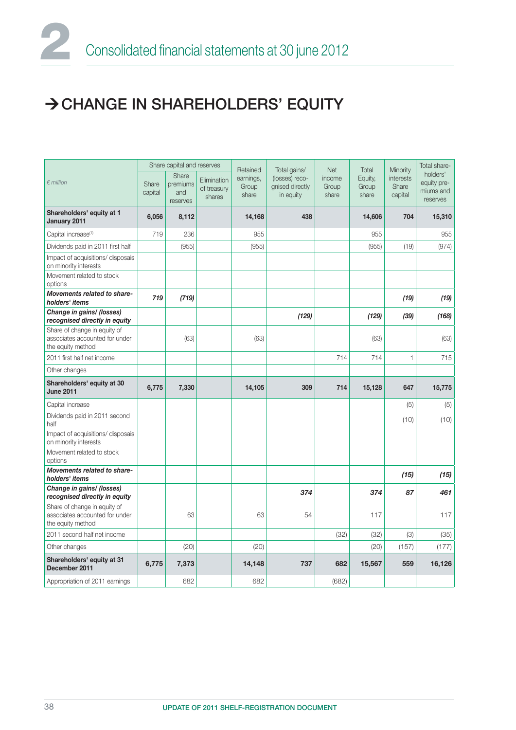## CHANGE IN SHAREHOLDERS' EQUITY

|                                                                                     |                  | Share capital and reserves           |                                      | Retained                    | Total gains/                                   | <b>Net</b>               | Total                     | Minority                      | Total share-                                     |
|-------------------------------------------------------------------------------------|------------------|--------------------------------------|--------------------------------------|-----------------------------|------------------------------------------------|--------------------------|---------------------------|-------------------------------|--------------------------------------------------|
| $\notin$ million                                                                    | Share<br>capital | Share<br>premiums<br>and<br>reserves | Elimination<br>of treasury<br>shares | earnings,<br>Group<br>share | (losses) reco-<br>gnised directly<br>in equity | income<br>Group<br>share | Equity,<br>Group<br>share | interests<br>Share<br>capital | holders'<br>equity pre-<br>miums and<br>reserves |
| Shareholders' equity at 1<br>January 2011                                           | 6,056            | 8,112                                |                                      | 14,168                      | 438                                            |                          | 14,606                    | 704                           | 15,310                                           |
| Capital increase <sup>(1)</sup>                                                     | 719              | 236                                  |                                      | 955                         |                                                |                          | 955                       |                               | 955                                              |
| Dividends paid in 2011 first half                                                   |                  | (955)                                |                                      | (955)                       |                                                |                          | (955)                     | (19)                          | (974)                                            |
| Impact of acquisitions/ disposais<br>on minority interests                          |                  |                                      |                                      |                             |                                                |                          |                           |                               |                                                  |
| Movement related to stock<br>options                                                |                  |                                      |                                      |                             |                                                |                          |                           |                               |                                                  |
| Movements related to share-<br>holders' items                                       | 719              | (719)                                |                                      |                             |                                                |                          |                           | (19)                          | (19)                                             |
| Change in gains/ (losses)<br>recognised directly in equity                          |                  |                                      |                                      |                             | (129)                                          |                          | (129)                     | (39)                          | (168)                                            |
| Share of change in equity of<br>associates accounted for under<br>the equity method |                  | (63)                                 |                                      | (63)                        |                                                |                          | (63)                      |                               | (63)                                             |
| 2011 first half net income                                                          |                  |                                      |                                      |                             |                                                | 714                      | 714                       | 1                             | 715                                              |
| Other changes                                                                       |                  |                                      |                                      |                             |                                                |                          |                           |                               |                                                  |
| Shareholders' equity at 30<br><b>June 2011</b>                                      | 6,775            | 7,330                                |                                      | 14,105                      | 309                                            | 714                      | 15,128                    | 647                           | 15,775                                           |
| Capital increase                                                                    |                  |                                      |                                      |                             |                                                |                          |                           | (5)                           | (5)                                              |
| Dividends paid in 2011 second<br>half                                               |                  |                                      |                                      |                             |                                                |                          |                           | (10)                          | (10)                                             |
| Impact of acquisitions/ disposais<br>on minority interests                          |                  |                                      |                                      |                             |                                                |                          |                           |                               |                                                  |
| Movement related to stock<br>options                                                |                  |                                      |                                      |                             |                                                |                          |                           |                               |                                                  |
| Movements related to share-<br>holders' items                                       |                  |                                      |                                      |                             |                                                |                          |                           | (15)                          | (15)                                             |
| Change in gains/ (losses)<br>recognised directly in equity                          |                  |                                      |                                      |                             | 374                                            |                          | 374                       | 87                            | 461                                              |
| Share of change in equity of<br>associates accounted for under<br>the equity method |                  | 63                                   |                                      | 63                          | 54                                             |                          | 117                       |                               | 117                                              |
| 2011 second half net income                                                         |                  |                                      |                                      |                             |                                                | (32)                     | (32)                      | (3)                           | (35)                                             |
| Other changes                                                                       |                  | (20)                                 |                                      | (20)                        |                                                |                          | (20)                      | (157)                         | (177)                                            |
| Shareholders' equity at 31<br>December 2011                                         | 6,775            | 7,373                                |                                      | 14,148                      | 737                                            | 682                      | 15,567                    | 559                           | 16,126                                           |
| Appropriation of 2011 earnings                                                      |                  | 682                                  |                                      | 682                         |                                                | (682)                    |                           |                               |                                                  |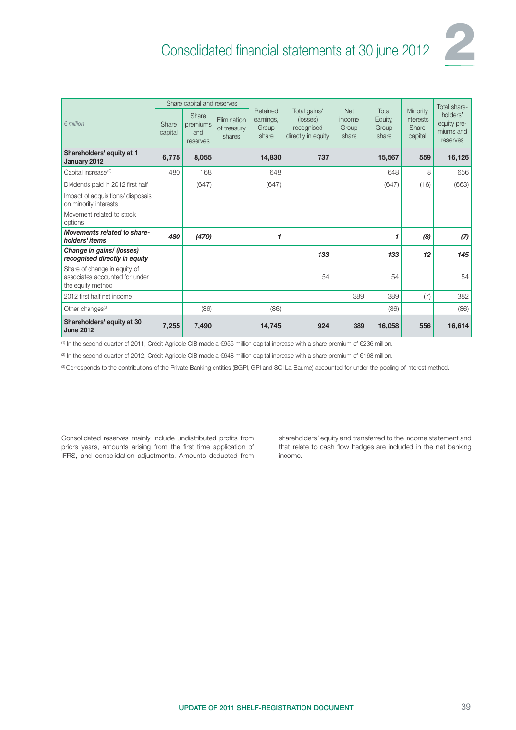

|                                                                                     |                  | Share capital and reserves           |                                      |                                         |                                                              |                                        |                                    |                                           | Total share-                                     |
|-------------------------------------------------------------------------------------|------------------|--------------------------------------|--------------------------------------|-----------------------------------------|--------------------------------------------------------------|----------------------------------------|------------------------------------|-------------------------------------------|--------------------------------------------------|
| $\n  emillion\n$                                                                    | Share<br>capital | Share<br>premiums<br>and<br>reserves | Elimination<br>of treasury<br>shares | Retained<br>earnings,<br>Group<br>share | Total gains/<br>(losses)<br>recognised<br>directly in equity | <b>Net</b><br>income<br>Group<br>share | Total<br>Equity,<br>Group<br>share | Minority<br>interests<br>Share<br>capital | holders'<br>equity pre-<br>miums and<br>reserves |
| Shareholders' equity at 1<br>January 2012                                           | 6,775            | 8,055                                |                                      | 14,830                                  | 737                                                          |                                        | 15,567                             | 559                                       | 16,126                                           |
| Capital increase <sup>(2)</sup>                                                     | 480              | 168                                  |                                      | 648                                     |                                                              |                                        | 648                                | 8                                         | 656                                              |
| Dividends paid in 2012 first half                                                   |                  | (647)                                |                                      | (647)                                   |                                                              |                                        | (647)                              | (16)                                      | (663)                                            |
| Impact of acquisitions/ disposais<br>on minority interests                          |                  |                                      |                                      |                                         |                                                              |                                        |                                    |                                           |                                                  |
| Movement related to stock<br>options                                                |                  |                                      |                                      |                                         |                                                              |                                        |                                    |                                           |                                                  |
| Movements related to share-<br>holders' items                                       | 480              | (479)                                |                                      | 1                                       |                                                              |                                        | 1                                  | (8)                                       | (7)                                              |
| Change in gains/ (losses)<br>recognised directly in equity                          |                  |                                      |                                      |                                         | 133                                                          |                                        | 133                                | 12                                        | 145                                              |
| Share of change in equity of<br>associates accounted for under<br>the equity method |                  |                                      |                                      |                                         | 54                                                           |                                        | 54                                 |                                           | 54                                               |
| 2012 first half net income                                                          |                  |                                      |                                      |                                         |                                                              | 389                                    | 389                                | (7)                                       | 382                                              |
| Other changes <sup>(3)</sup>                                                        |                  | (86)                                 |                                      | (86)                                    |                                                              |                                        | (86)                               |                                           | (86)                                             |
| Shareholders' equity at 30<br><b>June 2012</b>                                      | 7,255            | 7,490                                |                                      | 14,745                                  | 924                                                          | 389                                    | 16,058                             | 556                                       | 16,614                                           |

(1) In the second quarter of 2011, Crédit Agricole CIB made a €955 million capital increase with a share premium of €236 million.

<sup>(2)</sup> In the second quarter of 2012, Crédit Agricole CIB made a €648 million capital increase with a share premium of €168 million.

(3) Corresponds to the contributions of the Private Banking entities (BGPI, GPI and SCI La Baume) accounted for under the pooling of interest method.

Consolidated reserves mainly include undistributed profits from priors years, amounts arising from the first time application of IFRS, and consolidation adjustments. Amounts deducted from

shareholders' equity and transferred to the income statement and that relate to cash flow hedges are included in the net banking income.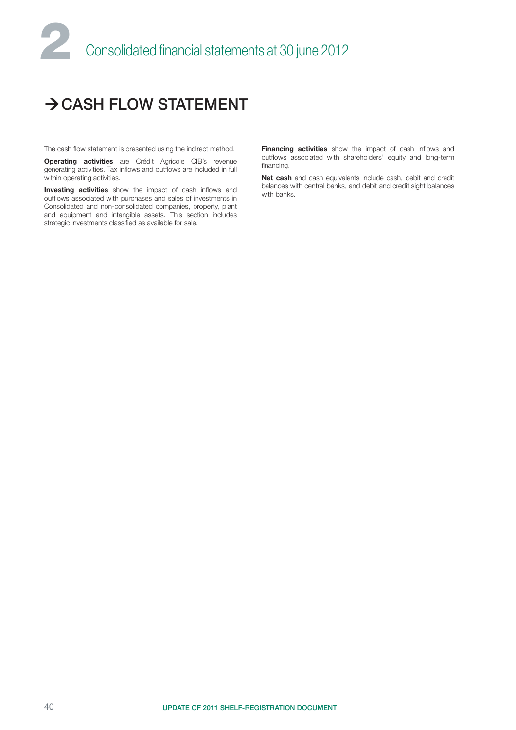## $\rightarrow$  CASH FLOW STATEMENT

The cash flow statement is presented using the indirect method.

**Operating activities** are Crédit Agricole CIB's revenue generating activities. Tax inflows and outflows are included in full within operating activities.

Investing activities show the impact of cash inflows and outflows associated with purchases and sales of investments in Consolidated and non-consolidated companies, property, plant and equipment and intangible assets. This section includes strategic investments classified as available for sale.

Financing activities show the impact of cash inflows and outflows associated with shareholders' equity and long-term financing.

Net cash and cash equivalents include cash, debit and credit balances with central banks, and debit and credit sight balances with banks.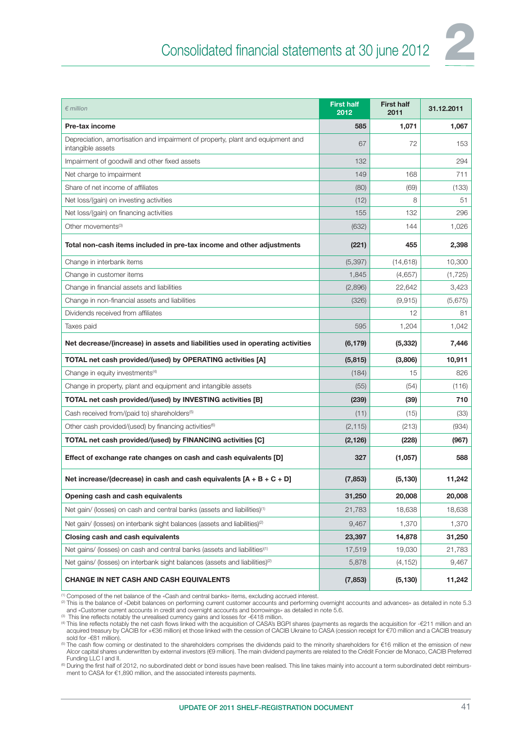

| $\epsilon$ million                                                                                  | <b>First half</b><br>2012 | <b>First half</b><br>2011 | 31.12.2011 |
|-----------------------------------------------------------------------------------------------------|---------------------------|---------------------------|------------|
| Pre-tax income                                                                                      | 585                       | 1,071                     | 1,067      |
| Depreciation, amortisation and impairment of property, plant and equipment and<br>intangible assets | 67                        | 72                        | 153        |
| Impairment of goodwill and other fixed assets                                                       | 132                       |                           | 294        |
| Net charge to impairment                                                                            | 149                       | 168                       | 711        |
| Share of net income of affiliates                                                                   | (80)                      | (69)                      | (133)      |
| Net loss/(gain) on investing activities                                                             | (12)                      | 8                         | 51         |
| Net loss/(gain) on financing activities                                                             | 155                       | 132                       | 296        |
| Other movements <sup>(3)</sup>                                                                      | (632)                     | 144                       | 1,026      |
| Total non-cash items included in pre-tax income and other adjustments                               | (221)                     | 455                       | 2,398      |
| Change in interbank items                                                                           | (5,397)                   | (14, 618)                 | 10,300     |
| Change in customer items                                                                            | 1,845                     | (4,657)                   | (1, 725)   |
| Change in financial assets and liabilities                                                          | (2,896)                   | 22,642                    | 3,423      |
| Change in non-financial assets and liabilities                                                      | (326)                     | (9, 915)                  | (5,675)    |
| Dividends received from affiliates                                                                  |                           | 12                        | 81         |
| Taxes paid                                                                                          | 595                       | 1,204                     | 1,042      |
| Net decrease/(increase) in assets and liabilities used in operating activities                      | (6, 179)                  | (5, 332)                  | 7,446      |
| TOTAL net cash provided/(used) by OPERATING activities [A]                                          | (5, 815)                  | (3,806)                   | 10,911     |
| Change in equity investments <sup>(4)</sup>                                                         | (184)                     | 15                        | 826        |
| Change in property, plant and equipment and intangible assets                                       | (55)                      | (54)                      | (116)      |
| TOTAL net cash provided/(used) by INVESTING activities [B]                                          | (239)                     | (39)                      | 710        |
| Cash received from/(paid to) shareholders <sup>(5)</sup>                                            | (11)                      | (15)                      | (33)       |
| Other cash provided/(used) by financing activities <sup>(6)</sup>                                   | (2, 115)                  | (213)                     | (934)      |
| TOTAL net cash provided/(used) by FINANCING activities [C]                                          | (2, 126)                  | (228)                     | (967)      |
| Effect of exchange rate changes on cash and cash equivalents [D]                                    | 327                       | (1,057)                   | 588        |
| Net increase/(decrease) in cash and cash equivalents $[A + B + C + D]$                              | (7, 853)                  | (5, 130)                  | 11,242     |
| Opening cash and cash equivalents                                                                   | 31,250                    | 20,008                    | 20,008     |
| Net gain/ (losses) on cash and central banks (assets and liabilities) <sup>(1)</sup>                | 21,783                    | 18,638                    | 18,638     |
| Net gain/ (losses) on interbank sight balances (assets and liabilities) <sup>(2)</sup>              | 9,467                     | 1,370                     | 1,370      |
| Closing cash and cash equivalents                                                                   | 23,397                    | 14,878                    | 31,250     |
| Net gains/ (losses) on cash and central banks (assets and liabilities)(1)                           | 17,519                    | 19,030                    | 21,783     |
| Net gains/ (losses) on interbank sight balances (assets and liabilities) <sup>(2)</sup>             | 5,878                     | (4, 152)                  | 9,467      |
| <b>CHANGE IN NET CASH AND CASH EQUIVALENTS</b>                                                      | (7, 853)                  | (5, 130)                  | 11,242     |

<sup>(1)</sup> Composed of the net balance of the «Cash and central banks» items, excluding accrued interest.<br><sup>മ</sup> This is the balance of «Debit balances on performing current customer accounts and performing overnight accounts and

and «Customer current accounts in credit and overnight accounts and borrowings» as detailed in note 5.6.<br><sup>(a)</sup> This line reflects notably the unrealised currency gains and losses for -€418 million. (a) This line reflects n sold for -€81 million).

<sup>(5)</sup> The cash flow coming or destinated to the shareholders comprises the dividends paid to the minority shareholders for €16 million et the emission of new Alcor capital shares underwritten by external investors (€9 million). The main dividend payments are related to the Crédit Foncier de Monaco, CACIB Preferred Funding LLC I and II.

(6) During the first half of 2012, no subordinated debt or bond issues have been realised. This line takes mainly into account a term subordinated debt reimbursment to CASA for €1,890 million, and the associated interests payments.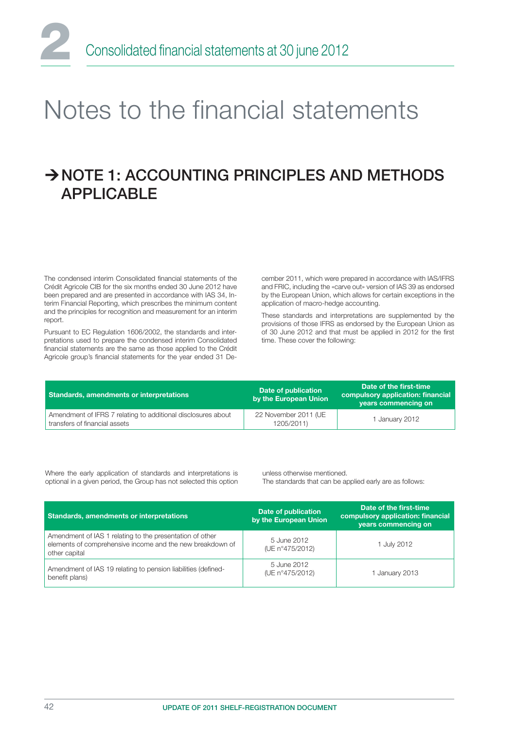

# Notes to the financial statements

## $\rightarrow$  NOTE 1: ACCOUNTING PRINCIPLES AND METHODS APPLICABLE

The condensed interim Consolidated financial statements of the Crédit Agricole CIB for the six months ended 30 June 2012 have been prepared and are presented in accordance with IAS 34, Interim Financial Reporting, which prescribes the minimum content and the principles for recognition and measurement for an interim report.

Pursuant to EC Regulation 1606/2002, the standards and interpretations used to prepare the condensed interim Consolidated financial statements are the same as those applied to the Crédit Agricole group's financial statements for the year ended 31 December 2011, which were prepared in accordance with IAS/IFRS and FRIC, including the «carve out» version of IAS 39 as endorsed by the European Union, which allows for certain exceptions in the application of macro-hedge accounting.

These standards and interpretations are supplemented by the provisions of those IFRS as endorsed by the European Union as of 30 June 2012 and that must be applied in 2012 for the first time. These cover the following:

| Standards, amendments or interpretations                                                      | Date of publication<br>by the European Union | Date of the first-time<br>compulsory application: financial<br>years commencing on |
|-----------------------------------------------------------------------------------------------|----------------------------------------------|------------------------------------------------------------------------------------|
| Amendment of IFRS 7 relating to additional disclosures about<br>transfers of financial assets | 22 November 2011 (UE<br>1205/2011)           | 1 January 2012                                                                     |

Where the early application of standards and interpretations is optional in a given period, the Group has not selected this option unless otherwise mentioned. The standards that can be applied early are as follows:

| Standards, amendments or interpretations                                                                                               | Date of publication<br>by the European Union | Date of the first-time<br>compulsory application: financial<br>years commencing on |
|----------------------------------------------------------------------------------------------------------------------------------------|----------------------------------------------|------------------------------------------------------------------------------------|
| Amendment of IAS 1 relating to the presentation of other<br>elements of comprehensive income and the new breakdown of<br>other capital | 5 June 2012<br>(UE n°475/2012)               | 1 July 2012                                                                        |
| Amendment of IAS 19 relating to pension liabilities (defined-<br>benefit plans)                                                        | 5 June 2012<br>(UE n°475/2012)               | 1 January 2013                                                                     |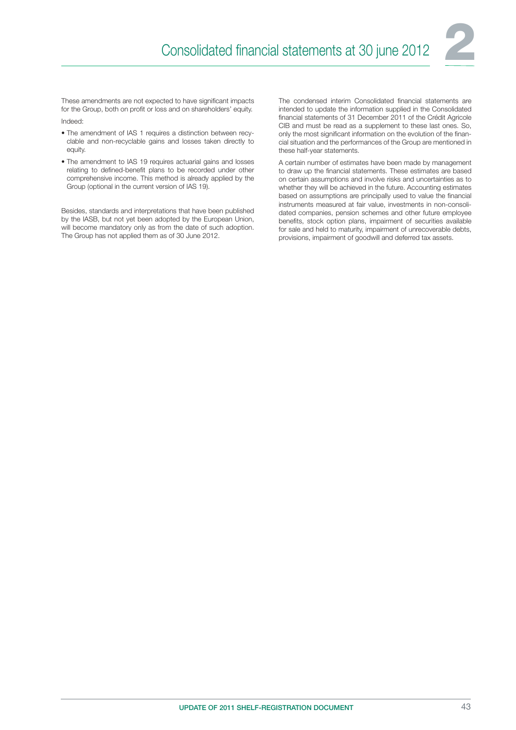

These amendments are not expected to have significant impacts for the Group, both on profit or loss and on shareholders' equity. Indeed:

- The amendment of IAS 1 requires a distinction between recyclable and non-recyclable gains and losses taken directly to equity.
- The amendment to IAS 19 requires actuarial gains and losses relating to defined-benefit plans to be recorded under other comprehensive income. This method is already applied by the Group (optional in the current version of IAS 19).

Besides, standards and interpretations that have been published by the IASB, but not yet been adopted by the European Union, will become mandatory only as from the date of such adoption. The Group has not applied them as of 30 June 2012.

The condensed interim Consolidated financial statements are intended to update the information supplied in the Consolidated financial statements of 31 December 2011 of the Crédit Agricole CIB and must be read as a supplement to these last ones. So, only the most significant information on the evolution of the financial situation and the performances of the Group are mentioned in these half-year statements.

A certain number of estimates have been made by management to draw up the financial statements. These estimates are based on certain assumptions and involve risks and uncertainties as to whether they will be achieved in the future. Accounting estimates based on assumptions are principally used to value the financial instruments measured at fair value, investments in non-consolidated companies, pension schemes and other future employee benefits, stock option plans, impairment of securities available for sale and held to maturity, impairment of unrecoverable debts, provisions, impairment of goodwill and deferred tax assets.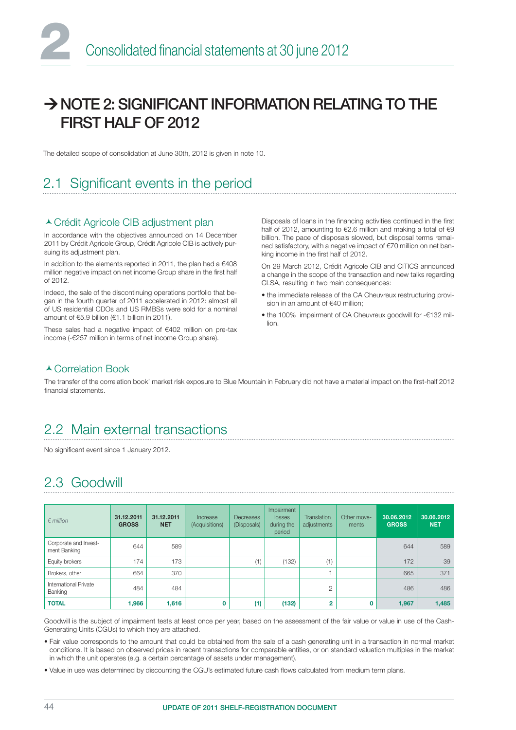## $\rightarrow$  NOTE 2: SIGNIFICANT INFORMATION RELATING TO THE FIRST HALF OF 2012

The detailed scope of consolidation at June 30th, 2012 is given in note 10.

## 2.1 Significant events in the period

#### Crédit Agricole CIB adjustment plan

In accordance with the objectives announced on 14 December 2011 by Crédit Agricole Group, Crédit Agricole CIB is actively pursuing its adjustment plan.

In addition to the elements reported in 2011, the plan had a  $€408$ million negative impact on net income Group share in the first half of 2012.

Indeed, the sale of the discontinuing operations portfolio that began in the fourth quarter of 2011 accelerated in 2012: almost all of US residential CDOs and US RMBSs were sold for a nominal amount of €5.9 billion (€1.1 billion in 2011).

These sales had a negative impact of €402 million on pre-tax income (-€257 million in terms of net income Group share).

Disposals of loans in the financing activities continued in the first half of 2012, amounting to €2.6 million and making a total of €9 billion. The pace of disposals slowed, but disposal terms remained satisfactory, with a negative impact of €70 million on net banking income in the first half of 2012.

On 29 March 2012, Crédit Agricole CIB and CITICS announced a change in the scope of the transaction and new talks regarding CLSA, resulting in two main consequences:

- the immediate release of the CA Cheuvreux restructuring provision in an amount of €40 million;
- the 100% impairment of CA Cheuvreux goodwill for -€132 million.

#### ▲ Correlation Book

The transfer of the correlation book' market risk exposure to Blue Mountain in February did not have a material impact on the first-half 2012 financial statements.

### 2.2 Main external transactions

No significant event since 1 January 2012.

## 2.3 Goodwill

| $\epsilon$ million                      | 31.12.2011<br><b>GROSS</b> | 31.12.2011<br><b>NET</b> | Increase<br>(Acquisitions) | Decreases<br>(Disposals) | Impairment<br>losses<br>during the<br>period | <b>Translation</b><br>adjustments | Other move-<br>ments | 30.06.2012<br><b>GROSS</b> | 130.06.2012<br><b>NET</b> |
|-----------------------------------------|----------------------------|--------------------------|----------------------------|--------------------------|----------------------------------------------|-----------------------------------|----------------------|----------------------------|---------------------------|
| Corporate and Invest-<br>ment Banking   | 644                        | 589                      |                            |                          |                                              |                                   |                      | 644                        | 589                       |
| Equity brokers                          | 174                        | 173                      |                            | (1)                      | (132)                                        | (1)                               |                      | 172                        | 39                        |
| Brokers, other                          | 664                        | 370                      |                            |                          |                                              |                                   |                      | 665                        | 371                       |
| <b>International Private</b><br>Banking | 484                        | 484                      |                            |                          |                                              | 2                                 |                      | 486                        | 486                       |
| <b>TOTAL</b>                            | 1,966                      | 1,616                    | 0                          | (1)                      | (132)                                        | $\overline{2}$                    | O                    | 1,967                      | 1,485                     |

Goodwill is the subject of impairment tests at least once per year, based on the assessment of the fair value or value in use of the Cash-Generating Units (CGUs) to which they are attached.

• Fair value corresponds to the amount that could be obtained from the sale of a cash generating unit in a transaction in normal market conditions. It is based on observed prices in recent transactions for comparable entities, or on standard valuation multiples in the market in which the unit operates (e.g. a certain percentage of assets under management).

• Value in use was determined by discounting the CGU's estimated future cash flows calculated from medium term plans.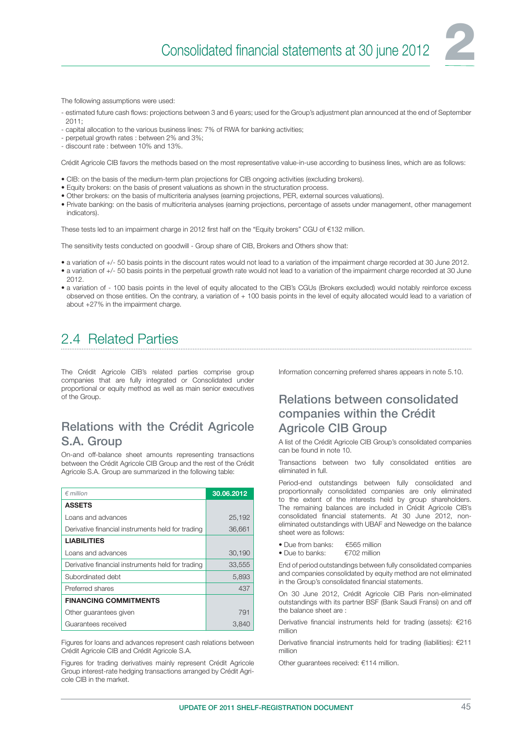The following assumptions were used:

- estimated future cash flows: projections between 3 and 6 years; used for the Group's adjustment plan announced at the end of September 2011;
- capital allocation to the various business lines: 7% of RWA for banking activities;
- perpetual growth rates : between 2% and 3%;
- discount rate : between 10% and 13%.

Crédit Agricole CIB favors the methods based on the most representative value-in-use according to business lines, which are as follows:

- CIB: on the basis of the medium-term plan projections for CIB ongoing activities (excluding brokers).
- Equity brokers: on the basis of present valuations as shown in the structuration process.
- Other brokers: on the basis of multicriteria analyses (earning projections, PER, external sources valuations).
- Private banking: on the basis of multicriteria analyses (earning projections, percentage of assets under management, other management indicators).

These tests led to an impairment charge in 2012 first half on the "Equity brokers" CGU of €132 million.

The sensitivity tests conducted on goodwill - Group share of CIB, Brokers and Others show that:

- a variation of +/- 50 basis points in the discount rates would not lead to a variation of the impairment charge recorded at 30 June 2012.
- a variation of +/- 50 basis points in the perpetual growth rate would not lead to a variation of the impairment charge recorded at 30 June 2012.
- a variation of 100 basis points in the level of equity allocated to the CIB's CGUs (Brokers excluded) would notably reinforce excess observed on those entities. On the contrary, a variation of + 100 basis points in the level of equity allocated would lead to a variation of about +27% in the impairment charge.

## 2.4 Related Parties

The Crédit Agricole CIB's related parties comprise group companies that are fully integrated or Consolidated under proportional or equity method as well as main senior executives of the Group.

#### Relations with the Crédit Agricole S.A. Group

On-and off-balance sheet amounts representing transactions between the Crédit Agricole CIB Group and the rest of the Crédit Agricole S.A. Group are summarized in the following table:

| $∈$ million                                       | 30.06.2012 |
|---------------------------------------------------|------------|
| <b>ASSETS</b>                                     |            |
| Loans and advances                                | 25,192     |
| Derivative financial instruments held for trading | 36,661     |
| <b>LIABILITIES</b>                                |            |
| Loans and advances                                | 30,190     |
| Derivative financial instruments held for trading | 33,555     |
| Subordinated debt                                 | 5,893      |
| Preferred shares                                  | 437        |
| <b>FINANCING COMMITMENTS</b>                      |            |
| Other guarantees given                            | 791        |
| Guarantees received                               | 3.840      |

Figures for loans and advances represent cash relations between Crédit Agricole CIB and Crédit Agricole S.A.

Figures for trading derivatives mainly represent Crédit Agricole Group interest-rate hedging transactions arranged by Crédit Agricole CIB in the market.

Information concerning preferred shares appears in note 5.10.

#### Relations between consolidated companies within the Crédit Agricole CIB Group

A list of the Crédit Agricole CIB Group's consolidated companies can be found in note 10.

Transactions between two fully consolidated entities are eliminated in full.

Period-end outstandings between fully consolidated and proportionnally consolidated companies are only eliminated to the extent of the interests held by group shareholders. The remaining balances are included in Crédit Agricole CIB's consolidated financial statements. At 30 June 2012, noneliminated outstandings with UBAF and Newedge on the balance sheet were as follows:

- Due from banks:  $\epsilon$  €565 million<br>• Due to banks:  $\epsilon$   $\epsilon$  702 million
- Due to banks:

End of period outstandings between fully consolidated companies and companies consolidated by equity method are not eliminated in the Group's consolidated financial statements.

On 30 June 2012, Crédit Agricole CIB Paris non-eliminated outstandings with its partner BSF (Bank Saudi Fransi) on and off the balance sheet are :

Derivative financial instruments held for trading (assets):  $€216$ million

Derivative financial instruments held for trading (liabilities): €211 million

Other guarantees received: €114 million.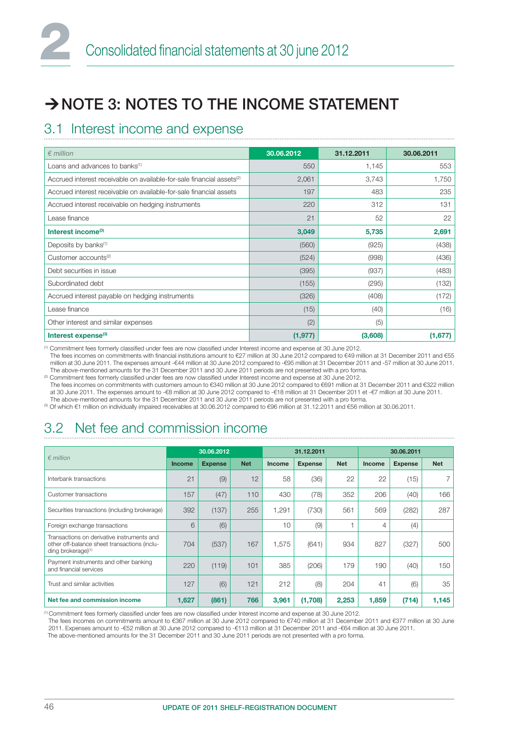## $\rightarrow$  NOTE 3: NOTES TO THE INCOME STATEMENT

## 3.1 Interest income and expense

| $\epsilon$ million                                                                | 30.06.2012 | 31.12.2011 | 30.06.2011 |
|-----------------------------------------------------------------------------------|------------|------------|------------|
| Loans and advances to banks <sup>(1)</sup>                                        | 550        | 1,145      | 553        |
| Accrued interest receivable on available-for-sale financial assets <sup>(2)</sup> | 2,061      | 3,743      | 1,750      |
| Accrued interest receivable on available-for-sale financial assets                | 197        | 483        | 235        |
| Accrued interest receivable on hedging instruments                                | 220        | 312        | 131        |
| Lease finance                                                                     | 21         | 52         | 22         |
| Interest income <sup>(3)</sup>                                                    | 3,049      | 5,735      | 2,691      |
| Deposits by banks <sup>(1)</sup>                                                  | (560)      | (925)      | (438)      |
| Customer accounts <sup>(2)</sup>                                                  | (524)      | (998)      | (436)      |
| Debt securities in issue                                                          | (395)      | (937)      | (483)      |
| Subordinated debt                                                                 | (155)      | (295)      | (132)      |
| Accrued interest payable on hedging instruments                                   | (326)      | (408)      | (172)      |
| Lease finance                                                                     | (15)       | (40)       | (16)       |
| Other interest and similar expenses                                               | (2)        | (5)        |            |
| Interest expense <sup>(3)</sup>                                                   | (1, 977)   | (3,608)    | (1,677)    |

<sup>(1)</sup> Commitment fees formerly classified under fees are now classified under Interest income and expense at 30 June 2012.

The fees incomes on commitments with financial institutions amount to €27 million at 30 June 2012 compared to €49 million at 31 December 2011 and €55 million at 30 June 2011. The expenses amount -€44 million at 30 June 2012 compared to -€95 million at 31 December 2011 and -57 million at 30 June 2011. The above-mentioned amounts for the 31 December 2011 and 30 June 2011 periods are not presented with a pro forma. <sup>(2)</sup> Commitment fees formerly classified under fees are now classified under Interest income and expense at 30 June 2012.

The fees incomes on commitments with customers amoun to €340 million at 30 June 2012 compared to €691 million at 31 December 2011 and €322 million at 30 June 2011. The expenses amount to -€8 million at 30 June 2012 compared to -€18 million at 31 December 2011 et -€7 million at 30 June 2011. The above-mentioned amounts for the 31 December 2011 and 30 June 2011 periods are not presented with a pro forma.

(3) Of which €1 million on individually impaired receivables at 30.06.2012 compared to €96 million at 31.12.2011 and €56 million at 30.06.2011.

## 3.2 Net fee and commission income

|                                                                                                                              | 30.06.2012    |                | 31.12.2011 |               |                | 30.06.2011 |        |                |            |
|------------------------------------------------------------------------------------------------------------------------------|---------------|----------------|------------|---------------|----------------|------------|--------|----------------|------------|
| $\epsilon$ million                                                                                                           | <b>Income</b> | <b>Expense</b> | <b>Net</b> | <b>Income</b> | <b>Expense</b> | <b>Net</b> | Income | <b>Expense</b> | <b>Net</b> |
| Interbank transactions                                                                                                       | 21            | (9)            | 12         | 58            | (36)           | 22         | 22     | (15)           |            |
| Customer transactions                                                                                                        | 157           | (47)           | 110        | 430           | (78)           | 352        | 206    | (40)           | 166        |
| Securities transactions (including brokerage)                                                                                | 392           | (137)          | 255        | 1,291         | (730)          | 561        | 569    | (282)          | 287        |
| Foreign exchange transactions                                                                                                | 6             | (6)            |            | 10            | (9)            |            | 4      | (4)            |            |
| Transactions on derivative instruments and<br>other off-balance sheet transactions (inclu-<br>ding brokerage) <sup>(1)</sup> | 704           | (537)          | 167        | 1.575         | (641)          | 934        | 827    | (327)          | 500        |
| Payment instruments and other banking<br>and financial services                                                              | 220           | (119)          | 101        | 385           | (206)          | 179        | 190    | (40)           | 150        |
| Trust and similar activities                                                                                                 | 127           | (6)            | 121        | 212           | (8)            | 204        | 41     | (6)            | 35         |
| Net fee and commission income                                                                                                | 1,627         | (861)          | 766        | 3,961         | (1,708)        | 2,253      | 1,859  | (714)          | 1,145      |

 $(1)$  Commitment fees formerly classified under fees are now classified under Interest income and expense at 30 June 2012.

The fees incomes on commitments amount to €367 million at 30 June 2012 compared to €740 million at 31 December 2011 and €377 million at 30 June 2011. Expenses amount to -€52 million at 30 June 2012 compared to -€113 million at 31 December 2011 and -€64 million at 30 June 2011.

The above-mentioned amounts for the 31 December 2011 and 30 June 2011 periods are not presented with a pro forma.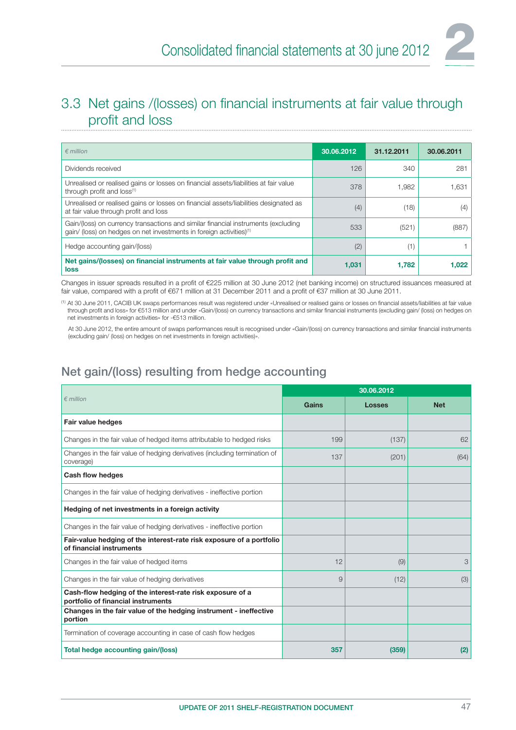

### 3.3 Net gains /(losses) on financial instruments at fair value through profit and loss

| $\epsilon$ million                                                                                                                                                   | 30.06.2012 | 31.12.2011 | 30.06.2011 |
|----------------------------------------------------------------------------------------------------------------------------------------------------------------------|------------|------------|------------|
| Dividends received                                                                                                                                                   | 126        | 340        | 281        |
| Unrealised or realised gains or losses on financial assets/liabilities at fair value<br>through profit and loss(1)                                                   | 378        | 1.982      | 1,631      |
| Unrealised or realised gains or losses on financial assets/liabilities designated as<br>at fair value through profit and loss                                        | (4)        | (18)       | (4)        |
| Gain/(loss) on currency transactions and similar financial instruments (excluding<br>gain/ (loss) on hedges on net investments in foreign activities) <sup>(1)</sup> | 533        | (521)      | (887)      |
| Hedge accounting gain/(loss)                                                                                                                                         | (2)        | (1)        |            |
| Net gains/(losses) on financial instruments at fair value through profit and<br>loss                                                                                 | 1,031      | 1.782      | 1.022      |

Changes in issuer spreads resulted in a profit of €225 million at 30 June 2012 (net banking income) on structured issuances measured at fair value, compared with a profit of €671 million at 31 December 2011 and a profit of €37 million at 30 June 2011.

 $^{\left(\text{i}\right)}$  At 30 June 2011, CACIB UK swaps performances result was registered under «Unrealised or realised gains or losses on financial assets/liabilities at fair value through profit and loss» for €513 million and under «Gain/(loss) on currency transactions and similar financial instruments (excluding gain/ (loss) on hedges on net investments in foreign activities» for -€513 million.

At 30 June 2012, the entire amount of swaps performances result is recognised under «Gain/(loss) on currency transactions and similar financial instruments (excluding gain/ (loss) on hedges on net investments in foreign activities)».

### Net gain/(loss) resulting from hedge accounting

|                                                                                                  | 30.06.2012 |               |            |  |  |
|--------------------------------------------------------------------------------------------------|------------|---------------|------------|--|--|
| $\epsilon$ million                                                                               | Gains      | <b>Losses</b> | <b>Net</b> |  |  |
| Fair value hedges                                                                                |            |               |            |  |  |
| Changes in the fair value of hedged items attributable to hedged risks                           | 199        | (137)         | 62         |  |  |
| Changes in the fair value of hedging derivatives (including termination of<br>coverage)          | 137        | (201)         | (64)       |  |  |
| Cash flow hedges                                                                                 |            |               |            |  |  |
| Changes in the fair value of hedging derivatives - ineffective portion                           |            |               |            |  |  |
| Hedging of net investments in a foreign activity                                                 |            |               |            |  |  |
| Changes in the fair value of hedging derivatives - ineffective portion                           |            |               |            |  |  |
| Fair-value hedging of the interest-rate risk exposure of a portfolio<br>of financial instruments |            |               |            |  |  |
| Changes in the fair value of hedged items                                                        | 12         | (9)           | 3          |  |  |
| Changes in the fair value of hedging derivatives                                                 | 9          | (12)          | (3)        |  |  |
| Cash-flow hedging of the interest-rate risk exposure of a<br>portfolio of financial instruments  |            |               |            |  |  |
| Changes in the fair value of the hedging instrument - ineffective<br>portion                     |            |               |            |  |  |
| Termination of coverage accounting in case of cash flow hedges                                   |            |               |            |  |  |
| Total hedge accounting gain/(loss)                                                               | 357        | (359)         | (2)        |  |  |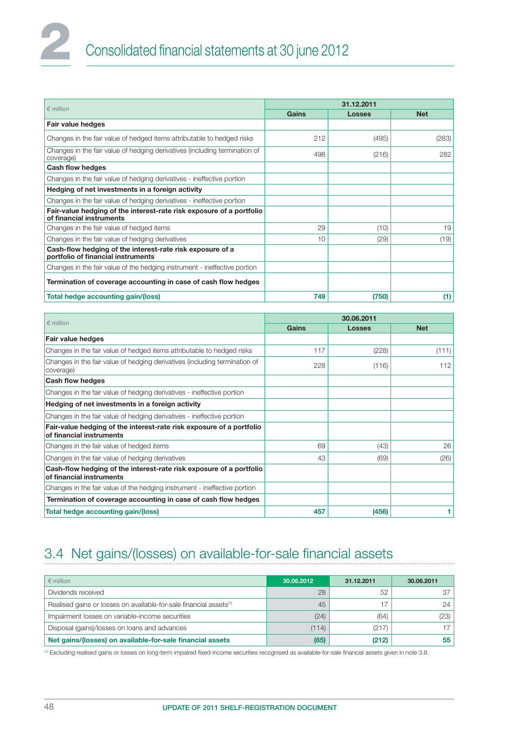| $\n  emillion\n$                                                                                 |       | 31,12,2011    |            |
|--------------------------------------------------------------------------------------------------|-------|---------------|------------|
|                                                                                                  | Gains | <b>Losses</b> | <b>Net</b> |
| Fair value hedges                                                                                |       |               |            |
| Changes in the fair value of hedged items attributable to hedged risks                           | 212   | (495)         | (283)      |
| Changes in the fair value of hedging derivatives (including termination of<br>coverage)          | 498   | (216)         | 282        |
| Cash flow hedges                                                                                 |       |               |            |
| Changes in the fair value of hedging derivatives - ineffective portion                           |       |               |            |
| Hedging of net investments in a foreign activity                                                 |       |               |            |
| Changes in the fair value of hedging derivatives - ineffective portion                           |       |               |            |
| Fair-value hedging of the interest-rate risk exposure of a portfolio<br>of financial instruments |       |               |            |
| Changes in the fair value of hedged items                                                        | 29    | (10)          | 19         |
| Changes in the fair value of hedging derivatives                                                 | 10    | (29)          | (19)       |
| Cash-flow hedging of the interest-rate risk exposure of a<br>portfolio of financial instruments  |       |               |            |
| Changes in the fair value of the hedging instrument - ineffective portion                        |       |               |            |
| Termination of coverage accounting in case of cash flow hedges                                   |       |               |            |
| Total hedge accounting gain/(loss)                                                               | 749   | (750)         | (1)        |

| $\epsilon$ million                                                                               |       | 30.06.2011    |            |
|--------------------------------------------------------------------------------------------------|-------|---------------|------------|
|                                                                                                  | Gains | <b>Losses</b> | <b>Net</b> |
| Fair value hedges                                                                                |       |               |            |
| Changes in the fair value of hedged items attributable to hedged risks                           | 117   | (228)         | (111)      |
| Changes in the fair value of hedging derivatives (including termination of<br>coverage)          | 228   | (116)         | 112        |
| Cash flow hedges                                                                                 |       |               |            |
| Changes in the fair value of hedging derivatives - ineffective portion                           |       |               |            |
| Hedging of net investments in a foreign activity                                                 |       |               |            |
| Changes in the fair value of hedging derivatives - ineffective portion                           |       |               |            |
| Fair-value hedging of the interest-rate risk exposure of a portfolio<br>of financial instruments |       |               |            |
| Changes in the fair value of hedged items                                                        | 69    | (43)          | 26         |
| Changes in the fair value of hedging derivatives                                                 | 43    | (69)          | (26)       |
| Cash-flow hedging of the interest-rate risk exposure of a portfolio<br>of financial instruments  |       |               |            |
| Changes in the fair value of the hedging instrument - ineffective portion                        |       |               |            |
| Termination of coverage accounting in case of cash flow hedges                                   |       |               |            |
| Total hedge accounting gain/(loss)                                                               | 457   | (456)         |            |

## 3.4 Net gains/(losses) on available-for-sale financial assets

| $\epsilon$ million                                                             | 30.06.2012 | 31.12.2011 | 30.06.2011      |
|--------------------------------------------------------------------------------|------------|------------|-----------------|
| Dividends received                                                             | 28         | 52         | 37              |
| Realised gains or losses on available-for-sale financial assets <sup>(1)</sup> | 45         | 17         | 24              |
| Impairment losses on variable-income securities                                | (24)       | (64)       | (23)            |
| Disposal (gains)/losses on loans and advances                                  | (114)      | (217)      | 17 <sub>1</sub> |
| Net gains/(losses) on available-for-sale financial assets                      | (65)       | (212)      | 55              |

<sup>(1)</sup> Excluding realised gains or losses on long-term impaired fixed-income securities recognised as available-for-sale financial assets given in note 3.8.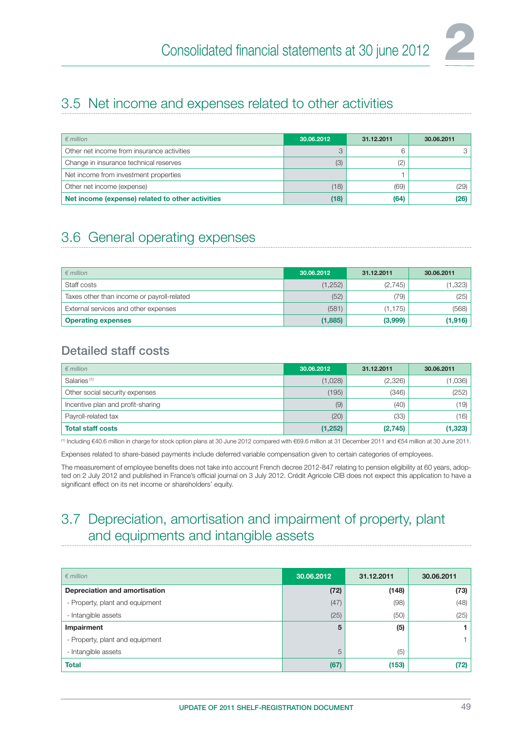

### 3.5 Net income and expenses related to other activities

| $\epsilon$ million                               | 30.06.2012 | 31.12.2011 | 30.06.2011 |
|--------------------------------------------------|------------|------------|------------|
| Other net income from insurance activities       |            | 6          |            |
| Change in insurance technical reserves           | (3)        | (2)        |            |
| Net income from investment properties            |            |            |            |
| Other net income (expense)                       | (18)       | (69)       | (29)       |
| Net income (expense) related to other activities | (18)       | (64)       | (26)       |

## 3.6 General operating expenses

| $\epsilon$ million                         | 30.06.2012 | 31.12.2011 | 30.06.2011 |
|--------------------------------------------|------------|------------|------------|
| Staff costs                                | (1,252)    | (2,745)    | (1,323)    |
| Taxes other than income or payroll-related | (52)       | (79)       | (25)       |
| External services and other expenses       | (581)      | (1, 175)   | (568)      |
| <b>Operating expenses</b>                  | (1,885)    | (3,999)    | (1, 916)   |

#### Detailed staff costs

| $\epsilon$ million                | 30.06.2012 | 31.12.2011 | 30.06.2011 |
|-----------------------------------|------------|------------|------------|
| Salaries <sup>(1)</sup>           | (1,028)    | (2,326)    | (1,036)    |
| Other social security expenses    | (195)      | (346)      | (252)      |
| Incentive plan and profit-sharing | (9)        | (40)       | (19)       |
| Payroll-related tax               | (20)       | (33)       | (16)       |
| <b>Total staff costs</b>          | (1,252)    | (2,745)    | (1, 323)   |

(1) Including €40.6 million in charge for stock option plans at 30 June 2012 compared with €69.6 million at 31 December 2011 and €54 million at 30 June 2011.

Expenses related to share-based payments include deferred variable compensation given to certain categories of employees.

The measurement of employee benefits does not take into account French decree 2012-847 relating to pension eligibility at 60 years, adopted on 2 July 2012 and published in France's official journal on 3 July 2012. Crédit Agricole CIB does not expect this application to have a significant effect on its net income or shareholders' equity.

### 3.7 Depreciation, amortisation and impairment of property, plant and equipments and intangible assets

| $\epsilon$ million              | 30.06.2012 | 31.12.2011 | 30.06.2011 |
|---------------------------------|------------|------------|------------|
| Depreciation and amortisation   | (72)       | (148)      | (73)       |
| - Property, plant and equipment | (47)       | (98)       | (48)       |
| - Intangible assets             | (25)       | (50)       | (25)       |
| Impairment                      | 5          | (5)        |            |
| - Property, plant and equipment |            |            |            |
| - Intangible assets             | 5          | (5)        |            |
| <b>Total</b>                    | (67)       | (153)      | (72)       |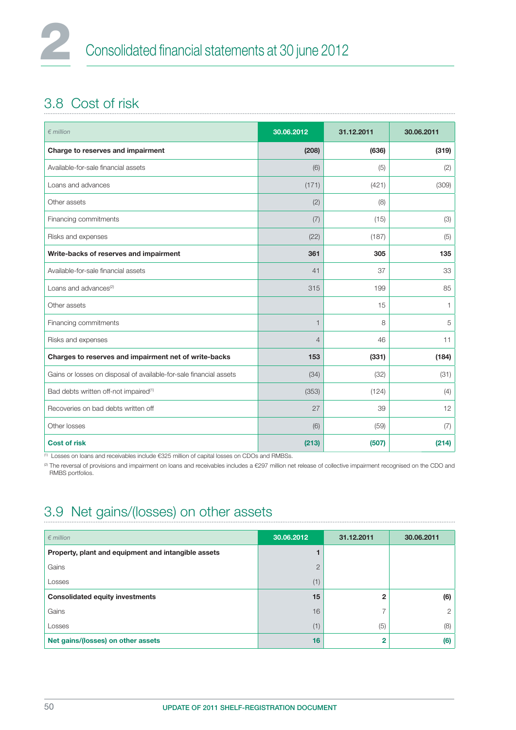## 3.8 Cost of risk

| $\epsilon$ million                                                 | 30.06.2012     | 31.12.2011 | 30.06.2011 |
|--------------------------------------------------------------------|----------------|------------|------------|
| Charge to reserves and impairment                                  | (208)          | (636)      | (319)      |
| Available-for-sale financial assets                                | (6)            | (5)        | (2)        |
| Loans and advances                                                 | (171)          | (421)      | (309)      |
| Other assets                                                       | (2)            | (8)        |            |
| Financing commitments                                              | (7)            | (15)       | (3)        |
| Risks and expenses                                                 | (22)           | (187)      | (5)        |
| Write-backs of reserves and impairment                             | 361            | 305        | 135        |
| Available-for-sale financial assets                                | 41             | 37         | 33         |
| Loans and advances <sup>(2)</sup>                                  | 315            | 199        | 85         |
| Other assets                                                       |                | 15         | 1          |
| Financing commitments                                              | $\mathbf{1}$   | 8          | 5          |
| Risks and expenses                                                 | $\overline{4}$ | 46         | 11         |
| Charges to reserves and impairment net of write-backs              | 153            | (331)      | (184)      |
| Gains or losses on disposal of available-for-sale financial assets | (34)           | (32)       | (31)       |
| Bad debts written off-not impaired <sup>(1)</sup>                  | (353)          | (124)      | (4)        |
| Recoveries on bad debts written off                                | 27             | 39         | 12         |
| Other losses                                                       | (6)            | (59)       | (7)        |
| <b>Cost of risk</b>                                                | (213)          | (507)      | (214)      |

(1) Losses on loans and receivables include €325 million of capital losses on CDOs and RMBSs.

(2) The reversal of provisions and impairment on loans and receivables includes a €297 million net release of collective impairment recognised on the CDO and RMBS portfolios.

## 3.9 Net gains/(losses) on other assets

| $\epsilon$ million                                  | 30.06.2012     | 31.12.2011   | 30.06.2011 |
|-----------------------------------------------------|----------------|--------------|------------|
| Property, plant and equipment and intangible assets |                |              |            |
| Gains                                               | $\overline{2}$ |              |            |
| Losses                                              | (1)            |              |            |
| <b>Consolidated equity investments</b>              | 15             | $\mathbf{2}$ | (6)        |
| Gains                                               | 16             |              | 2          |
| Losses                                              | (1)            | (5)          | (8)        |
| Net gains/(losses) on other assets                  | 16             | 2            | (6)        |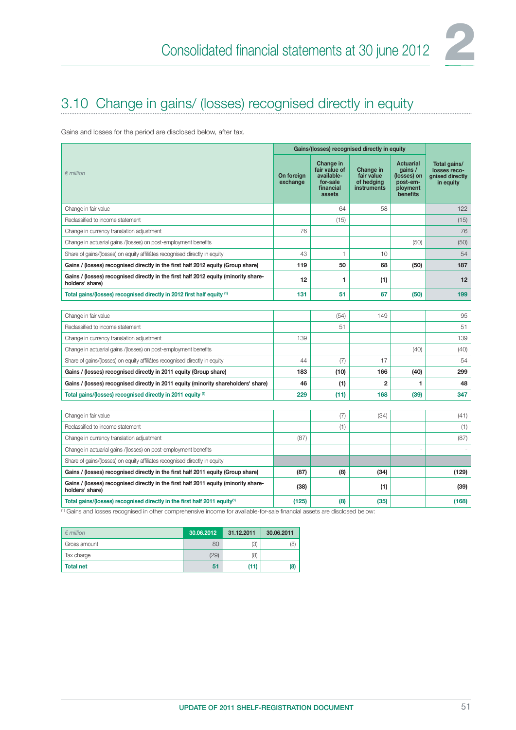

## 3.10 Change in gains/ (losses) recognised directly in equity

Gains and losses for the period are disclosed below, after tax.

|                                                                                                        | Gains/(losses) recognised directly in equity |                                                                             |                                                      |                                                                                |                                                              |
|--------------------------------------------------------------------------------------------------------|----------------------------------------------|-----------------------------------------------------------------------------|------------------------------------------------------|--------------------------------------------------------------------------------|--------------------------------------------------------------|
| $\epsilon$ million                                                                                     | On foreign<br>exchange                       | Change in<br>fair value of<br>available-<br>for-sale<br>financial<br>assets | Change in<br>fair value<br>of hedging<br>instruments | <b>Actuarial</b><br>gains /<br>(losses) on<br>post-em-<br>ployment<br>benefits | Total gains/<br>losses reco-<br>gnised directly<br>in equity |
| Change in fair value                                                                                   |                                              | 64                                                                          | 58                                                   |                                                                                | 122                                                          |
| Reclassified to income statement                                                                       |                                              | (15)                                                                        |                                                      |                                                                                | (15)                                                         |
| Change in currency translation adjustment                                                              | 76                                           |                                                                             |                                                      |                                                                                | 76                                                           |
| Change in actuarial gains /(losses) on post-employment benefits                                        |                                              |                                                                             |                                                      | (50)                                                                           | (50)                                                         |
| Share of gains/(losses) on equity affiliâtes recognised directly in equity                             | 43                                           | 1                                                                           | 10                                                   |                                                                                | 54                                                           |
| Gains / (losses) recognised directly in the first half 2012 equity (Group share)                       | 119                                          | 50                                                                          | 68                                                   | (50)                                                                           | 187                                                          |
| Gains / (losses) recognised directly in the first half 2012 equity (minority share-<br>holders' share) | 12                                           | 1                                                                           | (1)                                                  |                                                                                | 12                                                           |
| Total gains/(losses) recognised directly in 2012 first half equity (1)                                 | 131                                          | 51                                                                          | 67                                                   | (50)                                                                           | 199                                                          |
|                                                                                                        |                                              |                                                                             |                                                      |                                                                                |                                                              |
| Change in fair value                                                                                   |                                              | (54)                                                                        | 149                                                  |                                                                                | 95                                                           |
| Reclassified to income statement                                                                       |                                              | 51                                                                          |                                                      |                                                                                | 51                                                           |
| Change in currency translation adjustment                                                              | 139                                          |                                                                             |                                                      |                                                                                | 139                                                          |
| Change in actuarial gains /(losses) on post-employment benefits                                        |                                              |                                                                             |                                                      | (40)                                                                           | (40)                                                         |
| Share of gains/(losses) on equity affiliâtes recognised directly in equity                             | 44                                           | (7)                                                                         | 17                                                   |                                                                                | 54                                                           |
| Gains / (losses) recognised directly in 2011 equity (Group share)                                      | 183                                          | (10)                                                                        | 166                                                  | (40)                                                                           | 299                                                          |
| Gains / (losses) recognised directly in 2011 equity (minority shareholders' share)                     | 46                                           | (1)                                                                         | $\overline{2}$                                       | 1                                                                              | 48                                                           |
| Total gains/(losses) recognised directly in 2011 equity (1)                                            | 229                                          | (11)                                                                        | 168                                                  | (39)                                                                           | 347                                                          |
|                                                                                                        |                                              |                                                                             |                                                      |                                                                                |                                                              |
| Change in fair value                                                                                   |                                              | (7)                                                                         | (34)                                                 |                                                                                | (41)                                                         |
| Reclassified to income statement                                                                       |                                              | (1)                                                                         |                                                      |                                                                                | (1)                                                          |
| Change in currency translation adjustment                                                              | (87)                                         |                                                                             |                                                      |                                                                                | (87)                                                         |
| Change in actuarial gains /(losses) on post-employment benefits                                        |                                              |                                                                             |                                                      |                                                                                |                                                              |
| Share of gains/(losses) on equity affiliates recognised directly in equity                             |                                              |                                                                             |                                                      |                                                                                |                                                              |
| Gains / (losses) recognised directly in the first half 2011 equity (Group share)                       | (87)                                         | (8)                                                                         | (34)                                                 |                                                                                | (129)                                                        |
| Gains / (losses) recognised directly in the first half 2011 equity (minority share-<br>holders' share) | (38)                                         |                                                                             | (1)                                                  |                                                                                | (39)                                                         |
| Total gains/(losses) recognised directly in the first half 2011 equity <sup>(1)</sup>                  | (125)                                        | (8)                                                                         | (35)                                                 |                                                                                | (168)                                                        |

(1) Gains and losses recognised in other comprehensive income for available-for-sale financial assets are disclosed below:

| $\epsilon$ million | 30.06.2012 | 31.12.2011 | 30.06.2011 |
|--------------------|------------|------------|------------|
| Gross amount       | 80         | (3)        | (8)        |
| Tax charge         | (29)       | (8)        |            |
| <b>Total net</b>   | 51         | (11)       | (8)        |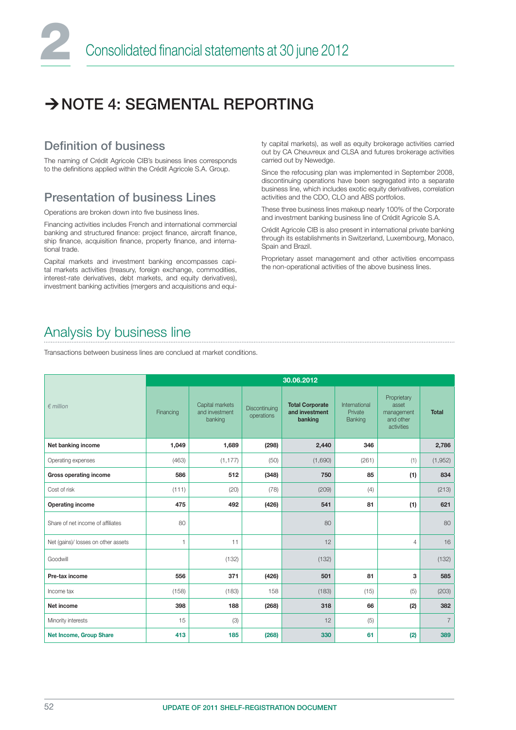## NOTE 4: SEGMENTAL REPORTING

#### Definition of business

The naming of Crédit Agricole CIB's business lines corresponds to the definitions applied within the Crédit Agricole S.A. Group.

#### Presentation of business Lines

Operations are broken down into five business lines.

Financing activities includes French and international commercial banking and structured finance: project finance, aircraft finance, ship finance, acquisition finance, property finance, and international trade.

Capital markets and investment banking encompasses capital markets activities (treasury, foreign exchange, commodities, interest-rate derivatives, debt markets, and equity derivatives), investment banking activities (mergers and acquisitions and equity capital markets), as well as equity brokerage activities carried out by CA Cheuvreux and CLSA and futures brokerage activities carried out by Newedge.

Since the refocusing plan was implemented in September 2008, discontinuing operations have been segregated into a separate business line, which includes exotic equity derivatives, correlation activities and the CDO, CLO and ABS portfolios.

These three business lines makeup nearly 100% of the Corporate and investment banking business line of Crédit Agricole S.A.

Crédit Agricole CIB is also present in international private banking through its establishments in Switzerland, Luxembourg, Monaco, Spain and Brazil.

Proprietary asset management and other activities encompass the non-operational activities of the above business lines.

## Analysis by business line

Transactions between business lines are conclued at market conditions.

|                                     | 30.06.2012   |                                              |                             |                                                     |                                     |                                                               |                |
|-------------------------------------|--------------|----------------------------------------------|-----------------------------|-----------------------------------------------------|-------------------------------------|---------------------------------------------------------------|----------------|
| $\epsilon$ million                  | Financing    | Capital markets<br>and investment<br>banking | Discontinuing<br>operations | <b>Total Corporate</b><br>and investment<br>banking | International<br>Private<br>Banking | Proprietary<br>asset<br>management<br>and other<br>activities | <b>Total</b>   |
| Net banking income                  | 1,049        | 1,689                                        | (298)                       | 2,440                                               | 346                                 |                                                               | 2,786          |
| Operating expenses                  | (463)        | (1, 177)                                     | (50)                        | (1,690)                                             | (261)                               | (1)                                                           | (1,952)        |
| Gross operating income              | 586          | 512                                          | (348)                       | 750                                                 | 85                                  | (1)                                                           | 834            |
| Cost of risk                        | (111)        | (20)                                         | (78)                        | (209)                                               | (4)                                 |                                                               | (213)          |
| Operating income                    | 475          | 492                                          | (426)                       | 541                                                 | 81                                  | (1)                                                           | 621            |
| Share of net income of affiliates   | 80           |                                              |                             | 80                                                  |                                     |                                                               | 80             |
| Net (gains)/ losses on other assets | $\mathbf{1}$ | 11                                           |                             | 12                                                  |                                     | 4                                                             | 16             |
| Goodwill                            |              | (132)                                        |                             | (132)                                               |                                     |                                                               | (132)          |
| Pre-tax income                      | 556          | 371                                          | (426)                       | 501                                                 | 81                                  | 3                                                             | 585            |
| Income tax                          | (158)        | (183)                                        | 158                         | (183)                                               | (15)                                | (5)                                                           | (203)          |
| Net income                          | 398          | 188                                          | (268)                       | 318                                                 | 66                                  | (2)                                                           | 382            |
| Minority interests                  | 15           | (3)                                          |                             | 12                                                  | (5)                                 |                                                               | $\overline{7}$ |
| <b>Net Income, Group Share</b>      | 413          | 185                                          | (268)                       | 330                                                 | 61                                  | (2)                                                           | 389            |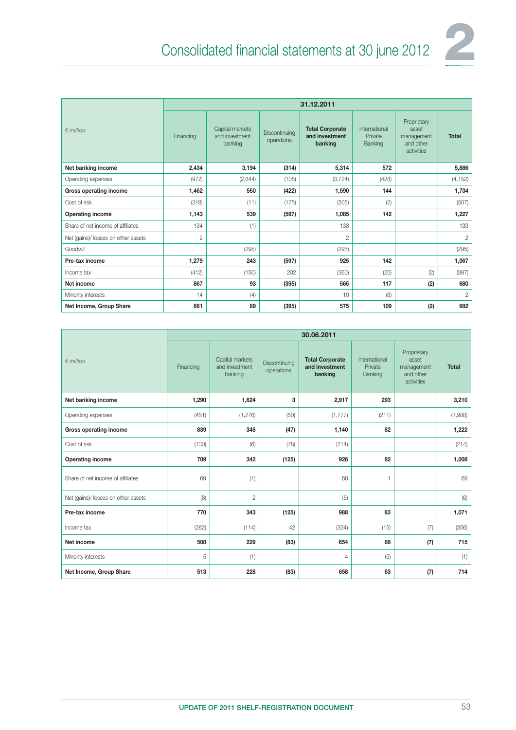

|                                     | 31.12.2011     |                                              |                             |                                                     |                                     |                                                               |                |  |
|-------------------------------------|----------------|----------------------------------------------|-----------------------------|-----------------------------------------------------|-------------------------------------|---------------------------------------------------------------|----------------|--|
| $∈$ million                         | Financing      | Capital markets<br>and investment<br>banking | Discontinuina<br>operations | <b>Total Corporate</b><br>and investment<br>banking | International<br>Private<br>Banking | Proprietary<br>asset<br>management<br>and other<br>activities | <b>Total</b>   |  |
| Net banking income                  | 2,434          | 3,194                                        | (314)                       | 5,314                                               | 572                                 |                                                               | 5,886          |  |
| Operating expenses                  | (972)          | (2,644)                                      | (108)                       | (3, 724)                                            | (428)                               |                                                               | (4, 152)       |  |
| Gross operating income              | 1,462          | 550                                          | (422)                       | 1,590                                               | 144                                 |                                                               | 1,734          |  |
| Cost of risk                        | (319)          | (11)                                         | (175)                       | (505)                                               | (2)                                 |                                                               | (507)          |  |
| Operating income                    | 1,143          | 539                                          | (597)                       | 1,085                                               | 142                                 |                                                               | 1,227          |  |
| Share of net income of affiliates   | 134            | (1)                                          |                             | 133                                                 |                                     |                                                               | 133            |  |
| Net (gains)/ losses on other assets | $\overline{2}$ |                                              |                             | $\overline{2}$                                      |                                     |                                                               | $\mathbf{2}$   |  |
| Goodwill                            |                | (295)                                        |                             | (295)                                               |                                     |                                                               | (295)          |  |
| Pre-tax income                      | 1,279          | 243                                          | (597)                       | 925                                                 | 142                                 |                                                               | 1,067          |  |
| Income tax                          | (412)          | (150)                                        | 202                         | (360)                                               | (25)                                | (2)                                                           | (387)          |  |
| Net income                          | 867            | 93                                           | (395)                       | 565                                                 | 117                                 | (2)                                                           | 680            |  |
| Minority interests                  | 14             | (4)                                          |                             | 10                                                  | (8)                                 |                                                               | $\overline{c}$ |  |
| Net Income, Group Share             | 881            | 89                                           | (395)                       | 575                                                 | 109                                 | (2)                                                           | 682            |  |

|                                     | 30.06.2011 |                                              |                             |                                                     |                                     |                                                               |              |  |  |
|-------------------------------------|------------|----------------------------------------------|-----------------------------|-----------------------------------------------------|-------------------------------------|---------------------------------------------------------------|--------------|--|--|
| $\epsilon$ million                  | Financing  | Capital markets<br>and investment<br>banking | Discontinuing<br>operations | <b>Total Corporate</b><br>and investment<br>banking | International<br>Private<br>Banking | Proprietary<br>asset<br>management<br>and other<br>activities | <b>Total</b> |  |  |
| Net banking income                  | 1,290      | 1,624                                        | 3                           | 2,917                                               | 293                                 |                                                               | 3,210        |  |  |
| Operating expenses                  | (451)      | (1,276)                                      | (50)                        | (1, 777)                                            | (211)                               |                                                               | (1,988)      |  |  |
| Gross operating income              | 839        | 348                                          | (47)                        | 1,140                                               | 82                                  |                                                               | 1,222        |  |  |
| Cost of risk                        | (130)      | (6)                                          | (78)                        | (214)                                               |                                     |                                                               | (214)        |  |  |
| Operating income                    | 709        | 342                                          | (125)                       | 926                                                 | 82                                  |                                                               | 1,008        |  |  |
| Share of net income of affiliates   | 69         | (1)                                          |                             | 68                                                  | 1                                   |                                                               | 69           |  |  |
| Net (gains)/ losses on other assets | (8)        | $\mathbf{2}$                                 |                             | (6)                                                 |                                     |                                                               | (6)          |  |  |
| Pre-tax income                      | 770        | 343                                          | (125)                       | 988                                                 | 83                                  |                                                               | 1,071        |  |  |
| Income tax                          | (262)      | (114)                                        | 42                          | (334)                                               | (15)                                | (7)                                                           | (356)        |  |  |
| Net income                          | 508        | 229                                          | (83)                        | 654                                                 | 68                                  | (7)                                                           | 715          |  |  |
| Minority interests                  | 5          | (1)                                          |                             | 4                                                   | (5)                                 |                                                               | (1)          |  |  |
| Net Income, Group Share             | 513        | 228                                          | (83)                        | 658                                                 | 63                                  | (7)                                                           | 714          |  |  |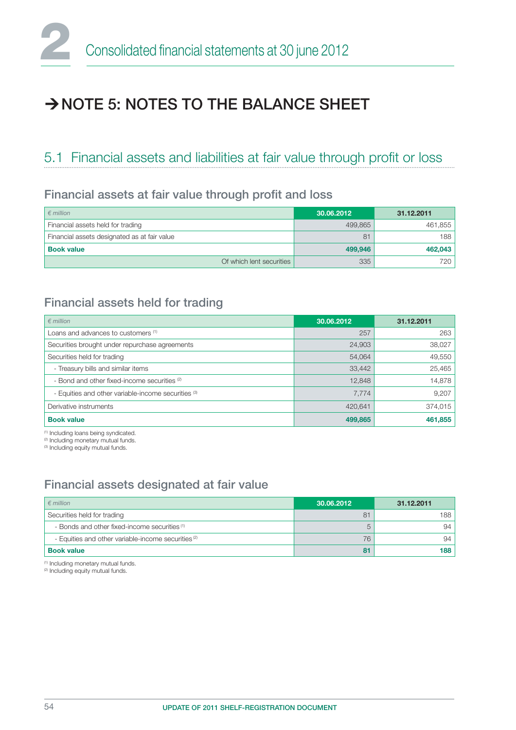## $\rightarrow$  NOTE 5: NOTES TO THE BALANCE SHEET

### 5.1 Financial assets and liabilities at fair value through profit or loss

#### Financial assets at fair value through profit and loss

| $\epsilon$ million                           | 30.06.2012 | 31.12.2011 |
|----------------------------------------------|------------|------------|
| Financial assets held for trading            | 499.865    | 461,855    |
| Financial assets designated as at fair value | 81         | 188        |
| <b>Book value</b>                            | 499,946    | 462,043    |
| Of which lent securities                     | 335        | 720        |

#### Financial assets held for trading

| $\epsilon$ million                                  | 30.06.2012 | 31.12.2011 |
|-----------------------------------------------------|------------|------------|
| Loans and advances to customers (1)                 | 257        | 263        |
| Securities brought under repurchase agreements      | 24,903     | 38,027     |
| Securities held for trading                         | 54,064     | 49,550     |
| - Treasury bills and similar items                  | 33,442     | 25,465     |
| - Bond and other fixed-income securities (2)        | 12,848     | 14,878     |
| - Equities and other variable-income securities (3) | 7,774      | 9,207      |
| Derivative instruments                              | 420,641    | 374,015    |
| <b>Book value</b>                                   | 499,865    | 461,855    |

(1) Including loans being syndicated.

<sup>(2)</sup> Including monetary mutual funds.

<sup>(3)</sup> Including equity mutual funds.

### Financial assets designated at fair value

| $\epsilon$ million                                             | 30.06.2012     | 31.12.2011 |
|----------------------------------------------------------------|----------------|------------|
| Securities held for trading                                    | 8 <sup>1</sup> | 188        |
| - Bonds and other fixed-income securities <sup>(1)</sup>       |                |            |
| - Equities and other variable-income securities <sup>(2)</sup> | 76             |            |
| <b>Book value</b>                                              | 81             | 188        |

(1) Including monetary mutual funds.

(2) Including equity mutual funds.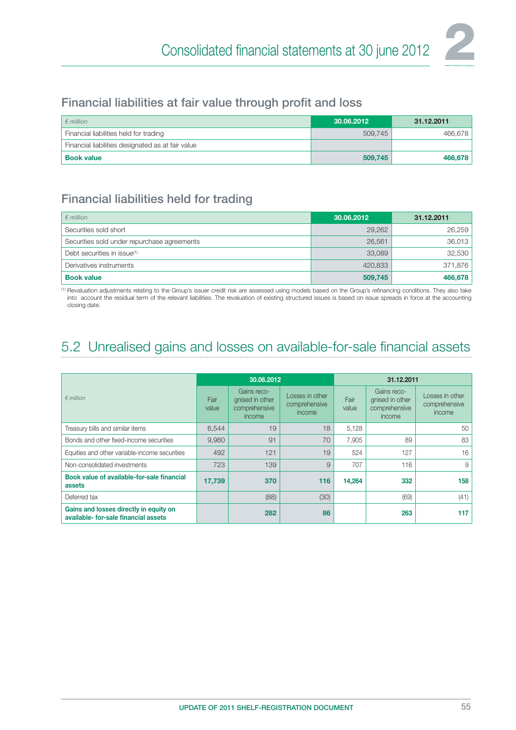

#### Financial liabilities at fair value through profit and loss

| $\epsilon$ million                                | 30.06.2012 | 31.12.2011 |
|---------------------------------------------------|------------|------------|
| Financial liabilities held for trading            | 509.745    | 466,678    |
| Financial liabilities designated as at fair value |            |            |
| <b>Book value</b>                                 | 509,745    | 466,678    |

#### Financial liabilities held for trading

| $\epsilon$ million                          | 30.06.2012 | 31.12.2011 |
|---------------------------------------------|------------|------------|
| Securities sold short                       | 29,262     | 26,259     |
| Securities sold under repurchase agreements | 26,561     | 36,013     |
| Debt securities in issue <sup>(1)</sup>     | 33,089     | 32,530     |
| Derivatives instruments                     | 420,833    | 371,876    |
| <b>Book value</b>                           | 509,745    | 466,678    |

(1) Revaluation adjustments relating to the Group's issuer credit risk are assessed using models based on the Group's refinancing conditions. They also take into account the residual term of the relevant liabilities. The revaluation of existing structured issues is based on issue spreads in force at the accounting closing date.

## 5.2 Unrealised gains and losses on available-for-sale financial assets

|                                                                                | 30.06.2012    |                                                           |                                            | 31.12.2011    |                                                           |                                            |  |
|--------------------------------------------------------------------------------|---------------|-----------------------------------------------------------|--------------------------------------------|---------------|-----------------------------------------------------------|--------------------------------------------|--|
| $\epsilon$ million                                                             | Fair<br>value | Gains reco-<br>gnised in other<br>comprehensive<br>income | Losses in other<br>comprehensive<br>income | Fair<br>value | Gains reco-<br>gnised in other<br>comprehensive<br>income | Losses in other<br>comprehensive<br>income |  |
| Treasury bills and similar items                                               | 6,544         | 19                                                        | 18                                         | 5,128         |                                                           | 50                                         |  |
| Bonds and other fixed-income securities                                        | 9,980         | 91                                                        | 70                                         | 7,905         | 89                                                        | 83                                         |  |
| Equities and other variable-income securities                                  | 492           | 121                                                       | 19                                         | 524           | 127                                                       | 16                                         |  |
| Non-consolidated investments                                                   | 723           | 139                                                       | 9                                          | 707           | 116                                                       | 9                                          |  |
| Book value of available-for-sale financial<br>assets                           | 17,739        | 370                                                       | 116                                        | 14,264        | 332                                                       | 158                                        |  |
| Deferred tax                                                                   |               | (88)                                                      | (30)                                       |               | (69)                                                      | (41)                                       |  |
| Gains and losses directly in equity on<br>available- for-sale financial assets |               | 282                                                       | 86                                         |               | 263                                                       | 117                                        |  |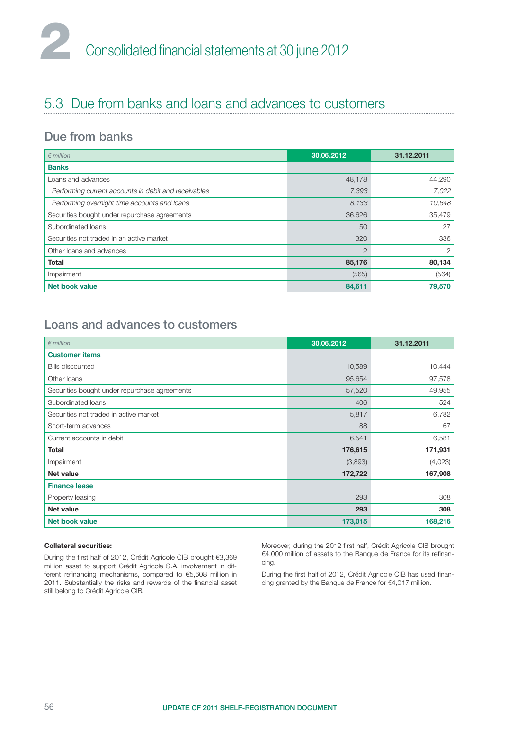## 5.3 Due from banks and loans and advances to customers

#### Due from banks

| $\n  emillion\n$                                     | 30.06.2012     | 31.12.2011     |
|------------------------------------------------------|----------------|----------------|
| <b>Banks</b>                                         |                |                |
| Loans and advances                                   | 48,178         | 44,290         |
| Performing current accounts in debit and receivables | 7,393          | 7,022          |
| Performing overnight time accounts and loans         | 8,133          | 10,648         |
| Securities bought under repurchase agreements        | 36,626         | 35,479         |
| Subordinated loans                                   | 50             | 27             |
| Securities not traded in an active market            | 320            | 336            |
| Other loans and advances                             | $\overline{2}$ | $\overline{2}$ |
| <b>Total</b>                                         | 85,176         | 80,134         |
| Impairment                                           | (565)          | (564)          |
| <b>Net book value</b>                                | 84,611         | 79,570         |

#### Loans and advances to customers

| $∈$ million                                   | 30.06.2012 | 31.12.2011 |
|-----------------------------------------------|------------|------------|
| <b>Customer items</b>                         |            |            |
| <b>Bills discounted</b>                       | 10,589     | 10,444     |
| Other loans                                   | 95,654     | 97,578     |
| Securities bought under repurchase agreements | 57,520     | 49,955     |
| Subordinated loans                            | 406        | 524        |
| Securities not traded in active market        | 5,817      | 6,782      |
| Short-term advances                           | 88         | 67         |
| Current accounts in debit                     | 6,541      | 6,581      |
| <b>Total</b>                                  | 176,615    | 171,931    |
| Impairment                                    | (3,893)    | (4,023)    |
| <b>Net value</b>                              | 172,722    | 167,908    |
| <b>Finance lease</b>                          |            |            |
| Property leasing                              | 293        | 308        |
| Net value                                     | 293        | 308        |
| <b>Net book value</b>                         | 173,015    | 168,216    |

#### Collateral securities:

During the first half of 2012, Crédit Agricole CIB brought €3,369 million asset to support Crédit Agricole S.A. involvement in different refinancing mechanisms, compared to  $€5,608$  million in 2011. Substantially the risks and rewards of the financial asset still belong to Crédit Agricole CIB.

Moreover, during the 2012 first half, Crédit Agricole CIB brought €4,000 million of assets to the Banque de France for its refinancing.

During the first half of 2012, Crédit Agricole CIB has used financing granted by the Banque de France for €4,017 million.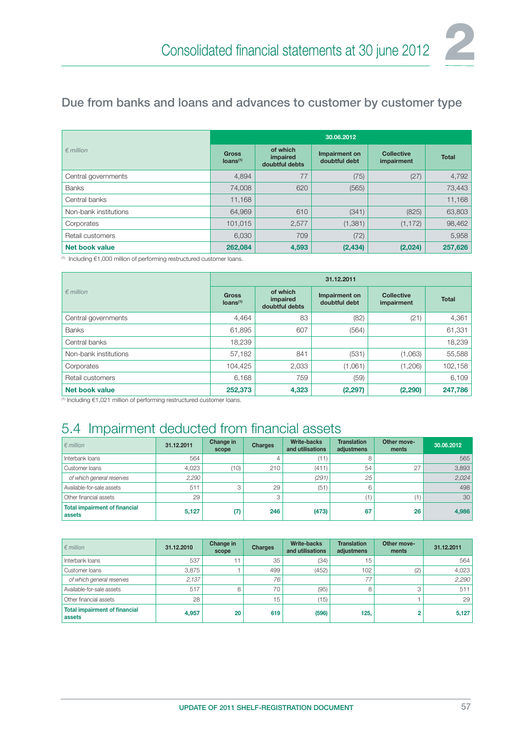### Due from banks and loans and advances to customer by customer type

|                       | 30.06.2012                           |                                        |                                |                                 |              |  |  |
|-----------------------|--------------------------------------|----------------------------------------|--------------------------------|---------------------------------|--------------|--|--|
| $\epsilon$ million    | <b>Gross</b><br>Ioans <sup>(1)</sup> | of which<br>impaired<br>doubtful debts | Impairment on<br>doubtful debt | <b>Collective</b><br>impairment | <b>Total</b> |  |  |
| Central governments   | 4,894                                | 77                                     | (75)                           | (27)                            | 4,792        |  |  |
| <b>Banks</b>          | 74,008                               | 620                                    | (565)                          |                                 | 73,443       |  |  |
| Central banks         | 11,168                               |                                        |                                |                                 | 11,168       |  |  |
| Non-bank institutions | 64,969                               | 610                                    | (341)                          | (825)                           | 63,803       |  |  |
| Corporates            | 101,015                              | 2,577                                  | (1,381)                        | (1, 172)                        | 98,462       |  |  |
| Retail customers      | 6,030                                | 709                                    | (72)                           |                                 | 5,958        |  |  |
| Net book value        | 262,084                              | 4,593                                  | (2, 434)                       | (2,024)                         | 257,626      |  |  |

(1) Including €1,000 million of performing restructured customer loans.

|                       | 31.12.2011                           |                                        |                                |                                 |              |  |  |
|-----------------------|--------------------------------------|----------------------------------------|--------------------------------|---------------------------------|--------------|--|--|
| $\epsilon$ million    | <b>Gross</b><br>Ioans <sup>(1)</sup> | of which<br>impaired<br>doubtful debts | Impairment on<br>doubtful debt | <b>Collective</b><br>impairment | <b>Total</b> |  |  |
| Central governments   | 4,464                                | 83                                     | (82)                           | (21)                            | 4,361        |  |  |
| <b>Banks</b>          | 61,895                               | 607                                    | (564)                          |                                 | 61,331       |  |  |
| Central banks         | 18,239                               |                                        |                                |                                 | 18,239       |  |  |
| Non-bank institutions | 57,182                               | 841                                    | (531)                          | (1,063)                         | 55,588       |  |  |
| Corporates            | 104,425                              | 2,033                                  | (1,061)                        | (1,206)                         | 102,158      |  |  |
| Retail customers      | 6,168                                | 759                                    | (59)                           |                                 | 6,109        |  |  |
| Net book value        | 252,373                              | 4,323                                  | (2, 297)                       | (2,290)                         | 247,786      |  |  |

(1) Including €1,021 million of performing restructured customer loans.

## 5.4 Impairment deducted from financial assets

| $\epsilon$ million                             | 31.12.2011 | Change in<br>scope | <b>Charges</b> | <b>Write-backs</b><br>and utilisations | <b>Translation</b><br>adjustmens | Other move-<br>ments | 30.06.2012 |
|------------------------------------------------|------------|--------------------|----------------|----------------------------------------|----------------------------------|----------------------|------------|
| Interbank loans                                | 564        |                    |                | (11)                                   | 8                                |                      | 565        |
| Customer loans                                 | 4,023      | (10)               | 210            | (411)                                  | 54                               | 27                   | 3,893      |
| of which general reserves                      | 2,290      |                    |                | (291)                                  | 25                               |                      | 2,024      |
| Available-for-sale assets                      | 511        | 3                  | 29             | (51)                                   | 6                                |                      | 498        |
| Other financial assets                         | 29         |                    |                |                                        |                                  | (1                   | 30         |
| <b>Total impairment of financial</b><br>assets | 5,127      | (7)                | 246            | (473)                                  | 67                               | 26                   | 4,986      |

| $\epsilon$ million                             | 31.12.2010 | Change in<br>scope | <b>Charges</b> | <b>Write-backs</b><br>and utilisations | <b>Translation</b><br>adjustmens | Other move-<br>ments | 31.12.2011 |
|------------------------------------------------|------------|--------------------|----------------|----------------------------------------|----------------------------------|----------------------|------------|
| Interbank loans                                | 537        | ۱1                 | 35             | (34)                                   | 15                               |                      | 564        |
| Customer loans                                 | 3,875      |                    | 499            | (452)                                  | 102                              | (2)                  | 4,023      |
| of which general reserves                      | 2,137      |                    | 76             |                                        | 77                               |                      | 2,290      |
| Available-for-sale assets                      | 517        | 8                  | 70             | (95)                                   | 8                                |                      | 511        |
| Other financial assets                         | 28         |                    | 15             | (15)                                   |                                  |                      | 29         |
| <b>Total impairment of financial</b><br>assets | 4,957      | 20                 | 619            | (596)                                  | 125,                             |                      | 5,127      |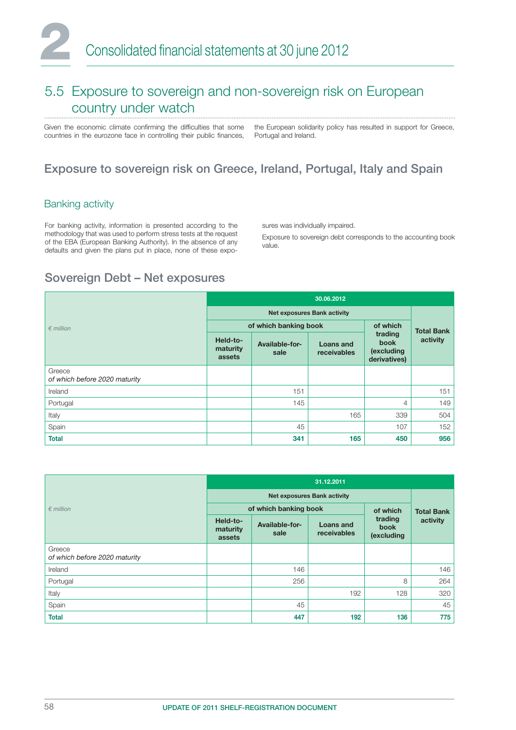### 5.5 Exposure to sovereign and non-sovereign risk on European country under watch

Given the economic climate confirming the difficulties that some countries in the eurozone face in controlling their public finances, the European solidarity policy has resulted in support for Greece, Portugal and Ireland.

#### Exposure to sovereign risk on Greece, Ireland, Portugal, Italy and Spain

#### Banking activity

For banking activity, information is presented according to the methodology that was used to perform stress tests at the request of the EBA (European Banking Authority). In the absence of any defaults and given the plans put in place, none of these exposures was individually impaired.

Exposure to sovereign debt corresponds to the accounting book value.

#### Sovereign Debt – Net exposures

|                                         | 30.06.2012                     |                                    |                                 |                                                      |          |  |
|-----------------------------------------|--------------------------------|------------------------------------|---------------------------------|------------------------------------------------------|----------|--|
|                                         |                                | <b>Net exposures Bank activity</b> |                                 |                                                      |          |  |
| $\epsilon$ million                      |                                | of which banking book              | of which                        | <b>Total Bank</b>                                    |          |  |
|                                         | Held-to-<br>maturity<br>assets | Available-for-<br>sale             | <b>Loans and</b><br>receivables | trading<br><b>book</b><br>(excluding<br>derivatives) | activity |  |
| Greece<br>of which before 2020 maturity |                                |                                    |                                 |                                                      |          |  |
| Ireland                                 |                                | 151                                |                                 |                                                      | 151      |  |
| Portugal                                |                                | 145                                |                                 | 4                                                    | 149      |  |
| Italy                                   |                                |                                    | 165                             | 339                                                  | 504      |  |
| Spain                                   |                                | 45                                 |                                 | 107                                                  | 152      |  |
| <b>Total</b>                            |                                | 341                                | 165                             | 450                                                  | 956      |  |

|                                         | 31.12.2011                     |                        |                          |                               |          |
|-----------------------------------------|--------------------------------|------------------------|--------------------------|-------------------------------|----------|
|                                         |                                |                        |                          |                               |          |
| $\epsilon$ million                      |                                | of which banking book  | of which                 | <b>Total Bank</b>             |          |
|                                         | Held-to-<br>maturity<br>assets | Available-for-<br>sale | Loans and<br>receivables | trading<br>book<br>(excluding | activity |
| Greece<br>of which before 2020 maturity |                                |                        |                          |                               |          |
| Ireland                                 |                                | 146                    |                          |                               | 146      |
| Portugal                                |                                | 256                    |                          | 8                             | 264      |
| Italy                                   |                                |                        | 192                      | 128                           | 320      |
| Spain                                   |                                | 45                     |                          |                               | 45       |
| <b>Total</b>                            |                                | 447                    | 192                      | 136                           | 775      |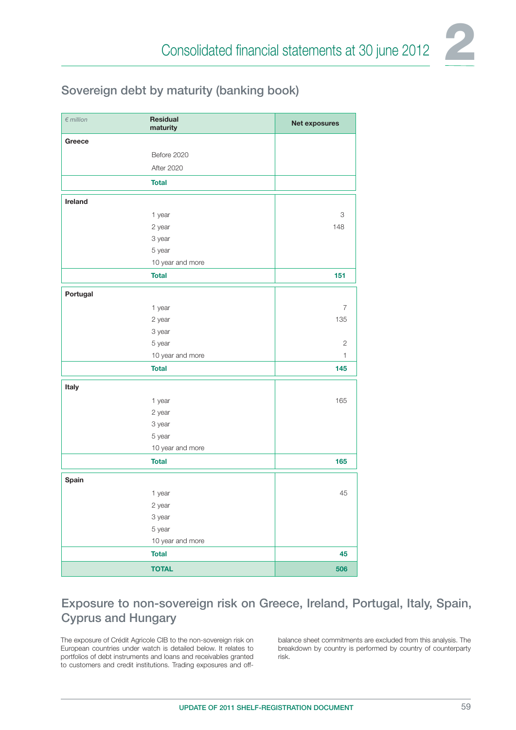

#### Sovereign debt by maturity (banking book)

| $\notin$ million | Residual<br>maturity | Net exposures  |
|------------------|----------------------|----------------|
| Greece           |                      |                |
|                  | Before 2020          |                |
|                  | <b>After 2020</b>    |                |
|                  | <b>Total</b>         |                |
| Ireland          |                      |                |
|                  | 1 year               | 3              |
|                  | 2 year               | 148            |
|                  | 3 year               |                |
|                  | 5 year               |                |
|                  | 10 year and more     |                |
|                  | <b>Total</b>         | 151            |
| Portugal         |                      |                |
|                  | 1 year               | $\overline{7}$ |
|                  | 2 year               | 135            |
|                  | 3 year               |                |
|                  | 5 year               | $\mathbf{2}$   |
|                  | 10 year and more     | 1              |
|                  | <b>Total</b>         | 145            |
| Italy            |                      |                |
|                  | 1 year               | 165            |
|                  | 2 year               |                |
|                  | 3 year               |                |
|                  | 5 year               |                |
|                  | 10 year and more     |                |
|                  | <b>Total</b>         | 165            |
| Spain            |                      |                |
|                  | 1 year               | 45             |
|                  | 2 year               |                |
|                  | 3 year               |                |
|                  | 5 year               |                |
|                  | 10 year and more     |                |
|                  | <b>Total</b>         | 45             |
|                  | <b>TOTAL</b>         | 506            |

#### Exposure to non-sovereign risk on Greece, Ireland, Portugal, Italy, Spain, Cyprus and Hungary

The exposure of Crédit Agricole CIB to the non-sovereign risk on European countries under watch is detailed below. It relates to portfolios of debt instruments and loans and receivables granted to customers and credit institutions. Trading exposures and offbalance sheet commitments are excluded from this analysis. The breakdown by country is performed by country of counterparty risk.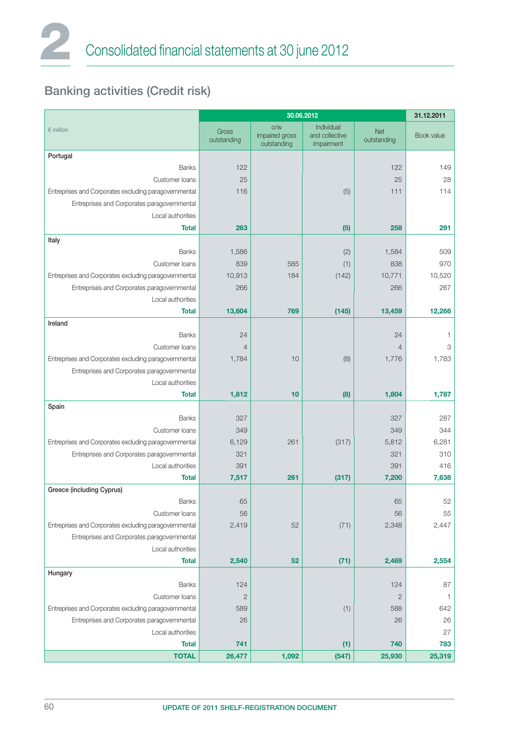## Banking activities (Credit risk)

|                                                       | 30.06.2012           |                                      |                                            |                           | 31.12.2011 |
|-------------------------------------------------------|----------------------|--------------------------------------|--------------------------------------------|---------------------------|------------|
| $∈$ million                                           | Gross<br>outstanding | O/W<br>impaired gross<br>outstanding | Individual<br>and collective<br>impairment | <b>Net</b><br>outstanding | Book value |
| Portugal                                              |                      |                                      |                                            |                           |            |
| <b>Banks</b>                                          | 122                  |                                      |                                            | 122                       | 149        |
| Customer loans                                        | 25                   |                                      |                                            | 25                        | 28         |
| Entreprises and Corporates excluding paragovernmental | 116                  |                                      | (5)                                        | 111                       | 114        |
| Entreprises and Corporates paragovernmental           |                      |                                      |                                            |                           |            |
| Local authorities                                     |                      |                                      |                                            |                           |            |
| <b>Total</b>                                          | 263                  |                                      | (5)                                        | 258                       | 291        |
| Italy                                                 |                      |                                      |                                            |                           |            |
| <b>Banks</b>                                          | 1,586                |                                      | (2)                                        | 1,584                     | 509        |
| Customer loans                                        | 839                  | 585                                  | (1)                                        | 838                       | 970        |
| Entreprises and Corporates excluding paragovernmental | 10,913               | 184                                  | (142)                                      | 10,771                    | 10,520     |
| Entreprises and Corporates paragovernmental           | 266                  |                                      |                                            | 266                       | 267        |
| Local authorities                                     |                      |                                      |                                            |                           |            |
| <b>Total</b>                                          | 13,604               | 769                                  | (145)                                      | 13,459                    | 12,266     |
| Ireland                                               |                      |                                      |                                            |                           |            |
| <b>Banks</b>                                          | 24                   |                                      |                                            | 24                        | 1          |
| Customer loans                                        | $\overline{4}$       |                                      |                                            | $\overline{4}$            | 3          |
| Entreprises and Corporates excluding paragovernmental | 1,784                | 10                                   | (8)                                        | 1,776                     | 1,783      |
| Entreprises and Corporates paragovernmental           |                      |                                      |                                            |                           |            |
| Local authorities                                     |                      |                                      |                                            |                           |            |
| <b>Total</b>                                          | 1,812                | 10                                   | (8)                                        | 1,804                     | 1,787      |
| Spain                                                 |                      |                                      |                                            |                           |            |
| <b>Banks</b>                                          | 327                  |                                      |                                            | 327                       | 287        |
| Customer loans                                        | 349                  |                                      |                                            | 349                       | 344        |
| Entreprises and Corporates excluding paragovernmental | 6,129                | 261                                  | (317)                                      | 5,812                     | 6,281      |
| Entreprises and Corporates paragovernmental           | 321                  |                                      |                                            | 321                       | 310        |
| Local authorities                                     | 391                  |                                      | (317)                                      | 391                       | 416        |
| <b>Total</b><br>Greece (including Cyprus)             | 7,517                | 261                                  |                                            | 7,200                     | 7,638      |
| <b>Banks</b>                                          | 65                   |                                      |                                            | 65                        | 52         |
| Customer loans                                        | 56                   |                                      |                                            | 56                        | 55         |
| Entreprises and Corporates excluding paragovernmental | 2,419                | 52                                   | (71)                                       | 2,348                     | 2,447      |
| Entreprises and Corporates paragovernmental           |                      |                                      |                                            |                           |            |
| Local authorities                                     |                      |                                      |                                            |                           |            |
| <b>Total</b>                                          | 2,540                | 52                                   | (71)                                       | 2,469                     | 2,554      |
| Hungary                                               |                      |                                      |                                            |                           |            |
| <b>Banks</b>                                          | 124                  |                                      |                                            | 124                       | 87         |
| Customer loans                                        | $\overline{2}$       |                                      |                                            | $\mathbf{2}$              | 1          |
| Entreprises and Corporates excluding paragovernmental | 589                  |                                      | (1)                                        | 588                       | 642        |
| Entreprises and Corporates paragovernmental           | 26                   |                                      |                                            | 26                        | 26         |
| Local authorities                                     |                      |                                      |                                            |                           | 27         |
| <b>Total</b>                                          | 741                  |                                      | (1)                                        | 740                       | 783        |
| <b>TOTAL</b>                                          | 26,477               | 1,092                                | (547)                                      | 25,930                    | 25,319     |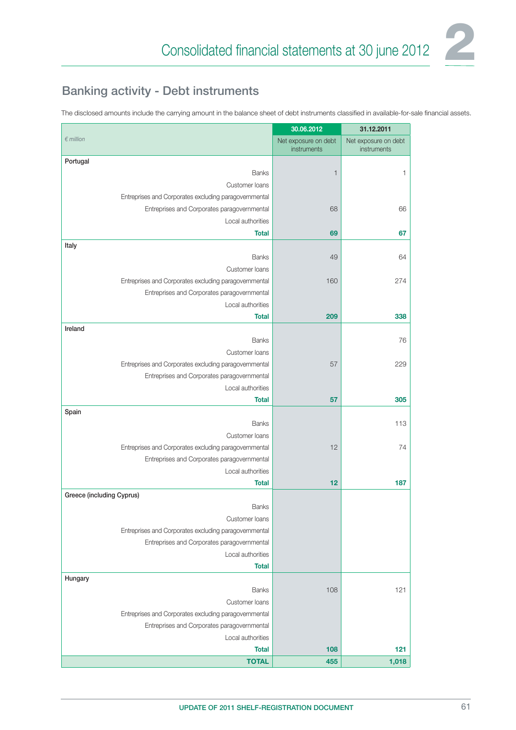

### Banking activity - Debt instruments

The disclosed amounts include the carrying amount in the balance sheet of debt instruments classified in available-for-sale financial assets.

|                                                                                                      | 30.06.2012                          | 31.12.2011                          |
|------------------------------------------------------------------------------------------------------|-------------------------------------|-------------------------------------|
| $\n  emillion\n$                                                                                     | Net exposure on debt<br>instruments | Net exposure on debt<br>instruments |
| Portugal                                                                                             |                                     |                                     |
| Banks                                                                                                | $\mathbf{1}$                        | 1                                   |
| Customer loans                                                                                       |                                     |                                     |
| Entreprises and Corporates excluding paragovernmental                                                |                                     |                                     |
| Entreprises and Corporates paragovernmental                                                          | 68                                  | 66                                  |
| Local authorities                                                                                    |                                     |                                     |
| <b>Total</b>                                                                                         | 69                                  | 67                                  |
| Italy                                                                                                |                                     |                                     |
| <b>Banks</b>                                                                                         | 49                                  | 64                                  |
| Customer loans                                                                                       | 160                                 | 274                                 |
| Entreprises and Corporates excluding paragovernmental<br>Entreprises and Corporates paragovernmental |                                     |                                     |
| Local authorities                                                                                    |                                     |                                     |
| <b>Total</b>                                                                                         | 209                                 | 338                                 |
| Ireland                                                                                              |                                     |                                     |
| <b>Banks</b>                                                                                         |                                     | 76                                  |
| Customer loans                                                                                       |                                     |                                     |
| Entreprises and Corporates excluding paragovernmental                                                | 57                                  | 229                                 |
| Entreprises and Corporates paragovernmental                                                          |                                     |                                     |
| Local authorities                                                                                    |                                     |                                     |
| <b>Total</b>                                                                                         | 57                                  | 305                                 |
| Spain                                                                                                |                                     |                                     |
| <b>Banks</b>                                                                                         |                                     | 113                                 |
| Customer loans                                                                                       |                                     |                                     |
| Entreprises and Corporates excluding paragovernmental                                                | 12                                  | 74                                  |
| Entreprises and Corporates paragovernmental                                                          |                                     |                                     |
| Local authorities                                                                                    |                                     |                                     |
| <b>Total</b>                                                                                         | 12                                  | 187                                 |
| Greece (including Cyprus)                                                                            |                                     |                                     |
| <b>Banks</b>                                                                                         |                                     |                                     |
| Customer loans                                                                                       |                                     |                                     |
| Entreprises and Corporates excluding paragovernmental                                                |                                     |                                     |
| Entreprises and Corporates paragovernmental                                                          |                                     |                                     |
| Local authorities                                                                                    |                                     |                                     |
| <b>Total</b>                                                                                         |                                     |                                     |
| Hungary                                                                                              |                                     |                                     |
| <b>Banks</b>                                                                                         | 108                                 | 121                                 |
| Customer loans                                                                                       |                                     |                                     |
| Entreprises and Corporates excluding paragovernmental                                                |                                     |                                     |
| Entreprises and Corporates paragovernmental<br>Local authorities                                     |                                     |                                     |
| <b>Total</b>                                                                                         | 108                                 | 121                                 |
| <b>TOTAL</b>                                                                                         | 455                                 | 1,018                               |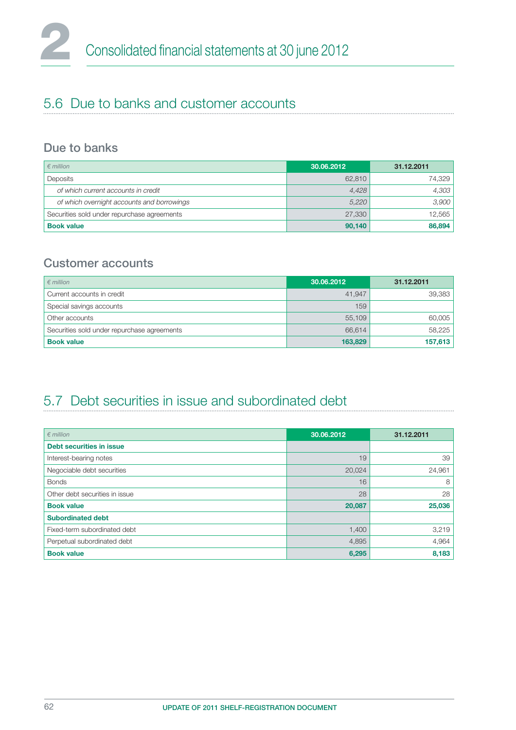## 5.6 Due to banks and customer accounts

#### Due to banks

| $\epsilon$ million                          | 30.06.2012 | 31.12.2011 |
|---------------------------------------------|------------|------------|
| Deposits                                    | 62,810     | 74,329     |
| of which current accounts in credit         | 4,428      | 4,303      |
| of which overnight accounts and borrowings  | 5,220      | 3,900      |
| Securities sold under repurchase agreements | 27,330     | 12,565     |
| <b>Book value</b>                           | 90,140     | 86,894     |

#### Customer accounts

| $\epsilon$ million                          | 30.06.2012 | 31.12.2011 |
|---------------------------------------------|------------|------------|
| Current accounts in credit                  | 41,947     | 39,383     |
| Special savings accounts                    | 159        |            |
| Other accounts                              | 55,109     | 60,005     |
| Securities sold under repurchase agreements | 66.614     | 58,225     |
| <b>Book value</b>                           | 163,829    | 157,613    |

## 5.7 Debt securities in issue and subordinated debt

| $\n  emillion\n$               | 30.06.2012 | 31.12.2011 |
|--------------------------------|------------|------------|
| Debt securities in issue       |            |            |
| Interest-bearing notes         | 19         | 39         |
| Negociable debt securities     | 20,024     | 24,961     |
| <b>Bonds</b>                   | 16         | 8          |
| Other debt securities in issue | 28         | 28         |
| <b>Book value</b>              | 20,087     | 25,036     |
| <b>Subordinated debt</b>       |            |            |
| Fixed-term subordinated debt   | 1,400      | 3,219      |
| Perpetual subordinated debt    | 4,895      | 4,964      |
| <b>Book value</b>              | 6,295      | 8,183      |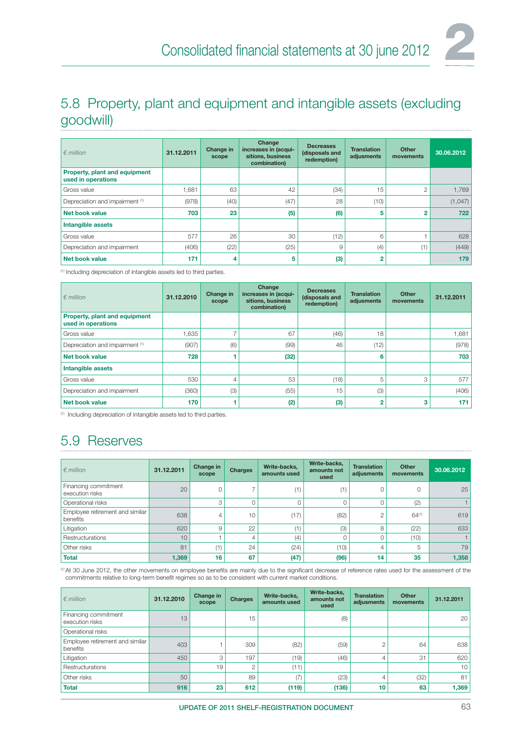

## 5.8 Property, plant and equipment and intangible assets (excluding goodwill)

| $\epsilon$ million                                  | 31.12.2011 | Change in<br>scope | Change<br>increases in (acqui-<br>sitions, business<br>combination) | <b>Decreases</b><br>(disposals and<br>redemption) | <b>Translation</b><br>adjusments | Other<br>movements | 30.06.2012 |
|-----------------------------------------------------|------------|--------------------|---------------------------------------------------------------------|---------------------------------------------------|----------------------------------|--------------------|------------|
| Property, plant and equipment<br>used in operations |            |                    |                                                                     |                                                   |                                  |                    |            |
| Gross value                                         | 1,681      | 63                 | 42                                                                  | (34)                                              | 15                               | $\overline{2}$     | 1,769      |
| Depreciation and impairment (1)                     | (978)      | (40)               | (47)                                                                | 28                                                | (10)                             |                    | (1,047)    |
| Net book value                                      | 703        | 23                 | (5)                                                                 | (6)                                               | 5                                | $\overline{2}$     | 722        |
| Intangible assets                                   |            |                    |                                                                     |                                                   |                                  |                    |            |
| Gross value                                         | 577        | 26                 | 30                                                                  | (12)                                              | 6                                |                    | 628        |
| Depreciation and impairment                         | (406)      | (22)               | (25)                                                                | 9                                                 | (4)                              | (1)                | (449)      |
| <b>Net book value</b>                               | 171        | 4                  | 5                                                                   | (3)                                               | $\overline{2}$                   |                    | 179        |

(1) Including depreciation of intangible assets led to third parties.

| $\n  emillion\n$                                    | 31.12.2010 | Change in<br>scope | Change<br>increases in (acqui-<br>sitions, business<br>combination) | <b>Decreases</b><br>(disposals and<br>redemption) | <b>Translation</b><br>adjusments | Other<br>movements | 31.12.2011 |
|-----------------------------------------------------|------------|--------------------|---------------------------------------------------------------------|---------------------------------------------------|----------------------------------|--------------------|------------|
| Property, plant and equipment<br>used in operations |            |                    |                                                                     |                                                   |                                  |                    |            |
| Gross value                                         | 1,635      |                    | 67                                                                  | (46)                                              | 18                               |                    | 1,681      |
| Depreciation and impairment (1)                     | (907)      | (6)                | (99)                                                                | 46                                                | (12)                             |                    | (978)      |
| Net book value                                      | 728        |                    | (32)                                                                |                                                   | 6                                |                    | 703        |
| Intangible assets                                   |            |                    |                                                                     |                                                   |                                  |                    |            |
| Gross value                                         | 530        | 4                  | 53                                                                  | (18)                                              | 5                                | 3                  | 577        |
| Depreciation and impairment                         | (360)      | (3)                | (55)                                                                | 15                                                | (3)                              |                    | (406)      |
| Net book value                                      | 170        |                    | (2)                                                                 | (3)                                               | $\overline{2}$                   | 3                  | 171        |

(1) Including depreciation of intangible assets led to third parties.

## 5.9 Reserves

| $\epsilon$ million                          | 31.12.2011 | Change in<br>scope | <b>Charges</b> | Write-backs,<br>amounts used | Write-backs.<br>amounts not<br>used | <b>Translation</b><br>adjusments | Other<br>movements | 30.06.2012 |
|---------------------------------------------|------------|--------------------|----------------|------------------------------|-------------------------------------|----------------------------------|--------------------|------------|
| Financing commitment<br>execution risks     | 20         |                    |                | (1)                          | (1)                                 | 0                                | 0                  | 25         |
| Operational risks                           |            | З                  |                |                              | $\Omega$                            | 0                                | (2)                |            |
| Employee retirement and similar<br>benefits | 638        |                    | 10             | (17)                         | (82)                                | 2                                | $64^{(1)}$         | 619        |
| Litigation                                  | 620        | 9                  | 22             | (1)                          | (3)                                 | 8                                | (22)               | 633        |
| Restructurations                            | 10         |                    |                | (4)                          | $\Omega$                            |                                  | (10)               |            |
| Other risks                                 | 81         | (1)                | 24             | (24)                         | (10)                                | 4                                | 5                  | 79         |
| <b>Total</b>                                | 1,369      | 16                 | 67             | (47)                         | (96)                                | 14                               | 35                 | 1,358      |

<sup>(1)</sup> At 30 June 2012, the other movements on employee benefits are mainly due to the significant decrease of reference rates used for the assessment of the commitments relative to long-term benefit regimes so as to be consistent with current market conditions.

| $\notin$ million                            | 31.12.2010 | Change in<br>scope | <b>Charges</b> | Write-backs.<br>amounts used | Write-backs,<br>amounts not<br>used | <b>Translation</b><br>adjusments | Other<br>movements | 31.12.2011 |
|---------------------------------------------|------------|--------------------|----------------|------------------------------|-------------------------------------|----------------------------------|--------------------|------------|
| Financing commitment<br>execution risks     | 13         |                    | 15             |                              | (8)                                 |                                  |                    | 20         |
| Operational risks                           |            |                    |                |                              |                                     |                                  |                    |            |
| Employee retirement and similar<br>benefits | 403        |                    | 309            | (82)                         | (59)                                |                                  | 64                 | 638        |
| Litigation                                  | 450        | 3                  | 197            | (19)                         | (46)                                | 4                                | 31                 | 620        |
| Restructurations                            |            | 19                 | $\overline{c}$ | (11)                         |                                     |                                  |                    | 10         |
| Other risks                                 | 50         |                    | 89             | (7)                          | (23)                                | 4                                | (32)               | 81         |
| <b>Total</b>                                | 916        | 23                 | 612            | (119)                        | (136)                               | 10                               | 63                 | 1,369      |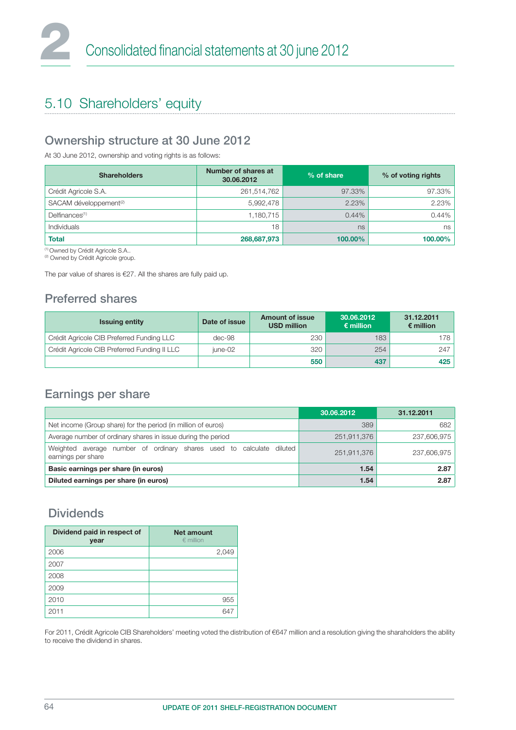## 5.10 Shareholders' equity

#### Ownership structure at 30 June 2012

At 30 June 2012, ownership and voting rights is as follows:

| <b>Shareholders</b>                | Number of shares at<br>30.06.2012 | % of share | % of voting rights |
|------------------------------------|-----------------------------------|------------|--------------------|
| Crédit Agricole S.A.               | 261,514,762                       | 97.33%     | 97.33%             |
| SACAM développement <sup>(2)</sup> | 5,992,478                         | 2.23%      | 2.23%              |
| Delfinances <sup>(1)</sup>         | 1,180,715                         | 0.44%      | 0.44%              |
| Individuals                        | 18                                | ns         | ns                 |
| <b>Total</b>                       | 268,687,973                       | 100.00%    | 100.00%            |

(1) Owned by Crédit Agricole S.A..

<sup>(2)</sup> Owned by Crédit Agricole group.

The par value of shares is €27. All the shares are fully paid up.

#### Preferred shares

| <b>Issuing entity</b>                        | Date of issue | <b>Amount of issue</b><br><b>USD million</b> | 30.06.2012<br>$\epsilon$ million | 31.12.2011<br>$\epsilon$ million |
|----------------------------------------------|---------------|----------------------------------------------|----------------------------------|----------------------------------|
| Crédit Agricole CIB Preferred Funding LLC    | dec-98        | 230                                          | 183                              | 178 I                            |
| Crédit Agricole CIB Preferred Funding II LLC | iune-02       | 320                                          | 254                              | 247                              |
|                                              |               | 550                                          | 437                              | 425                              |

#### Earnings per share

|                                                                                                     | 30.06.2012  | 31.12.2011  |
|-----------------------------------------------------------------------------------------------------|-------------|-------------|
| Net income (Group share) for the period (in million of euros)                                       | 389         | 682         |
| Average number of ordinary shares in issue during the period                                        | 251,911,376 | 237,606,975 |
| Weighted<br>average number of ordinary shares used to<br>calculate<br>diluted<br>earnings per share | 251,911,376 | 237,606,975 |
| Basic earnings per share (in euros)                                                                 | 1.54        | 2.87        |
| Diluted earnings per share (in euros)                                                               | 1.54        | 2.87        |

#### Dividends

| Dividend paid in respect of<br>year | <b>Net amount</b><br>$\epsilon$ million |
|-------------------------------------|-----------------------------------------|
| 2006                                | 2,049                                   |
| 2007                                |                                         |
| 2008                                |                                         |
| 2009                                |                                         |
| 2010                                | 955                                     |
| 2011                                |                                         |

For 2011, Crédit Agricole CIB Shareholders' meeting voted the distribution of €647 million and a resolution giving the sharaholders the ability to receive the dividend in shares.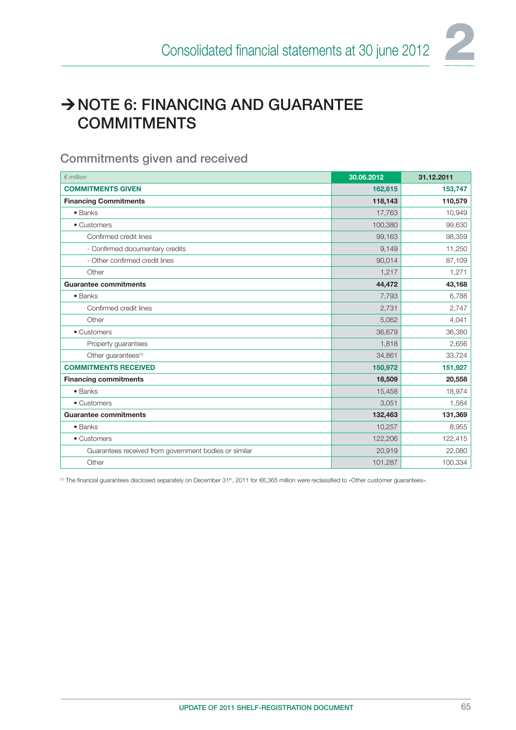

## ANOTE 6: FINANCING AND GUARANTEE **COMMITMENTS**

#### Commitments given and received

| $\epsilon$ million                                    | 30.06.2012 | 31.12.2011 |
|-------------------------------------------------------|------------|------------|
| <b>COMMITMENTS GIVEN</b>                              | 162,615    | 153,747    |
| <b>Financing Commitments</b>                          | 118,143    | 110,579    |
| $\bullet$ Banks                                       | 17,763     | 10,949     |
| • Customers                                           | 100,380    | 99,630     |
| Confirmed credit lines                                | 99,163     | 98,359     |
| - Confirmed documentary credits                       | 9,149      | 11,250     |
| - Other confirmed credit lines                        | 90,014     | 87,109     |
| Other                                                 | 1,217      | 1,271      |
| <b>Guarantee commitments</b>                          | 44,472     | 43,168     |
| • Banks                                               | 7,793      | 6,788      |
| Confirmed credit lines                                | 2,731      | 2,747      |
| Other                                                 | 5,062      | 4,041      |
| • Customers                                           | 36,679     | 36,380     |
| Property guarantees                                   | 1,818      | 2,656      |
| Other quarantees <sup>(1)</sup>                       | 34,861     | 33,724     |
| <b>COMMITMENTS RECEIVED</b>                           | 150,972    | 151,927    |
| <b>Financing commitments</b>                          | 18,509     | 20,558     |
| • Banks                                               | 15,458     | 18,974     |
| • Customers                                           | 3,051      | 1,584      |
| <b>Guarantee commitments</b>                          | 132,463    | 131,369    |
| • Banks                                               | 10,257     | 8,955      |
| • Customers                                           | 122,206    | 122,415    |
| Guarantees received from government bodies or similar | 20,919     | 22,080     |
| Other                                                 | 101,287    | 100,334    |

<sup>(1)</sup> The financial guarantees disclosed separately on December 31<sup>th</sup>, 2011 for €6,365 million were reclassified to «Other customer guarantees».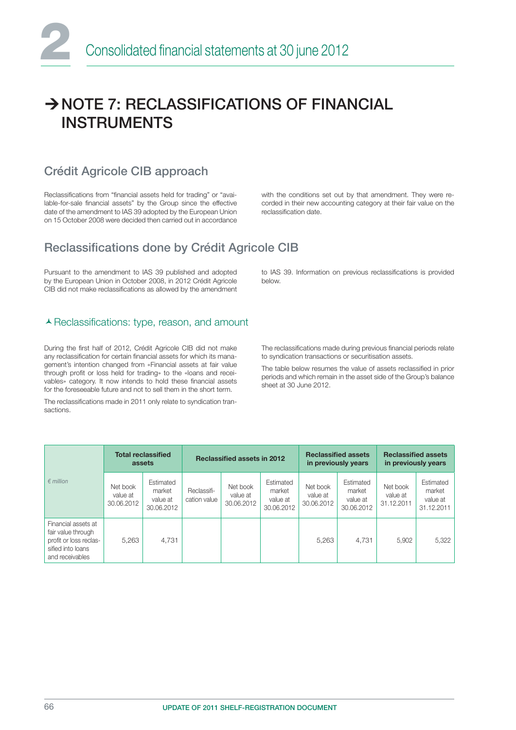## → NOTE 7: RECLASSIFICATIONS OF FINANCIAL INSTRUMENTS

#### Crédit Agricole CIB approach

Reclassifications from "financial assets held for trading" or "available-for-sale financial assets" by the Group since the effective date of the amendment to IAS 39 adopted by the European Union on 15 October 2008 were decided then carried out in accordance with the conditions set out by that amendment. They were recorded in their new accounting category at their fair value on the reclassification date.

### Reclassifications done by Crédit Agricole CIB

Pursuant to the amendment to IAS 39 published and adopted by the European Union in October 2008, in 2012 Crédit Agricole CIB did not make reclassifications as allowed by the amendment

#### ▲ Reclassifications: type, reason, and amount

During the first half of 2012, Crédit Agricole CIB did not make any reclassification for certain financial assets for which its management's intention changed from «Financial assets at fair value through profit or loss held for trading» to the «loans and receivables» category. It now intends to hold these financial assets for the foreseeable future and not to sell them in the short term.

The reclassifications made in 2011 only relate to syndication transactions.

to IAS 39. Information on previous reclassifications is provided below.

The reclassifications made during previous financial periods relate to syndication transactions or securitisation assets.

The table below resumes the value of assets reclassified in prior periods and which remain in the asset side of the Group's balance sheet at 30 June 2012.

|                                                                                                             | <b>Total reclassified</b><br>assets |                                               | <b>Reclassified assets in 2012</b> |                                    |                                               | <b>Reclassified assets</b><br>in previously years |                                               | <b>Reclassified assets</b><br>in previously years |                                               |
|-------------------------------------------------------------------------------------------------------------|-------------------------------------|-----------------------------------------------|------------------------------------|------------------------------------|-----------------------------------------------|---------------------------------------------------|-----------------------------------------------|---------------------------------------------------|-----------------------------------------------|
| $\epsilon$ million                                                                                          | Net book<br>value at<br>30.06.2012  | Estimated<br>market<br>value at<br>30.06.2012 | Reclassifi-<br>cation value        | Net book<br>value at<br>30.06.2012 | Estimated<br>market<br>value at<br>30.06.2012 | Net book<br>value at<br>30.06.2012                | Estimated<br>market<br>value at<br>30.06.2012 | Net book<br>value at<br>31.12.2011                | Estimated<br>market<br>value at<br>31.12.2011 |
| Financial assets at<br>fair value through<br>profit or loss reclas-<br>sified into loans<br>and receivables | 5.263                               | 4.731                                         |                                    |                                    |                                               | 5,263                                             | 4.731                                         | 5.902                                             | 5,322                                         |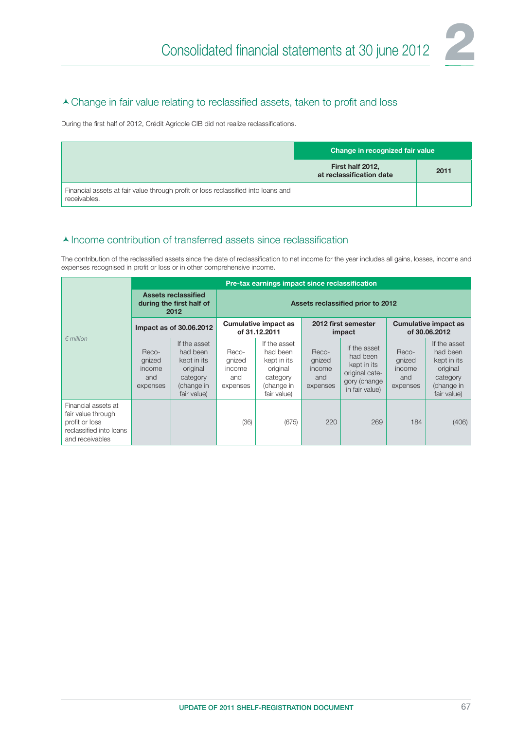#### A Change in fair value relating to reclassified assets, taken to profit and loss

During the first half of 2012, Crédit Agricole CIB did not realize reclassifications.

|                                                                                                   | Change in recognized fair value              |      |  |  |
|---------------------------------------------------------------------------------------------------|----------------------------------------------|------|--|--|
|                                                                                                   | First half 2012,<br>at reclassification date | 2011 |  |  |
| Financial assets at fair value through profit or loss reclassified into loans and<br>receivables. |                                              |      |  |  |

#### $\blacktriangle$  Income contribution of transferred assets since reclassification

The contribution of the reclassified assets since the date of reclassification to net income for the year includes all gains, losses, income and expenses recognised in profit or loss or in other comprehensive income.

|                                                                                                           | Pre-tax earnings impact since reclassification                 |                                                                                              |                                              |                                                                                              |                                              |                                                                                             |                                              |                                                                                              |  |  |
|-----------------------------------------------------------------------------------------------------------|----------------------------------------------------------------|----------------------------------------------------------------------------------------------|----------------------------------------------|----------------------------------------------------------------------------------------------|----------------------------------------------|---------------------------------------------------------------------------------------------|----------------------------------------------|----------------------------------------------------------------------------------------------|--|--|
|                                                                                                           | <b>Assets reclassified</b><br>during the first half of<br>2012 |                                                                                              | Assets reclassified prior to 2012            |                                                                                              |                                              |                                                                                             |                                              |                                                                                              |  |  |
|                                                                                                           | Impact as of 30.06.2012                                        |                                                                                              | <b>Cumulative impact as</b><br>of 31.12.2011 |                                                                                              | 2012 first semester<br>impact                |                                                                                             | <b>Cumulative impact as</b><br>of 30.06.2012 |                                                                                              |  |  |
| $\epsilon$ million                                                                                        | Reco-<br>gnized<br>income<br>and<br>expenses                   | If the asset<br>had been<br>kept in its<br>original<br>category<br>(change in<br>fair value) | Reco-<br>gnized<br>income<br>and<br>expenses | If the asset<br>had been<br>kept in its<br>original<br>category<br>(change in<br>fair value) | Reco-<br>gnized<br>income<br>and<br>expenses | If the asset<br>had been<br>kept in its<br>original cate-<br>gory (change<br>in fair value) | Reco-<br>gnized<br>income<br>and<br>expenses | If the asset<br>had been<br>kept in its<br>original<br>category<br>(change in<br>fair value) |  |  |
| Financial assets at<br>fair value through<br>profit or loss<br>reclassified into loans<br>and receivables |                                                                |                                                                                              | (36)                                         | (675)                                                                                        | 220                                          | 269                                                                                         | 184                                          | (406)                                                                                        |  |  |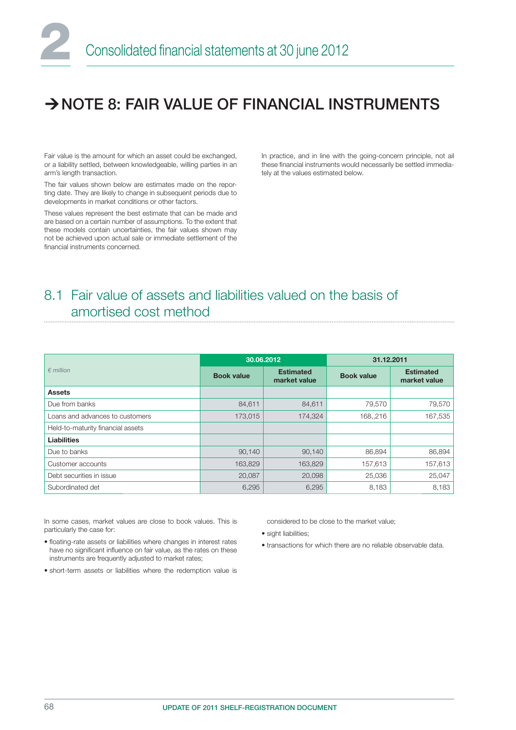## $\rightarrow$  NOTE 8: FAIR VALUE OF FINANCIAL INSTRUMENTS

Fair value is the amount for which an asset could be exchanged, or a liability settled, between knowledgeable, willing parties in an arm's length transaction.

The fair values shown below are estimates made on the reporting date. They are likely to change in subsequent periods due to developments in market conditions or other factors.

These values represent the best estimate that can be made and are based on a certain number of assumptions. To the extent that these models contain uncertainties, the fair values shown may not be achieved upon actual sale or immediate settlement of the financial instruments concerned

In practice, and in line with the going-concern principle, not ail these financial instruments would necessarily be settled immediately at the values estimated below.

### 8.1 Fair value of assets and liabilities valued on the basis of amortised cost method

|                                   | 30.06.2012        |                                  | 31.12.2011        |                                  |  |
|-----------------------------------|-------------------|----------------------------------|-------------------|----------------------------------|--|
| $\epsilon$ million                | <b>Book value</b> | <b>Estimated</b><br>market value | <b>Book value</b> | <b>Estimated</b><br>market value |  |
| <b>Assets</b>                     |                   |                                  |                   |                                  |  |
| Due from banks                    | 84,611            | 84,611                           | 79,570            | 79,570                           |  |
| Loans and advances to customers   | 173,015           | 174,324                          | 168,,216          | 167,535                          |  |
| Held-to-maturity financial assets |                   |                                  |                   |                                  |  |
| <b>Liabilities</b>                |                   |                                  |                   |                                  |  |
| Due to banks                      | 90,140            | 90,140                           | 86,894            | 86,894                           |  |
| Customer accounts                 | 163,829           | 163,829                          | 157,613           | 157,613                          |  |
| Debt securities in issue          | 20,087            | 20,098                           | 25,036            | 25,047                           |  |
| Subordinated det                  | 6,295             | 6,295                            | 8,183             | 8,183                            |  |

In some cases, market values are close to book values. This is particularly the case for:

- floating-rate assets or liabilities where changes in interest rates have no significant influence on fair value, as the rates on these instruments are frequently adjusted to market rates;
- short-term assets or liabilities where the redemption value is

considered to be close to the market value;

• sight liabilities:

• transactions for which there are no reliable observable data.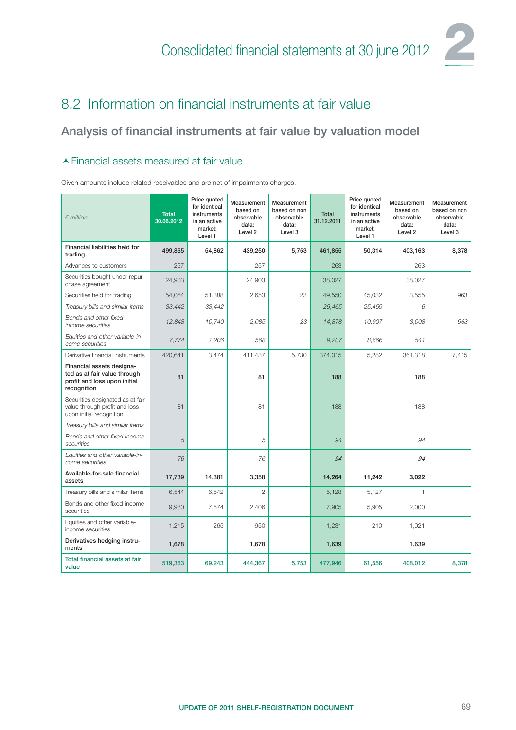

### 8.2 Information on financial instruments at fair value

#### Analysis of financial instruments at fair value by valuation model

#### Financial assets measured at fair value

Given amounts include related receivables and are net of impairments charges.

| $\epsilon$ million                                                                                       | <b>Total</b><br>30.06.2012 | Price quoted<br>for identical<br>instruments<br>in an active<br>market:<br>Level 1 | Measurement<br>based on<br>observable<br>data:<br>Level <sub>2</sub> | Measurement<br>based on non<br>observable<br>data:<br>Level 3 | <b>Total</b><br>31.12.2011 | Price quoted<br>for identical<br>instruments<br>in an active<br>market:<br>Level 1 | Measurement<br>based on<br>observable<br>data:<br>Level <sub>2</sub> | Measurement<br>based on non<br>observable<br>data:<br>Level 3 |
|----------------------------------------------------------------------------------------------------------|----------------------------|------------------------------------------------------------------------------------|----------------------------------------------------------------------|---------------------------------------------------------------|----------------------------|------------------------------------------------------------------------------------|----------------------------------------------------------------------|---------------------------------------------------------------|
| Financial liabilities held for<br>trading                                                                | 499,865                    | 54,862                                                                             | 439,250                                                              | 5,753                                                         | 461,855                    | 50,314                                                                             | 403,163                                                              | 8,378                                                         |
| Advances to customers                                                                                    | 257                        |                                                                                    | 257                                                                  |                                                               | 263                        |                                                                                    | 263                                                                  |                                                               |
| Securities bought under repur-<br>chase agreement                                                        | 24,903                     |                                                                                    | 24,903                                                               |                                                               | 38,027                     |                                                                                    | 38,027                                                               |                                                               |
| Securities held for trading                                                                              | 54,064                     | 51,388                                                                             | 2,653                                                                | 23                                                            | 49,550                     | 45,032                                                                             | 3,555                                                                | 963                                                           |
| Treasury bills and similar items                                                                         | 33,442                     | 33,442                                                                             |                                                                      |                                                               | 25,465                     | 25,459                                                                             | 6                                                                    |                                                               |
| Bonds and other fixed-<br>income securities                                                              | 12,848                     | 10,740                                                                             | 2,085                                                                | 23                                                            | 14,878                     | 10,907                                                                             | 3,008                                                                | 963                                                           |
| Equities and other variable-in-<br>come securities                                                       | 7,774                      | 7,206                                                                              | 568                                                                  |                                                               | 9,207                      | 8,666                                                                              | 541                                                                  |                                                               |
| Derivative financial instruments                                                                         | 420,641                    | 3,474                                                                              | 411,437                                                              | 5,730                                                         | 374,015                    | 5,282                                                                              | 361,318                                                              | 7,415                                                         |
| Financial assets designa-<br>ted as at fair value through<br>profit and loss upon initial<br>recognition | 81                         |                                                                                    | 81                                                                   |                                                               | 188                        |                                                                                    | 188                                                                  |                                                               |
| Securities designated as at fair<br>value through profit and loss<br>upon initial récognition            | 81                         |                                                                                    | 81                                                                   |                                                               | 188                        |                                                                                    | 188                                                                  |                                                               |
| Treasury bills and similar items                                                                         |                            |                                                                                    |                                                                      |                                                               |                            |                                                                                    |                                                                      |                                                               |
| Bonds and other fixed-income<br>securities                                                               | 5                          |                                                                                    | 5                                                                    |                                                               | 94                         |                                                                                    | 94                                                                   |                                                               |
| Equities and other variable-in-<br>come securities                                                       | 76                         |                                                                                    | 76                                                                   |                                                               | 94                         |                                                                                    | 94                                                                   |                                                               |
| Available-for-sale financial<br>assets                                                                   | 17,739                     | 14,381                                                                             | 3,358                                                                |                                                               | 14,264                     | 11,242                                                                             | 3,022                                                                |                                                               |
| Treasury bills and similar items                                                                         | 6.544                      | 6.542                                                                              | $\overline{2}$                                                       |                                                               | 5.128                      | 5.127                                                                              | $\mathbf{1}$                                                         |                                                               |
| Bonds and other fixed-income<br>securities                                                               | 9,980                      | 7,574                                                                              | 2,406                                                                |                                                               | 7,905                      | 5,905                                                                              | 2,000                                                                |                                                               |
| Equities and other variable-<br>income securities                                                        | 1,215                      | 265                                                                                | 950                                                                  |                                                               | 1,231                      | 210                                                                                | 1,021                                                                |                                                               |
| Derivatives hedging instru-<br>ments                                                                     | 1,678                      |                                                                                    | 1,678                                                                |                                                               | 1,639                      |                                                                                    | 1,639                                                                |                                                               |
| Total financial assets at fair<br>value                                                                  | 519,363                    | 69,243                                                                             | 444,367                                                              | 5,753                                                         | 477,946                    | 61,556                                                                             | 408,012                                                              | 8,378                                                         |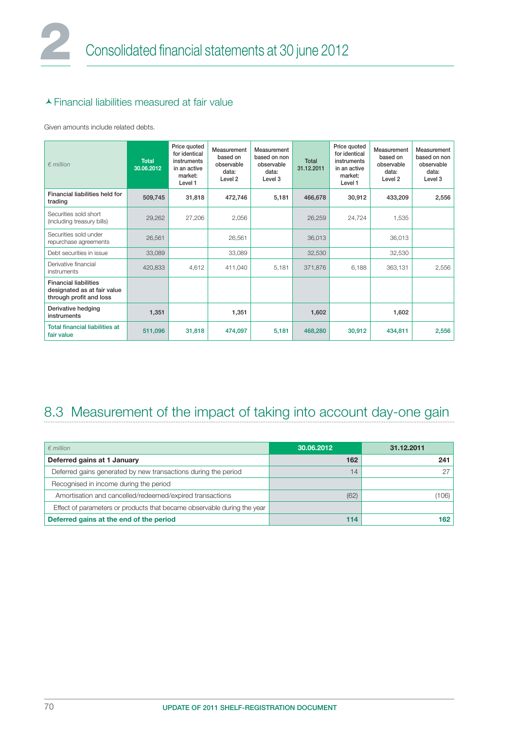#### Financial liabilities measured at fair value

Given amounts include related debts.

| $\n  emillion\n$                                                                       | <b>Total</b><br>30.06.2012 | Price quoted<br>for identical<br>instruments<br>in an active<br>market:<br>Level 1 | Measurement<br>based on<br>observable<br>data:<br>Level <sub>2</sub> | Measurement<br>based on non<br>observable<br>data:<br>Level 3 | Total<br>31.12.2011 | Price quoted<br>for identical<br>instruments<br>in an active<br>market:<br>Level 1 | Measurement<br>based on<br>observable<br>data:<br>Level <sub>2</sub> | Measurement<br>based on non<br>observable<br>data:<br>Level 3 |
|----------------------------------------------------------------------------------------|----------------------------|------------------------------------------------------------------------------------|----------------------------------------------------------------------|---------------------------------------------------------------|---------------------|------------------------------------------------------------------------------------|----------------------------------------------------------------------|---------------------------------------------------------------|
| Financial liabilities held for<br>trading                                              | 509,745                    | 31,818                                                                             | 472,746                                                              | 5,181                                                         | 466,678             | 30,912                                                                             | 433,209                                                              | 2,556                                                         |
| Securities sold short<br>(including treasury bills)                                    | 29,262                     | 27,206                                                                             | 2,056                                                                |                                                               | 26,259              | 24,724                                                                             | 1,535                                                                |                                                               |
| Securities sold under<br>repurchase agreements                                         | 26,561                     |                                                                                    | 26,561                                                               |                                                               | 36,013              |                                                                                    | 36,013                                                               |                                                               |
| Debt securities in issue                                                               | 33,089                     |                                                                                    | 33,089                                                               |                                                               | 32,530              |                                                                                    | 32,530                                                               |                                                               |
| Derivative financial<br>instruments                                                    | 420,833                    | 4,612                                                                              | 411,040                                                              | 5,181                                                         | 371,876             | 6,188                                                                              | 363,131                                                              | 2,556                                                         |
| <b>Financial liabilities</b><br>designated as at fair value<br>through profit and loss |                            |                                                                                    |                                                                      |                                                               |                     |                                                                                    |                                                                      |                                                               |
| Derivative hedging<br>instruments                                                      | 1,351                      |                                                                                    | 1,351                                                                |                                                               | 1,602               |                                                                                    | 1,602                                                                |                                                               |
| <b>Total financial liabilities at</b><br>fair value                                    | 511,096                    | 31,818                                                                             | 474,097                                                              | 5,181                                                         | 468,280             | 30,912                                                                             | 434,811                                                              | 2,556                                                         |

## 8.3 Measurement of the impact of taking into account day-one gain

| $\epsilon$ million                                                      | 30.06.2012 | 31.12.2011 |
|-------------------------------------------------------------------------|------------|------------|
| Deferred gains at 1 January                                             | 162        | 241        |
| Deferred gains generated by new transactions during the period          | 14         |            |
| Recognised in income during the period                                  |            |            |
| Amortisation and cancelled/redeemed/expired transactions                | (62)       | (106)      |
| Effect of parameters or products that became observable during the year |            |            |
| Deferred gains at the end of the period                                 | 114        | 162        |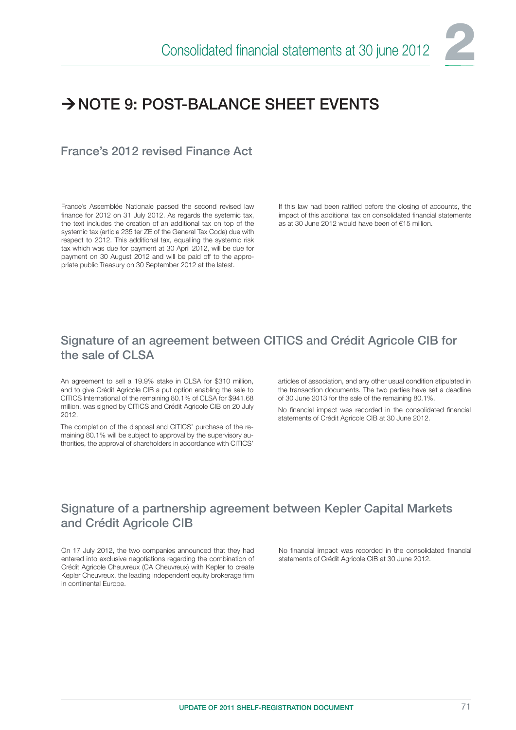

# $\rightarrow$  NOTE 9: POST-BALANCE SHEFT EVENTS

France's 2012 revised Finance Act

France's Assemblée Nationale passed the second revised law finance for 2012 on 31 July 2012. As regards the systemic tax, the text includes the creation of an additional tax on top of the systemic tax (article 235 ter ZE of the General Tax Code) due with respect to 2012. This additional tax, equalling the systemic risk tax which was due for payment at 30 April 2012, will be due for payment on 30 August 2012 and will be paid off to the appropriate public Treasury on 30 September 2012 at the latest.

If this law had been ratified before the closing of accounts, the impact of this additional tax on consolidated financial statements as at 30 June 2012 would have been of €15 million.

### Signature of an agreement between CITICS and Crédit Agricole CIB for the sale of CLSA

An agreement to sell a 19.9% stake in CLSA for \$310 million, and to give Crédit Agricole CIB a put option enabling the sale to CITICS International of the remaining 80.1% of CLSA for \$941.68 million, was signed by CITICS and Crédit Agricole CIB on 20 July 2012.

The completion of the disposal and CITICS' purchase of the remaining 80.1% will be subject to approval by the supervisory authorities, the approval of shareholders in accordance with CITICS'

articles of association, and any other usual condition stipulated in the transaction documents. The two parties have set a deadline of 30 June 2013 for the sale of the remaining 80.1%.

No financial impact was recorded in the consolidated financial statements of Crédit Agricole CIB at 30 June 2012.

## Signature of a partnership agreement between Kepler Capital Markets and Crédit Agricole CIB

On 17 July 2012, the two companies announced that they had entered into exclusive negotiations regarding the combination of Crédit Agricole Cheuvreux (CA Cheuvreux) with Kepler to create Kepler Cheuvreux, the leading independent equity brokerage firm in continental Europe.

No financial impact was recorded in the consolidated financial statements of Crédit Agricole CIB at 30 June 2012.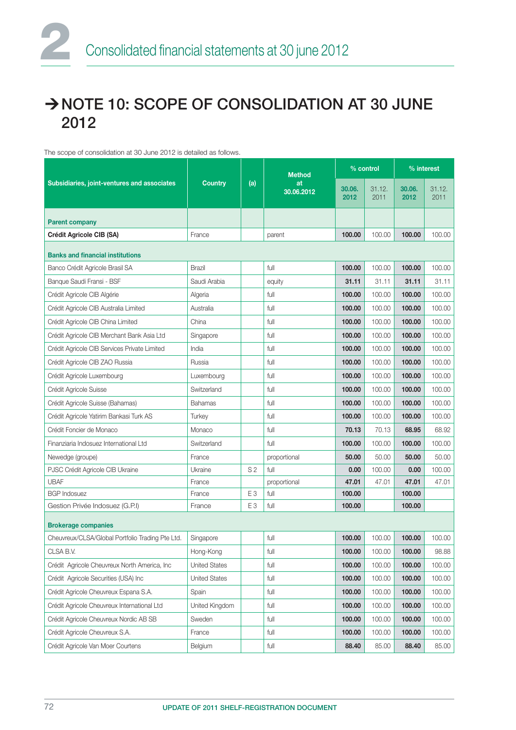# A NOTE 10: SCOPE OF CONSOLIDATION AT 30 JUNE 2012

#### The scope of consolidation at 30 June 2012 is detailed as follows.

|                                                  |                      |                | <b>Method</b>    |                | % control      | % interest     |                |  |
|--------------------------------------------------|----------------------|----------------|------------------|----------------|----------------|----------------|----------------|--|
| Subsidiaries, joint-ventures and associates      | <b>Country</b>       | (a)            | at<br>30.06.2012 | 30.06.<br>2012 | 31.12.<br>2011 | 30.06.<br>2012 | 31.12.<br>2011 |  |
| <b>Parent company</b>                            |                      |                |                  |                |                |                |                |  |
| Crédit Agricole CIB (SA)                         | France               |                | parent           | 100.00         | 100.00         | 100.00         | 100.00         |  |
| <b>Banks and financial institutions</b>          |                      |                |                  |                |                |                |                |  |
| Banco Crédit Agricole Brasil SA                  | <b>Brazil</b>        |                | full             | 100.00         | 100.00         | 100.00         | 100.00         |  |
| Banque Saudi Fransi - BSF                        | Saudi Arabia         |                | equity           | 31.11          | 31.11          | 31.11          | 31.11          |  |
| Crédit Agricole CIB Algérie                      | Algeria              |                | full             | 100.00         | 100.00         | 100.00         | 100.00         |  |
| Crédit Agricole CIB Australia Limited            | Australia            |                | full             | 100.00         | 100.00         | 100.00         | 100.00         |  |
| Crédit Agricole CIB China Limited                | China                |                | full             | 100.00         | 100.00         | 100.00         | 100.00         |  |
| Crédit Agricole CIB Merchant Bank Asia Ltd       | Singapore            |                | full             | 100.00         | 100.00         | 100.00         | 100.00         |  |
| Crédit Agricole CIB Services Private Limited     | India                |                | full             | 100.00         | 100.00         | 100.00         | 100.00         |  |
| Crédit Agricole CIB ZAO Russia                   | Russia               |                | full             | 100.00         | 100.00         | 100.00         | 100.00         |  |
| Crédit Agricole Luxembourg                       | Luxembourg           |                | full             | 100.00         | 100.00         | 100.00         | 100.00         |  |
| Crédit Agricole Suisse                           | Switzerland          |                | full             | 100.00         | 100.00         | 100.00         | 100.00         |  |
| Crédit Agricole Suisse (Bahamas)                 | <b>Bahamas</b>       |                | full             | 100.00         | 100.00         | 100.00         | 100.00         |  |
| Crédit Agricole Yatirim Bankasi Turk AS          | Turkey               |                | full             | 100.00         | 100.00         | 100.00         | 100.00         |  |
| Crédit Foncier de Monaco                         | Monaco               |                | full             | 70.13          | 70.13          | 68.95          | 68.92          |  |
| Finanziaria Indosuez International Ltd           | Switzerland          |                | full             | 100.00         | 100.00         | 100.00         | 100.00         |  |
| Newedge (groupe)                                 | France               |                | proportional     | 50.00          | 50.00          | 50.00          | 50.00          |  |
| PJSC Crédit Agricole CIB Ukraine                 | Ukraine              | S <sub>2</sub> | full             | 0.00           | 100.00         | 0.00           | 100.00         |  |
| <b>UBAF</b>                                      | France               |                | proportional     | 47.01          | 47.01          | 47.01          | 47.01          |  |
| <b>BGP Indosuez</b>                              | France               | E <sub>3</sub> | full             | 100.00         |                | 100.00         |                |  |
| Gestion Privée Indosuez (G.P.I)                  | France               | E <sub>3</sub> | full             | 100.00         |                | 100.00         |                |  |
| <b>Brokerage companies</b>                       |                      |                |                  |                |                |                |                |  |
| Cheuvreux/CLSA/Global Portfolio Trading Pte Ltd. | Singapore            |                | full             | 100.00         | 100.00         | 100.00         | 100.00         |  |
| CLSA B.V.                                        | Hong-Kong            |                | full             | 100.00         | 100.00         | 100.00         | 98.88          |  |
| Crédit Agricole Cheuvreux North America, Inc.    | <b>United States</b> |                | full             | 100.00         | 100.00         | 100.00         | 100.00         |  |
| Crédit Agricole Securities (USA) Inc             | <b>United States</b> |                | full             | 100.00         | 100.00         | 100.00         | 100.00         |  |
| Crédit Agricole Cheuvreux Espana S.A.            | Spain                |                | full             | 100.00         | 100.00         | 100.00         | 100.00         |  |
| Crédit Agricole Cheuvreux International Ltd      | United Kingdom       |                | full             | 100.00         | 100.00         | 100.00         | 100.00         |  |
| Crédit Agricole Cheuvreux Nordic AB SB           | Sweden               |                | full             | 100.00         | 100.00         | 100.00         | 100.00         |  |
| Crédit Agricole Cheuvreux S.A.                   | France               |                | full             | 100.00         | 100.00         | 100.00         | 100.00         |  |
| Crédit Agricole Van Moer Courtens                | Belgium              |                | full             | 88.40          | 85.00          | 88.40          | 85.00          |  |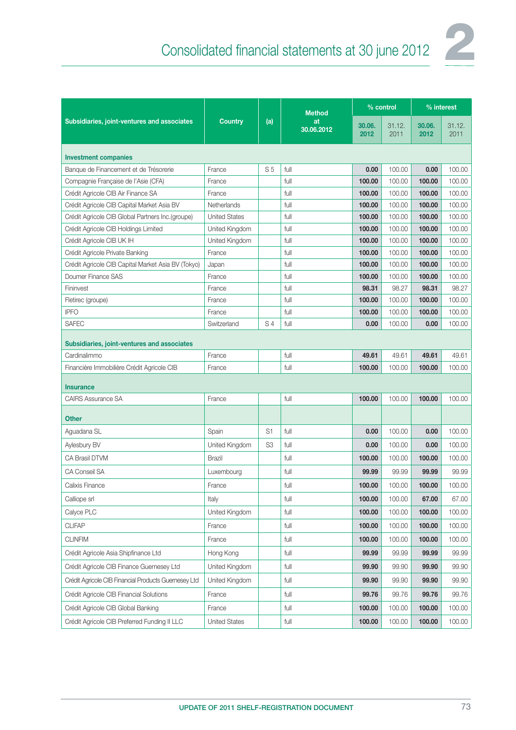

|                                                      |                       |                | <b>Method</b>    | % control      |                | % interest     |                |
|------------------------------------------------------|-----------------------|----------------|------------------|----------------|----------------|----------------|----------------|
| Subsidiaries, joint-ventures and associates          | <b>Country</b><br>(a) |                | at<br>30.06.2012 | 30.06.<br>2012 | 31.12.<br>2011 | 30.06.<br>2012 | 31.12.<br>2011 |
| <b>Investment companies</b>                          |                       |                |                  |                |                |                |                |
| Banque de Financement et de Trésorerie               | France                | S <sub>5</sub> | full             | 0.00           | 100.00         | 0.00           | 100.00         |
| Compagnie Française de l'Asie (CFA)                  | France                |                | full             | 100.00         | 100.00         | 100.00         | 100.00         |
| Crédit Agricole CIB Air Finance SA                   | France                |                | full             | 100.00         | 100.00         | 100.00         | 100.00         |
| Crédit Agricole CIB Capital Market Asia BV           | Netherlands           |                | full             | 100.00         | 100.00         | 100.00         | 100.00         |
| Crédit Agricole CIB Global Partners Inc.(groupe)     | <b>United States</b>  |                | full             | 100.00         | 100.00         | 100.00         | 100.00         |
| Crédit Agricole CIB Holdings Limited                 | United Kingdom        |                | full             | 100.00         | 100.00         | 100.00         | 100.00         |
| Crédit Agricole CIB UK IH                            | United Kingdom        |                | full             | 100.00         | 100.00         | 100.00         | 100.00         |
| Crédit Agricole Private Banking                      | France                |                | full             | 100.00         | 100.00         | 100.00         | 100.00         |
| Crédit Agricole CIB Capital Market Asia BV (Tokyo)   | Japan                 |                | full             | 100.00         | 100.00         | 100.00         | 100.00         |
| Doumer Finance SAS                                   | France                |                | full             | 100.00         | 100.00         | 100.00         | 100.00         |
| Fininvest                                            | France                |                | full             | 98.31          | 98.27          | 98.31          | 98.27          |
| Fletirec (groupe)                                    | France                |                | full             | 100.00         | 100.00         | 100.00         | 100.00         |
| <b>IPFO</b>                                          | France                |                | full             | 100.00         | 100.00         | 100.00         | 100.00         |
| <b>SAFEC</b>                                         | Switzerland           | S <sub>4</sub> | full             | 0.00           | 100.00         | 0.00           | 100.00         |
| Subsidiaries, joint-ventures and associates          |                       |                |                  |                |                |                |                |
| Cardinalimmo                                         | France                |                | full             | 49.61          | 49.61          | 49.61          | 49.61          |
| Financière Immobilière Crédit Agricole CIB           | France                |                | full             | 100.00         | 100.00         | 100.00         | 100.00         |
| <b>Insurance</b>                                     |                       |                |                  |                |                |                |                |
| <b>CAIRS Assurance SA</b>                            | France                |                | full             | 100.00         | 100.00         | 100.00         | 100.00         |
| <b>Other</b>                                         |                       |                |                  |                |                |                |                |
| Aguadana SL                                          | Spain                 | S <sub>1</sub> | full             | 0.00           | 100.00         | 0.00           | 100.00         |
| Aylesbury BV                                         | United Kingdom        | S <sub>3</sub> | full             | 0.00           | 100.00         | 0.00           | 100.00         |
| <b>CA Brasil DTVM</b>                                | <b>Brazil</b>         |                | full             | 100.00         | 100.00         | 100.00         | 100.00         |
| <b>CA Conseil SA</b>                                 | Luxembourg            |                | full             | 99.99          | 99.99          | 99.99          | 99.99          |
| Calixis Finance                                      | France                |                | $f$ ull          | 100.00         | 100.00         | 100.00         | 100.00         |
| Calliope srl                                         | Italy                 |                | full             | 100.00         | 100.00         | 67.00          | 67.00          |
| Calyce PLC                                           | United Kingdom        |                | full             | 100.00         | 100.00         | 100.00         | 100.00         |
| <b>CLIFAP</b>                                        | France                |                | full             | 100.00         | 100.00         | 100.00         | 100.00         |
| <b>CLINFIM</b>                                       | France                |                | full             | 100.00         | 100.00         | 100.00         | 100.00         |
| Crédit Agricole Asia Shipfinance Ltd                 | Hong Kong             |                | full             | 99.99          | 99.99          | 99.99          | 99.99          |
| Crédit Agricole CIB Finance Guernesey Ltd            | United Kingdom        |                | full             | 99.90          | 99.90          | 99.90          | 99.90          |
| Crédit Agricole CIB Financial Products Guernesey Ltd | United Kingdom        |                | full             | 99.90          | 99.90          | 99.90          | 99.90          |
| Crédit Agricole CIB Financial Solutions              | France                |                | full             | 99.76          | 99.76          | 99.76          | 99.76          |
| Crédit Agricole CIB Global Banking                   | France                |                | full             | 100.00         | 100.00         | 100.00         | 100.00         |
| Crédit Agricole CIB Preferred Funding II LLC         | <b>United States</b>  |                | full             | 100.00         | 100.00         | 100.00         | 100.00         |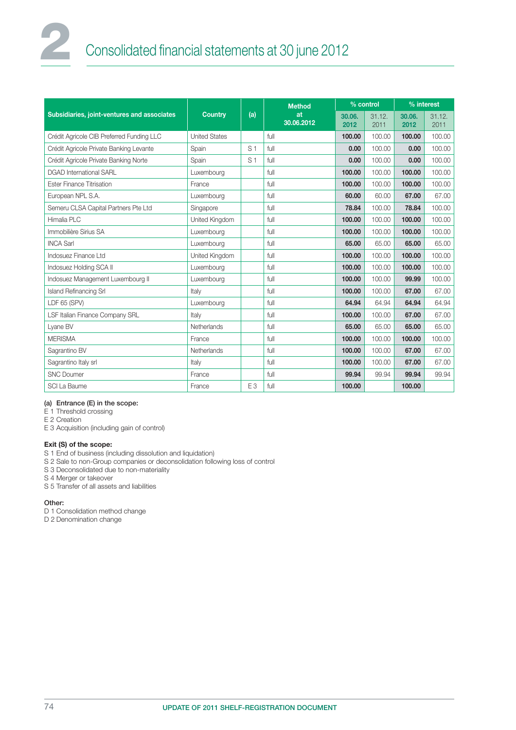# Consolidated financial statements at 30 june 2012

|                                             |                      |                | <b>Method</b>    | % control      |                | % interest     |                |  |
|---------------------------------------------|----------------------|----------------|------------------|----------------|----------------|----------------|----------------|--|
| Subsidiaries, joint-ventures and associates | Country              | (a)            | at<br>30.06.2012 | 30.06.<br>2012 | 31.12.<br>2011 | 30.06.<br>2012 | 31.12.<br>2011 |  |
| Crédit Agricole CIB Preferred Funding LLC   | <b>United States</b> |                | full             | 100.00         | 100.00         | 100.00         | 100.00         |  |
| Crédit Agricole Private Banking Levante     | Spain                | S <sub>1</sub> | full             | 0.00           | 100.00         | 0.00           | 100.00         |  |
| Crédit Agricole Private Banking Norte       | Spain                | S <sub>1</sub> | full             | 0.00           | 100.00         | 0.00           | 100.00         |  |
| <b>DGAD International SARL</b>              | Luxembourg           |                | full             | 100.00         | 100.00         | 100.00         | 100.00         |  |
| <b>Ester Finance Titrisation</b>            | France               |                | full             | 100.00         | 100.00         | 100.00         | 100.00         |  |
| European NPL S.A.                           | Luxembourg           |                | full             | 60.00          | 60.00          | 67.00          | 67.00          |  |
| Semeru CLSA Capital Partners Pte Ltd        | Singapore            |                | full             | 78.84          | 100.00         | 78.84          | 100.00         |  |
| Himalia PLC                                 | United Kingdom       |                | full             | 100.00         | 100.00         | 100.00         | 100.00         |  |
| Immobilière Sirius SA                       | Luxembourg           |                | full             | 100.00         | 100.00         | 100.00         | 100.00         |  |
| <b>INCA Sarl</b>                            | Luxembourg           |                | full<br>65.00    |                | 65.00          | 65,00          | 65.00          |  |
| Indosuez Finance Ltd                        | United Kingdom       |                | full             | 100.00         | 100.00         | 100.00         | 100.00         |  |
| Indosuez Holding SCA II                     | Luxembourg           |                | full             | 100.00         | 100.00         | 100.00         | 100.00         |  |
| Indosuez Management Luxembourg II           | Luxembourg           |                | full             | 100.00         | 100.00         | 99.99          | 100.00         |  |
| <b>Island Refinancing Srl</b>               | Italy                |                | full             | 100.00         | 100.00         | 67.00          | 67.00          |  |
| LDF 65 (SPV)                                | Luxembourg           |                | full             | 64.94          | 64.94          | 64.94          | 64.94          |  |
| LSF Italian Finance Company SRL             | Italy                |                | full             | 100.00         | 100.00         | 67.00          | 67.00          |  |
| Lyane BV                                    | Netherlands          |                | full             | 65.00          | 65.00          | 65,00          | 65.00          |  |
| <b>MERISMA</b>                              | France               |                | full             | 100.00         | 100.00         | 100.00         | 100.00         |  |
| Sagrantino BV                               | Netherlands          |                | full             | 100.00         | 100.00         | 67.00          | 67.00          |  |
| Sagrantino Italy srl                        | Italy                |                | full             | 100.00         | 100.00         | 67.00          | 67.00          |  |
| <b>SNC Doumer</b>                           | France               |                | full             | 99.94          | 99.94          | 99.94          | 99.94          |  |
| SCI La Baume                                | France               | E <sub>3</sub> | full             | 100.00         |                | 100.00         |                |  |

#### (a) Entrance (E) in the scope:

E 1 Threshold crossing

E 2 Creation

E 3 Acquisition (including gain of control)

#### Exit (S) of the scope:

S 1 End of business (including dissolution and liquidation)

- S 2 Sale to non-Group companies or deconsolidation following loss of control
- S 3 Deconsolidated due to non-materiality

S 4 Merger or takeover

S 5 Transfer of all assets and liabilities

#### Other:

D 1 Consolidation method change

D 2 Denomination change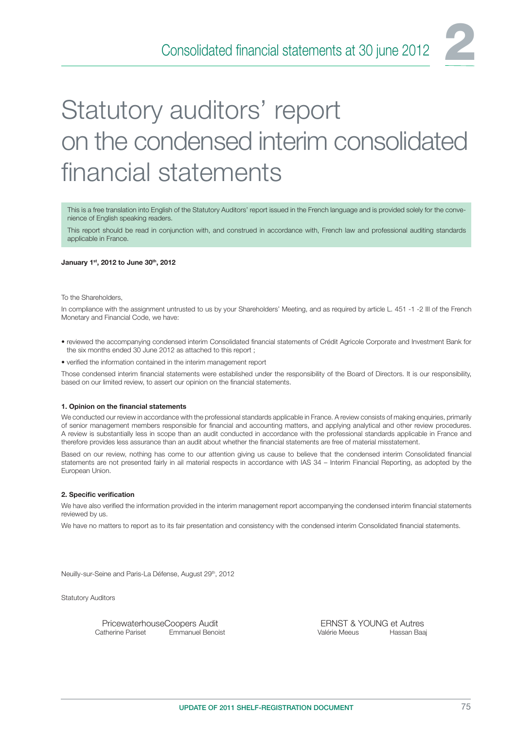# Statutory auditors' report on the condensed interim consolidated financial statements

This is a free translation into English of the Statutory Auditors' report issued in the French language and is provided solely for the convenience of English speaking readers.

This report should be read in conjunction with, and construed in accordance with, French law and professional auditing standards applicable in France.

#### January 1st, 2012 to June 30th, 2012

To the Shareholders,

In compliance with the assignment untrusted to us by your Shareholders' Meeting, and as required by article L. 451 -1 -2 III of the French Monetary and Financial Code, we have:

- reviewed the accompanying condensed interim Consolidated financial statements of Crédit Agricole Corporate and Investment Bank for the six months ended 30 June 2012 as attached to this report ;
- verified the information contained in the interim management report

Those condensed interim financial statements were established under the responsibility of the Board of Directors. It is our responsibility, based on our limited review, to assert our opinion on the financial statements.

#### 1. Opinion on the financial statements

We conducted our review in accordance with the professional standards applicable in France. A review consists of making enquiries, primarily of senior management members responsible for financial and accounting matters, and applying analytical and other review procedures. A review is substantially less in scope than an audit conducted in accordance with the professional standards applicable in France and therefore provides less assurance than an audit about whether the financial statements are free of material misstatement.

Based on our review, nothing has come to our attention giving us cause to believe that the condensed interim Consolidated financial statements are not presented fairly in ail material respects in accordance with IAS 34 – Interim Financial Reporting, as adopted by the European Union.

#### 2. Specific verification

We have also verified the information provided in the interim management report accompanying the condensed interim financial statements reviewed by us.

We have no matters to report as to its fair presentation and consistency with the condensed interim Consolidated financial statements.

Neuilly-sur-Seine and Paris-La Défense, August 29<sup>th</sup>, 2012

Statutory Auditors

PricewaterhouseCoopers Audit ERNST & YOUNG et Autres<br>Catherine Pariset Emmanuel Benoist Catherine Pariset Emmanuel Benoist Valérie Meeus Hassan Baai Emmanuel Benoist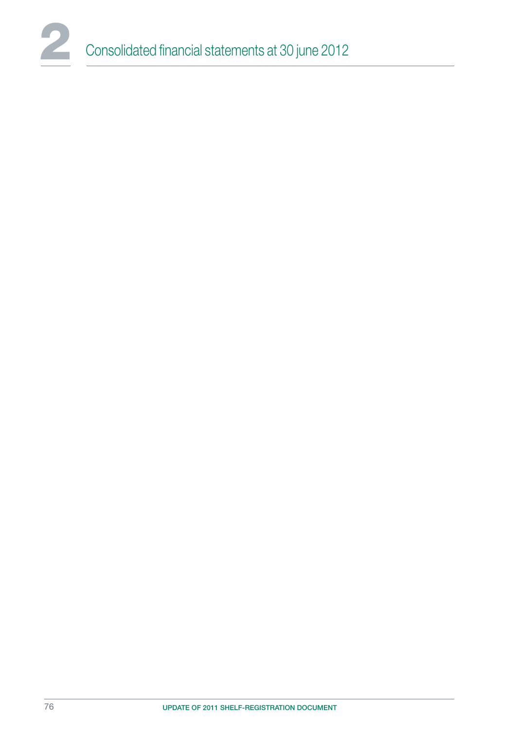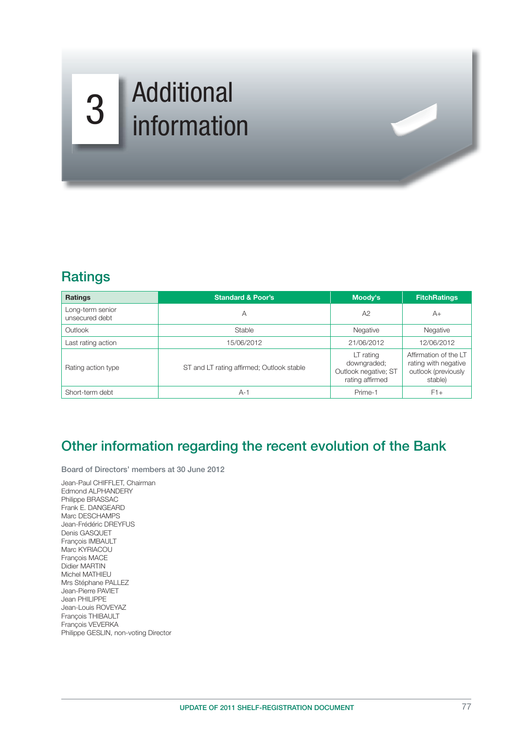# Additional 3 Information

## **Ratings**

| <b>Ratings</b>                                                  | <b>Standard &amp; Poor's</b> | Moody's                                                             | <b>FitchRatings</b>                                                             |
|-----------------------------------------------------------------|------------------------------|---------------------------------------------------------------------|---------------------------------------------------------------------------------|
| Long-term senior<br>unsecured debt                              | А                            | A2                                                                  | $A+$                                                                            |
| Outlook<br>Stable                                               |                              | Negative                                                            | Negative                                                                        |
| Last rating action                                              | 15/06/2012                   | 21/06/2012                                                          | 12/06/2012                                                                      |
| ST and LT rating affirmed; Outlook stable<br>Rating action type |                              | LT rating<br>downgraded;<br>Outlook negative; ST<br>rating affirmed | Affirmation of the LT<br>rating with negative<br>outlook (previously<br>stable) |
| Short-term debt                                                 | $A-1$                        | Prime-1                                                             | $F1+$                                                                           |

 $A$ 

## Other information regarding the recent evolution of the Bank

Board of Directors' members at 30 June 2012

Jean-Paul CHIFFLET, Chairman Edmond ALPHANDERY Philippe BRASSAC Frank E. DANGEARD Marc DESCHAMPS Jean-Frédéric DREYFUS Denis GASQUET François IMBAULT Marc KYRIACOU François MACE Didier MARTIN Michel MATHIEU Mrs Stéphane PALLEZ Jean-Pierre PAVIET Jean PHILIPPE Jean-Louis ROVEYAZ François THIBAULT François VEVERKA Philippe GESLIN, non-voting Director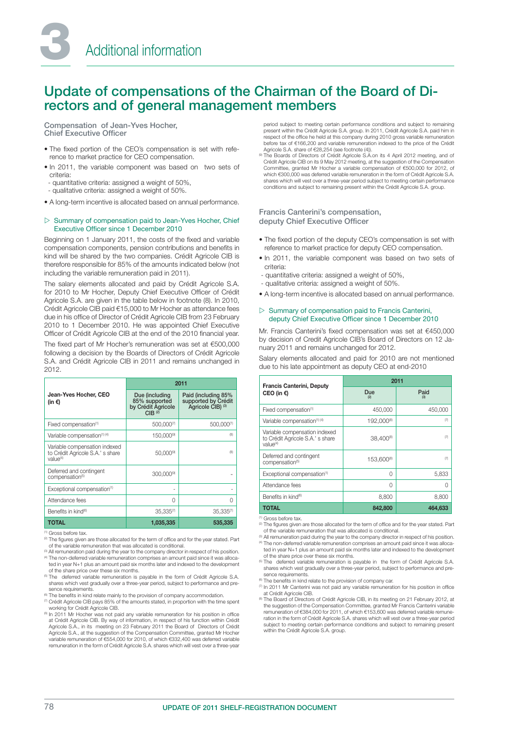## Update of compensations of the Chairman of the Board of Directors and of general management members

Compensation of Jean-Yves Hocher, Chief Executive Officer

- The fixed portion of the CEO's compensation is set with reference to market practice for CEO compensation.
- In 2011, the variable component was based on two sets of criteria:
- quantitative criteria: assigned a weight of 50%,
- qualitative criteria: assigned a weight of 50%.
- A long-term incentive is allocated based on annual performance.

#### $\triangleright$  Summary of compensation paid to Jean-Yves Hocher, Chief Executive Officer since 1 December 2010

Beginning on 1 January 2011, the costs of the fixed and variable compensation components, pension contributions and benefits in kind will be shared by the two companies. Crédit Agricole CIB is therefore responsible for 85% of the amounts indicated below (not including the variable remuneration paid in 2011).

The salary elements allocated and paid by Crédit Agricole S.A. for 2010 to Mr Hocher, Deputy Chief Executive Officer of Crédit Agricole S.A. are given in the table below in footnote (8). In 2010, Crédit Agricole CIB paid €15,000 to Mr Hocher as attendance fees due in his office of Director of Crédit Agricole CIB from 23 February 2010 to 1 December 2010. He was appointed Chief Executive Officer of Crédit Agricole CIB at the end of the 2010 financial year.

The fixed part of Mr Hocher's remuneration was set at €500,000 following a decision by the Boards of Directors of Crédit Agricole S.A. and Crédit Agricole CIB in 2011 and remains unchanged in 2012.

|                                                                                           | 2011                                                                          |                                                                 |  |  |  |
|-------------------------------------------------------------------------------------------|-------------------------------------------------------------------------------|-----------------------------------------------------------------|--|--|--|
| Jean-Yves Hocher, CEO<br>(in €)                                                           | Due (including<br>85% supported<br>by Crédit Agricole<br>$CIB$ <sup>(2)</sup> | Paid (including 85%<br>supported by Crédit<br>Agricole CIB) (3) |  |  |  |
| Fixed compensation <sup>(1)</sup>                                                         | 500,000(7)                                                                    | 500,000(7)                                                      |  |  |  |
| Variable compensation <sup>(1) (4)</sup>                                                  | 150,000 <sup>(9)</sup>                                                        | (8)                                                             |  |  |  |
| Variable compensation indexed<br>to Crédit Agricole S.A.' s share<br>value <sup>(4)</sup> | $50,000^{(9)}$                                                                | (8)                                                             |  |  |  |
| Deferred and contingent<br>compensation <sup>(5)</sup>                                    | 300,000(9)                                                                    |                                                                 |  |  |  |
| Exceptional compensation <sup>(1)</sup>                                                   | ٠                                                                             |                                                                 |  |  |  |
| Attendance fees                                                                           | 0                                                                             |                                                                 |  |  |  |
| Benefits in kind <sup>®</sup>                                                             | $35,335^{(7)}$                                                                | $35.335^{(7)}$                                                  |  |  |  |
| TOTAL                                                                                     | 1,035,335                                                                     | 535,335                                                         |  |  |  |

(1) Gross before tax.

<sup>(2)</sup> The figures given are those allocated for the term of office and for the year stated. Part of the variable remuneration that was allocated is conditional.

<sup>(3)</sup> All remuneration paid during the year to the company director in respect of his position. (4) The non-deferred variable remuneration comprises an amount paid since it was alloca-ted in year N+1 plus an amount paid six months later and indexed to the development

- of the share price over these six months.<br><sup>(6)</sup> The deferred variable remuneration is payable in the form of Crédit Agricole S.A. shares which vest gradually over a three-year period, subject to performance and presence requirements.
- 
- ® The benefits in kind relate mainly to the provision of company accommodation.<br>@ Crédit Agricole CIB pays 85% of the amounts stated, in proportion with the time spent<br>working for Crédit Agricole CIB.
- <sup>(8</sup> In 2011 Mr Hocher was not paid any variable remuneration for his position in office<br>at Crédit Agricole CIB. By way of information, in respect of his function within Crédit Agricole S.A., in its meeting on 23 February 2011 the Board of Directors of Crédit Agricole S.A., at the suggestion of the Compensation Committee, granted Mr Hocher variable remuneration of €554,000 for 2010, of which €332,400 was deferred variable remuneration in the form of Crédit Agricole S.A. shares which will vest over a three-year

period subject to meeting certain performance conditions and subject to remaining present within the Crédit Agricole S.A. group. In 2011, Crédit Agricole S.A. paid him in respect of the office he held at this company during 2010 gross variable remuneration<br>before tax of €166,200 and variable remuneration indexed to the price of the Crédit Agricole S.A. share of €28,254 (see footnote (4)).

(9) The Boards of Directors of Crédit Agricole S.A.on its 4 April 2012 meeting, and of Crédit Agricole CIB on its 9 May 2012 meeting, at the suggestion of the Compensation<br>Committee, granted Mr Hocher a variable compensation of €500,000 for 2012, of<br>which €300,000 was deferred variable remuneration in the fo shares which will vest over a three-year period subject to meeting certain performance conditions and subject to remaining present within the Crédit Agricole S.A. group.

#### Francis Canterini's compensation, deputy Chief Executive Officer

- The fixed portion of the deputy CEO's compensation is set with reference to market practice for deputy CEO compensation.
- In 2011, the variable component was based on two sets of criteria:
- quantitative criteria: assigned a weight of 50%,
- qualitative criteria: assigned a weight of 50%.
- A long-term incentive is allocated based on annual performance.

#### $\triangleright$  Summary of compensation paid to Francis Canterini, deputy Chief Executive Officer since 1 December 2010

Mr. Francis Canterini's fixed compensation was set at €450,000 by decision of Credit Agricole CIB's Board of Directors on 12 January 2011 and remains unchanged for 2012.

Salary elements allocated and paid for 2010 are not mentioned due to his late appointment as deputy CEO at end-2010

| <b>Francis Canterini, Deputy</b>                                                          | 2011                   |             |  |  |  |
|-------------------------------------------------------------------------------------------|------------------------|-------------|--|--|--|
| CEO (in $\epsilon$ )                                                                      | Due<br>(2)             | Paid<br>(3) |  |  |  |
| Fixed compensation <sup>(1)</sup>                                                         | 450,000                | 450,000     |  |  |  |
| Variable compensation(1) (4)                                                              | 192,000(8)             | (7)         |  |  |  |
| Variable compensation indexed<br>to Crédit Agricole S.A.' s share<br>value <sup>(4)</sup> | 38,400 <sup>(8)</sup>  | (7)         |  |  |  |
| Deferred and contingent<br>compensation <sup>(5)</sup>                                    | 153,600 <sup>(8)</sup> | (7)         |  |  |  |
| Exceptional compensation <sup>(1)</sup>                                                   | O                      | 5,833       |  |  |  |
| Attendance fees                                                                           | 0                      | U           |  |  |  |
| Benefits in kind <sup>®</sup>                                                             | 8,800                  | 8,800       |  |  |  |
| <b>TOTAL</b>                                                                              | 842,800                | 464,633     |  |  |  |

(1) Gross before tax.

<sup>(2)</sup> The figures given are those allocated for the term of office and for the year stated. Part of the variable remuneration that was allocated is conditional.

<sup>(3)</sup> All remuneration paid during the year to the company director in respect of his position. (4) The non-deferred variable remuneration comprises an amount paid since it was allocated in year N+1 plus an amount paid six months later and indexed to the development of the share price over these six months.

The deferred variable remuneration is payable in the form of Crédit Agricole S.A. shares which vest gradually over a three-year period, subject to performance and presence requirements.

(6) The benefits in kind relate to the provision of company car.

- (7) In 2011 Mr Canterini was not paid any variable remuneration for his position in office at Crédit Agricole CIB.
- (8) The Board of Directors of Crédit Agricole CIB, in its meeting on 21 February 2012, at the suggestion of the Compensation Committee, granted Mr Francis Canterini variable remuneration of €384,000 for 2011, of which €153,600 was deferred variable remuneration in the form of Crédit Agricole S.A. shares which will vest over a three-year period subject to meeting certain performance conditions and subject to remaining present within the Crédit Agricole S.A. group.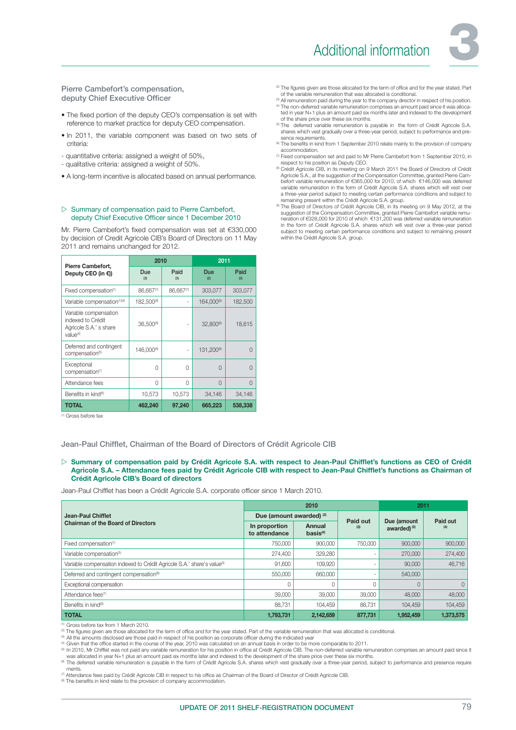

Pierre Cambefort's compensation, deputy Chief Executive Officer

- The fixed portion of the deputy CEO's compensation is set with reference to market practice for deputy CEO compensation.
- In 2011, the variable component was based on two sets of criteria:
- quantitative criteria: assigned a weight of 50%,
- qualitative criteria: assigned a weight of 50%.
- A long-term incentive is allocated based on annual performance.

#### $\triangleright$  Summary of compensation paid to Pierre Cambefort, deputy Chief Executive Officer since 1 December 2010

Mr. Pierre Cambefort's fixed compensation was set at €330,000 by decision of Credit Agricole CIB's Board of Directors on 11 May 2011 and remains unchanged for 2012.

|                                                                                              | 2010                  |             | 2011                   |             |  |  |
|----------------------------------------------------------------------------------------------|-----------------------|-------------|------------------------|-------------|--|--|
| Pierre Cambefort,<br>Deputy CEO (in €))                                                      | Due<br>(2)            | Paid<br>(3) | <b>Due</b><br>(2)      | Paid<br>(3) |  |  |
| Fixed compensation <sup>(1)</sup>                                                            | $86.667^{(7)}$        | 86,667(7)   | 303,077                | 303,077     |  |  |
| Variable compensation(1)(4)                                                                  | 182,500(8)            |             | 164,000(9)             | 182,500     |  |  |
| Variable compensation<br>indexed to Crédit<br>Agricole S.A.' s share<br>value <sup>(4)</sup> | 36,500 <sup>(8)</sup> |             | $32,800^{(9)}$         | 18,615      |  |  |
| Deferred and contingent<br>compensation <sup>(5)</sup>                                       | 146.000(8)            | ٠           | 131.200 <sup>(9)</sup> |             |  |  |
| Exceptional<br>compensation <sup>(1)</sup>                                                   | 0                     | 0           | $\Omega$               | ∩           |  |  |
| Attendance fees                                                                              | $\Omega$              | 0           | $\Omega$               | ∩           |  |  |
| Benefits in kind®                                                                            | 10,573                | 10,573      | 34,146                 | 34,146      |  |  |
| <b>TOTAL</b>                                                                                 | 462,240               | 97,240      | 665,223                | 538,338     |  |  |

(1) Gross before tax

Jean-Paul Chifflet, Chairman of the Board of Directors of Crédit Agricole CIB

 $\triangleright$  Summary of compensation paid by Crédit Agricole S.A. with respect to Jean-Paul Chifflet's functions as CEO of Crédit Agricole S.A. - Attendance fees paid by Crédit Agricole CIB with respect to Jean-Paul Chifflet's functions as Chairman of Crédit Agricole CIB's Board of directors

Jean-Paul Chifflet has been a Crédit Agricole S.A. corporate officer since 1 March 2010.

|                                                                                     |                                     | 2010                           | 2011     |                                        |           |
|-------------------------------------------------------------------------------------|-------------------------------------|--------------------------------|----------|----------------------------------------|-----------|
| Jean-Paul Chifflet                                                                  | Due (amount awarded) <sup>(2)</sup> |                                | Paid out |                                        | Paid out  |
| <b>Chairman of the Board of Directors</b>                                           | In proportion<br>to attendance      | Annual<br>basis <sup>(4)</sup> | (3)      | Due (amount<br>awarded) <sup>(2)</sup> | (4)       |
| Fixed compensation <sup>(1)</sup>                                                   | 750,000                             | 900,000                        | 750,000  | 900,000                                | 900,000   |
| Variable compensation <sup>(5)</sup>                                                | 274,400                             | 329,280                        |          | 270,000                                | 274,400   |
| Variable compensation indexed to Crédit Agricole S.A.' share's value <sup>(5)</sup> | 91.600                              | 109,920                        |          | 90,000                                 | 46,716    |
| Deferred and contingent compensation <sup>(6)</sup>                                 | 550,000                             | 660,000                        |          | 540,000                                |           |
| Exceptional compensation                                                            |                                     |                                |          |                                        | $\Omega$  |
| Attendance fees <sup>(7)</sup>                                                      | 39,000                              | 39,000                         | 39,000   | 48,000                                 | 48,000    |
| Benefits in kind <sup>(8)</sup>                                                     | 88,731                              | 104,459                        | 88.731   | 104.459                                | 104,459   |
| <b>TOTAL</b>                                                                        | 1,793,731                           | 2,142,659                      | 877,731  | 1,952,459                              | 1,373,575 |

(1) Gross before tax from 1 March 2010.

and the system of the statement of the statement of office and for the year stated. Part of the variable remuneration that was allocated is conditional.<br>
<sup>21</sup> All the amounts disclosed are those paid in respect of his posi

<sup>(a</sup> Given that the office started in the course of the year, 2010 was calculated on an annual basis in order to be more comparable to 2011.<br>® In 2010, Mr Chifflet was not paid any variable remuneration for his position in

was allocated in year N+1 plus an amount paid six months later and indexed to the development of the share price over these six months.<br>® The deferred variable remuneration is payable in the form of Crédit Agricole S.A. sh ments.

(7) Attendance fees paid by Crédit Agricole CIB in respect to his offi ce as Chairman of the Board of Director of Crédit Agricole CIB.

<sup>(8)</sup> The benefits in kind relate to the provision of company accommodation.

- <sup>(2)</sup> The figures given are those allocated for the term of office and for the year stated. Part
- of the variable remuneration that was allocated is conditional.<br><sup>(3)</sup> All remuneration paid during the year to the company director in respect of his position. <sup>(4)</sup> The non-deferred variable remuneration comprises an amount paid since it was allocated in year N+1 plus an amount paid six months later and indexed to the development of the share price over these six months.
- <sup>(5)</sup> The deferred variable remuneration is payable in the form of Crédit Agricole S.A.<br>shares which vest gradually over a three-year period, subject to performance and presence requirements
- The benefits in kind from 1 September 2010 relate mainly to the provision of company accommodation.
- (7) Fixed compensation set and paid to Mr Pierre Cambefort from 1 September 2010, in respect to his position as Deputy CEO.
- (8) Crédit Agricole CIB, in its meeting on 9 March 2011 the Board of Directors of Crédit Agricole S.A., at the suggestion of the Compensation Committee, granted Pierre Cambefort variable remuneration of €365,000 for 2010, of which €146,000 was deferred variable remuneration in the form of Crédit Agricole S.A. shares which will vest over a three-year period subject to meeting certain performance conditions and subject to remaining present within the Crédit Agricole S.A. group.
- n The Board of Directors of Crédit Agricole CIB, in its meeting on 9 May 2012, at the "Suggestion of the Compensation Committee, granted Pierra."<br>"Suggestion of the Compensation Committee, granted Pierre Cambefort variable in the form of Crédit Agricole S.A. shares which will vest over a three-year period subject to meeting certain performance conditions and subject to remaining present within the Crédit Agricole S.A. group.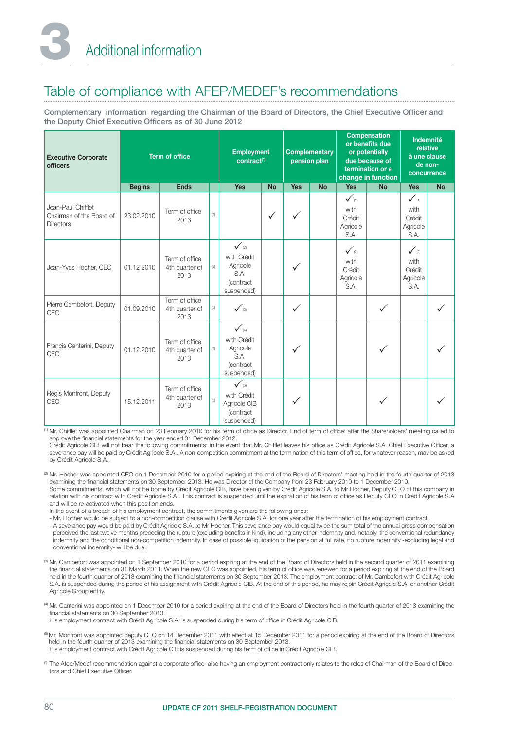## Table of compliance with AFEP/MEDEF's recommendations

Complementary information regarding the Chairman of the Board of Directors, the Chief Executive Officer and the Deputy Chief Executive Officers as of 30 June 2012

| <b>Executive Corporate</b><br><b>officers</b>                      | <b>Term of office</b> |                                           |     | <b>Employment</b><br>contract <sup>(*)</sup>                                   |              | <b>Complementary</b><br>pension plan |           | <b>Compensation</b><br>or benefits due<br>or potentially<br>due because of<br>termination or a<br>change in function |           | Indemnité<br>relative<br>à une clause<br>de non-<br>concurrence |           |
|--------------------------------------------------------------------|-----------------------|-------------------------------------------|-----|--------------------------------------------------------------------------------|--------------|--------------------------------------|-----------|----------------------------------------------------------------------------------------------------------------------|-----------|-----------------------------------------------------------------|-----------|
|                                                                    | <b>Begins</b>         | <b>Ends</b>                               |     | <b>Yes</b>                                                                     | <b>No</b>    | <b>Yes</b>                           | <b>No</b> | <b>Yes</b>                                                                                                           | <b>No</b> | <b>Yes</b>                                                      | <b>No</b> |
| Jean-Paul Chifflet<br>Chairman of the Board of<br><b>Directors</b> | 23.02.2010            | Term of office:<br>2013                   | (1) |                                                                                | $\checkmark$ |                                      |           | $\checkmark$ (2)<br>with<br>Crédit<br>Agricole<br>S.A.                                                               |           | $\checkmark$ (1)<br>with<br>Crédit<br>Agricole<br>S.A.          |           |
| Jean-Yves Hocher, CEO                                              | 01.12 2010            | Term of office:<br>4th quarter of<br>2013 | (2) | $\checkmark$ (2)<br>with Crédit<br>Agricole<br>S.A.<br>(contract<br>suspended) |              |                                      |           | $\checkmark$ (2)<br>with<br>Crédit<br>Agricole<br>S.A.                                                               |           | $\checkmark$ (2)<br>with<br>Crédit<br>Agricole<br>S.A.          |           |
| Pierre Cambefort, Deputy<br>CEO                                    | 01.09.2010            | Term of office:<br>4th quarter of<br>2013 | (3) | $\checkmark$ (3)                                                               |              | $\checkmark$                         |           |                                                                                                                      |           |                                                                 |           |
| Francis Canterini, Deputy<br>CEO                                   | 01.12.2010            | Term of office:<br>4th quarter of<br>2013 |     | $\checkmark$ (4)<br>with Crédit<br>Agricole<br>S.A.<br>(contract<br>suspended) |              |                                      |           |                                                                                                                      |           |                                                                 |           |
| Régis Monfront, Deputy<br>CEO                                      | 15.12.2011            | Term of office:<br>4th quarter of<br>2013 | (5) | $\checkmark$ (5)<br>with Crédit<br>Agricole CIB<br>(contract<br>suspended)     |              |                                      |           |                                                                                                                      |           |                                                                 |           |

<sup>(1)</sup> Mr. Chifflet was appointed Chairman on 23 February 2010 for his term of office as Director. End of term of office: after the Shareholders' meeting called to approve the financial statements for the year ended 31 December 2012.

Crédit Agricole CIB will not bear the following commitments: in the event that Mr. Chifflet leaves his office as Crédit Agricole S.A. Chief Executive Officer, a severance pay will be paid by Crédit Agricole S.A.. A non-competition commitment at the termination of this term of office, for whatever reason, may be asked by Crédit Agricole S.A..

(2) Mr. Hocher was appointed CEO on 1 December 2010 for a period expiring at the end of the Board of Directors' meeting held in the fourth quarter of 2013 examining the financial statements on 30 September 2013. He was Director of the Company from 23 February 2010 to 1 December 2010. Some commitments, which will not be borne by Crédit Agricole CIB, have been given by Crédit Agricole S.A. to Mr Hocher, Deputy CEO of this company in relation with his contract with Crédit Agricole S.A.. This contract is suspended until the expiration of his term of office as Deputy CEO in Crédit Agricole S.A. and will be re-activated when this position ends.

In the event of a breach of his employment contract, the commitments given are the following ones:

- Mr. Hocher would be subject to a non-competition clause with Crédit Agricole S.A. for one year after the termination of his employment contract.

 - A severance pay would be paid by Crédit Agricole S.A. to Mr Hocher. This severance pay would equal twice the sum total of the annual gross compensation perceived the last twelve months preceding the rupture (excluding benefits in kind), including any other indemnity and, notably, the conventional redundancy indemnity and the conditional non-competition indemnity. In case of possible liquidation of the pension at full rate, no rupture indemnity -excluding legal and conventional indemnity- will be due.

(3) Mr. Cambefort was appointed on 1 September 2010 for a period expiring at the end of the Board of Directors held in the second quarter of 2011 examining the financial statements on 31 March 2011. When the new CEO was appointed, his term of office was renewed for a period expiring at the end of the Board held in the fourth quarter of 2013 examining the financial statements on 30 September 2013. The employment contract of Mr. Cambefort with Crédit Agricole S.A. is suspended during the period of his assignment with Crédit Agricole CIB. At the end of this period, he may rejoin Crédit Agricole S.A. or another Crédit Agricole Group entity.

(4) Mr. Canterini was appointed on 1 December 2010 for a period expiring at the end of the Board of Directors held in the fourth quarter of 2013 examining the financial statements on 30 September 2013.

His employment contract with Crédit Agricole S.A. is suspended during his term of office in Crédit Agricole CIB.

(5) Mr. Monfront was appointed deputy CEO on 14 December 2011 with effect at 15 December 2011 for a period expiring at the end of the Board of Directors held in the fourth quarter of 2013 examining the financial statements on 30 September 2013.

His employment contract with Crédit Agricole CIB is suspended during his term of office in Crédit Agricole CIB.

<sup>(\*)</sup> The Afep/Medef recommendation against a corporate officer also having an employment contract only relates to the roles of Chairman of the Board of Directors and Chief Executive Officer.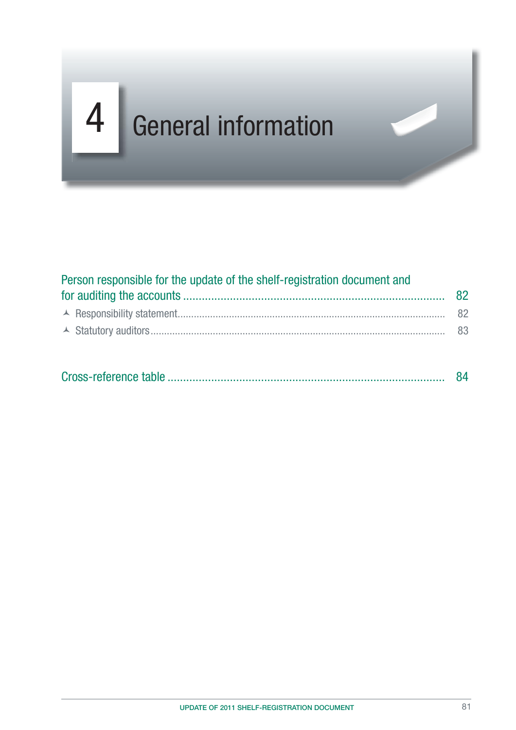# $G = \{x_1, x_2, \ldots, x_n\}$ 4 General information

| Person responsible for the update of the shelf-registration document and |  |  |  |  |  |  |
|--------------------------------------------------------------------------|--|--|--|--|--|--|
|                                                                          |  |  |  |  |  |  |
|                                                                          |  |  |  |  |  |  |
|                                                                          |  |  |  |  |  |  |
|                                                                          |  |  |  |  |  |  |

|--|--|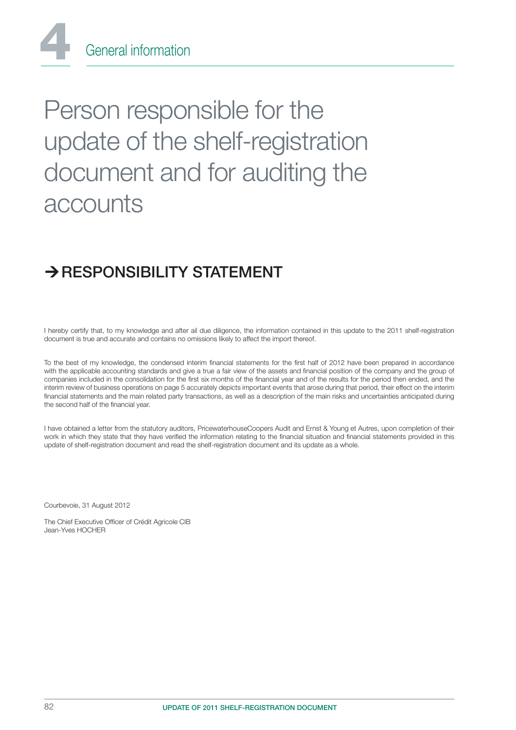

# Person responsible for the update of the shelf-registration document and for auditing the accounts

# $\rightarrow$  RESPONSIBILITY STATEMENT

I hereby certify that, to my knowledge and after ail due diligence, the information contained in this update to the 2011 shelf-registration document is true and accurate and contains no omissions likely to affect the import thereof.

To the best of my knowledge, the condensed interim financial statements for the first half of 2012 have been prepared in accordance with the applicable accounting standards and give a true a fair view of the assets and financial position of the company and the group of companies included in the consolidation for the first six months of the financial year and of the results for the period then ended, and the interim review of business operations on page 5 accurately depicts important events that arose during that period, their effect on the interim financial statements and the main related party transactions, as well as a description of the main risks and uncertainties anticipated during the second half of the financial year.

I have obtained a letter from the statutory auditors, PricewaterhouseCoopers Audit and Ernst & Young et Autres, upon completion of their work in which they state that they have verified the information relating to the financial situation and financial statements provided in this update of shelf-registration document and read the shelf-registration document and its update as a whole.

Courbevoie, 31 August 2012

The Chief Executive Officer of Crédit Agricole CIB Jean-Yves HOCHER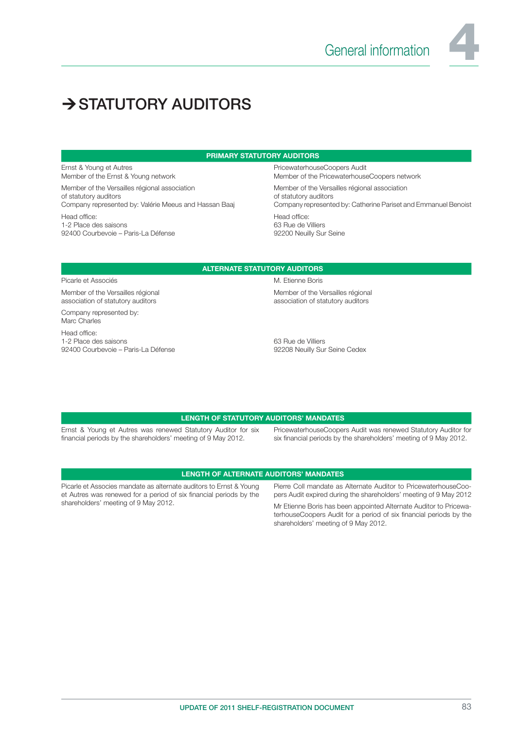

# $\rightarrow$  STATUTORY AUDITORS

#### PRIMARY STATUTORY AUDITORS

Ernst & Young et Autres Member of the Ernst & Young network

Member of the Versailles régional association of statutory auditors Company represented by: Valérie Meeus and Hassan Baaj Head office: 1-2 Place des saisons 92400 Courbevoie – Paris-La Défense

PricewaterhouseCoopers Audit Member of the PricewaterhouseCoopers network

Member of the Versailles régional association of statutory auditors Company represented by: Catherine Pariset and Emmanuel Benoist Head office: 63 Rue de Villiers 92200 Neuilly Sur Seine

#### ALTERNATE STATUTORY AUDITORS

#### Picarle et Associés **M. Etienne Boris**

Member of the Versailles régional association of statutory auditors

Company represented by: Marc Charles

Head office: 1-2 Place des saisons 92400 Courbevoie – Paris-La Défense Member of the Versailles régional

association of statutory auditors

63 Rue de Villiers 92208 Neuilly Sur Seine Cedex

#### LENGTH OF STATUTORY AUDITORS' MANDATES

Ernst & Young et Autres was renewed Statutory Auditor for six financial periods by the shareholders' meeting of 9 May 2012.

PricewaterhouseCoopers Audit was renewed Statutory Auditor for six financial periods by the shareholders' meeting of 9 May 2012.

#### LENGTH OF ALTERNATE AUDITORS' MANDATES

Picarle et Associes mandate as alternate auditors to Ernst & Young et Autres was renewed for a period of six financial periods by the shareholders' meeting of 9 May 2012.

Pierre Coll mandate as Alternate Auditor to PricewaterhouseCoopers Audit expired during the shareholders' meeting of 9 May 2012

Mr Etienne Boris has been appointed Alternate Auditor to PricewaterhouseCoopers Audit for a period of six financial periods by the shareholders' meeting of 9 May 2012.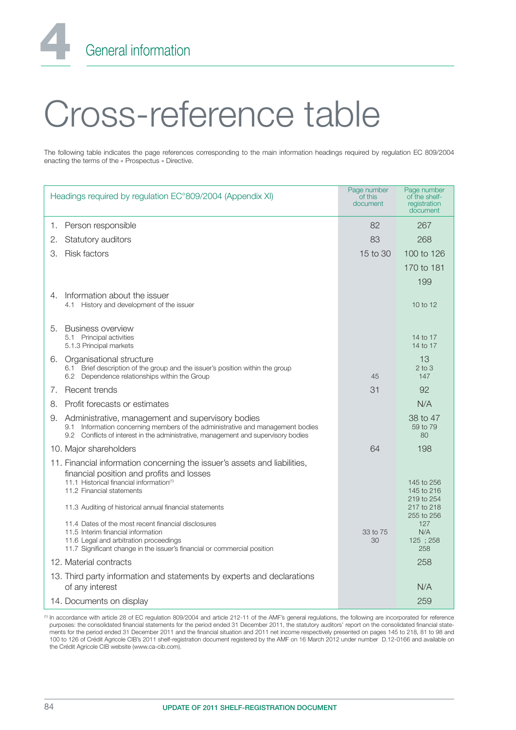General information

# Cross-reference table

The following table indicates the page references corresponding to the main information headings required by regulation EC 809/2004 enacting the terms of the « Prospectus » Directive.

|    | Headings required by regulation EC°809/2004 (Appendix XI)                                                                                                                                                                    | Page number<br>of this<br>document | Page number<br>of the shelf-<br>registration<br>document |
|----|------------------------------------------------------------------------------------------------------------------------------------------------------------------------------------------------------------------------------|------------------------------------|----------------------------------------------------------|
| 1. | Person responsible                                                                                                                                                                                                           | 82                                 | 267                                                      |
| 2. | Statutory auditors                                                                                                                                                                                                           | 83                                 | 268                                                      |
| З. | <b>Risk factors</b>                                                                                                                                                                                                          | 15 to 30                           | 100 to 126                                               |
|    |                                                                                                                                                                                                                              |                                    | 170 to 181                                               |
|    |                                                                                                                                                                                                                              |                                    | 199                                                      |
| 4. | Information about the issuer<br>4.1 History and development of the issuer                                                                                                                                                    |                                    | 10 to 12                                                 |
|    |                                                                                                                                                                                                                              |                                    |                                                          |
| 5. | <b>Business overview</b><br>5.1 Principal activities<br>5.1.3 Principal markets                                                                                                                                              |                                    | 14 to 17<br>14 to 17                                     |
|    | 6. Organisational structure<br>6.1 Brief description of the group and the issuer's position within the group<br>6.2 Dependence relationships within the Group                                                                | 45                                 | 13<br>$2$ to $3$<br>147                                  |
| 7. | Recent trends                                                                                                                                                                                                                | 31                                 | 92                                                       |
| 8. | Profit forecasts or estimates                                                                                                                                                                                                |                                    | N/A                                                      |
| 9. | Administrative, management and supervisory bodies<br>Information concerning members of the administrative and management bodies<br>9.1<br>9.2 Conflicts of interest in the administrative, management and supervisory bodies |                                    | 38 to 47<br>59 to 79<br>80                               |
|    | 10. Major shareholders                                                                                                                                                                                                       | 64                                 | 198                                                      |
|    | 11. Financial information concerning the issuer's assets and liabilities,<br>financial position and profits and losses                                                                                                       |                                    |                                                          |
|    | 11.1 Historical financial information <sup>(1)</sup><br>11.2 Financial statements                                                                                                                                            |                                    | 145 to 256<br>145 to 216                                 |
|    | 11.3 Auditing of historical annual financial statements                                                                                                                                                                      |                                    | 219 to 254<br>217 to 218<br>255 to 256                   |
|    | 11.4 Dates of the most recent financial disclosures<br>11.5 Interim financial information<br>11.6 Legal and arbitration proceedings<br>11.7 Significant change in the issuer's financial or commercial position              | 33 to 75<br>30                     | 127<br>N/A<br>125 : 258<br>258                           |
|    | 12. Material contracts                                                                                                                                                                                                       |                                    | 258                                                      |
|    | 13. Third party information and statements by experts and declarations<br>of any interest                                                                                                                                    |                                    | N/A                                                      |
|    | 14. Documents on display                                                                                                                                                                                                     |                                    | 259                                                      |

(1) In accordance with article 28 of EC regulation 809/2004 and article 212-11 of the AMF's general regulations, the following are incorporated for reference purposes: the consolidated financial statements for the period ended 31 December 2011, the statutory auditors' report on the consolidated financial statements for the period ended 31 December 2011 and the financial situation and 2011 net income respectively presented on pages 145 to 218, 81 to 98 and 100 to 126 of Crédit Agricole CIB's 2011 shelf-registration document registered by the AMF on 16 March 2012 under number D.12-0166 and available on the Crédit Agricole CIB website (www.ca-cib.com).